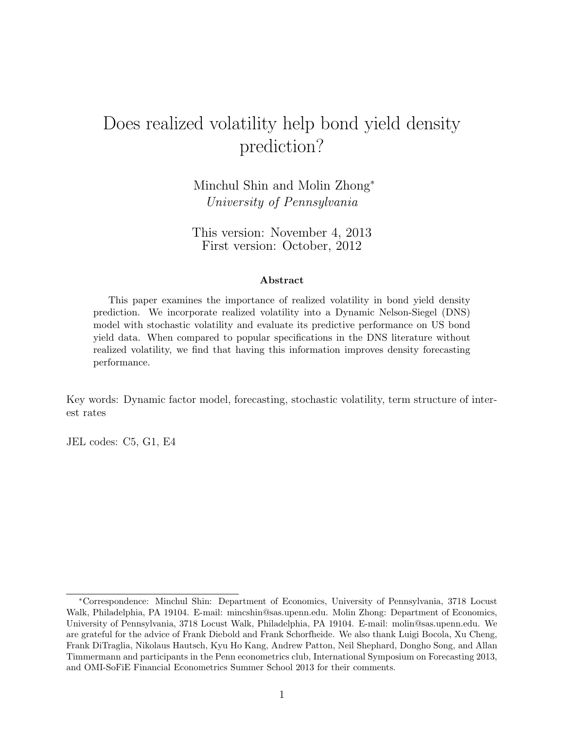# <span id="page-0-0"></span>Does realized volatility help bond yield density prediction?

Minchul Shin and Molin Zhong<sup>∗</sup> University of Pennsylvania

This version: November 4, 2013 First version: October, 2012

#### Abstract

This paper examines the importance of realized volatility in bond yield density prediction. We incorporate realized volatility into a Dynamic Nelson-Siegel (DNS) model with stochastic volatility and evaluate its predictive performance on US bond yield data. When compared to popular specifications in the DNS literature without realized volatility, we find that having this information improves density forecasting performance.

Key words: Dynamic factor model, forecasting, stochastic volatility, term structure of interest rates

JEL codes: C5, G1, E4

<sup>∗</sup>Correspondence: Minchul Shin: Department of Economics, University of Pennsylvania, 3718 Locust Walk, Philadelphia, PA 19104. E-mail: mincshin@sas.upenn.edu. Molin Zhong: Department of Economics, University of Pennsylvania, 3718 Locust Walk, Philadelphia, PA 19104. E-mail: molin@sas.upenn.edu. We are grateful for the advice of Frank Diebold and Frank Schorfheide. We also thank Luigi Bocola, Xu Cheng, Frank DiTraglia, Nikolaus Hautsch, Kyu Ho Kang, Andrew Patton, Neil Shephard, Dongho Song, and Allan Timmermann and participants in the Penn econometrics club, International Symposium on Forecasting 2013, and OMI-SoFiE Financial Econometrics Summer School 2013 for their comments.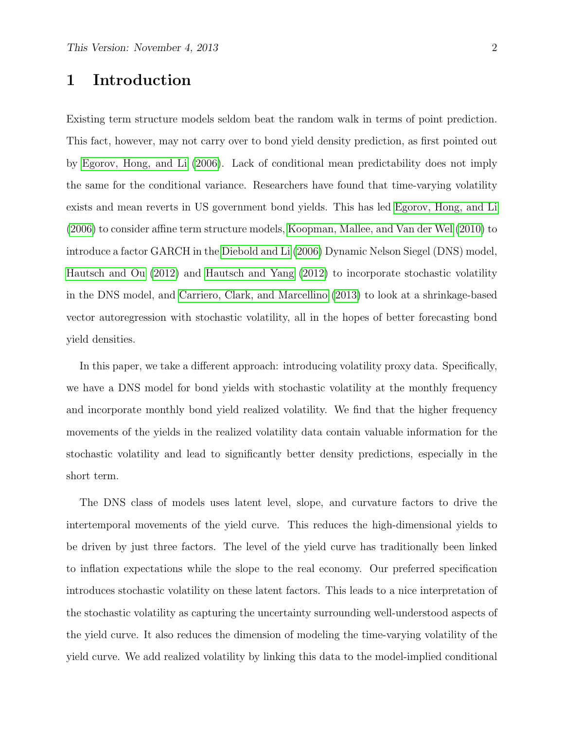# 1 Introduction

Existing term structure models seldom beat the random walk in terms of point prediction. This fact, however, may not carry over to bond yield density prediction, as first pointed out by [Egorov, Hong, and Li](#page-28-0) [\(2006\)](#page-28-0). Lack of conditional mean predictability does not imply the same for the conditional variance. Researchers have found that time-varying volatility exists and mean reverts in US government bond yields. This has led [Egorov, Hong, and Li](#page-28-0) [\(2006\)](#page-28-0) to consider affine term structure models, [Koopman, Mallee, and Van der Wel](#page-28-1) [\(2010\)](#page-28-1) to introduce a factor GARCH in the [Diebold and Li](#page-27-0) [\(2006\)](#page-27-0) Dynamic Nelson Siegel (DNS) model, [Hautsch and Ou](#page-28-2) [\(2012\)](#page-28-2) and [Hautsch and Yang](#page-28-3) [\(2012\)](#page-28-3) to incorporate stochastic volatility in the DNS model, and [Carriero, Clark, and Marcellino](#page-27-1) [\(2013\)](#page-27-1) to look at a shrinkage-based vector autoregression with stochastic volatility, all in the hopes of better forecasting bond yield densities.

In this paper, we take a different approach: introducing volatility proxy data. Specifically, we have a DNS model for bond yields with stochastic volatility at the monthly frequency and incorporate monthly bond yield realized volatility. We find that the higher frequency movements of the yields in the realized volatility data contain valuable information for the stochastic volatility and lead to significantly better density predictions, especially in the short term.

The DNS class of models uses latent level, slope, and curvature factors to drive the intertemporal movements of the yield curve. This reduces the high-dimensional yields to be driven by just three factors. The level of the yield curve has traditionally been linked to inflation expectations while the slope to the real economy. Our preferred specification introduces stochastic volatility on these latent factors. This leads to a nice interpretation of the stochastic volatility as capturing the uncertainty surrounding well-understood aspects of the yield curve. It also reduces the dimension of modeling the time-varying volatility of the yield curve. We add realized volatility by linking this data to the model-implied conditional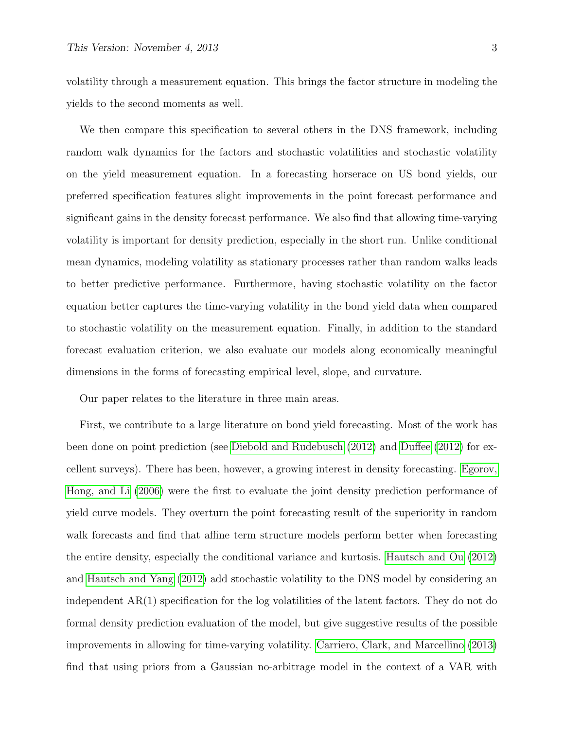volatility through a measurement equation. This brings the factor structure in modeling the yields to the second moments as well.

We then compare this specification to several others in the DNS framework, including random walk dynamics for the factors and stochastic volatilities and stochastic volatility on the yield measurement equation. In a forecasting horserace on US bond yields, our preferred specification features slight improvements in the point forecast performance and significant gains in the density forecast performance. We also find that allowing time-varying volatility is important for density prediction, especially in the short run. Unlike conditional mean dynamics, modeling volatility as stationary processes rather than random walks leads to better predictive performance. Furthermore, having stochastic volatility on the factor equation better captures the time-varying volatility in the bond yield data when compared to stochastic volatility on the measurement equation. Finally, in addition to the standard forecast evaluation criterion, we also evaluate our models along economically meaningful dimensions in the forms of forecasting empirical level, slope, and curvature.

Our paper relates to the literature in three main areas.

First, we contribute to a large literature on bond yield forecasting. Most of the work has been done on point prediction (see [Diebold and Rudebusch](#page-27-2) [\(2012\)](#page-27-2) and [Duffee](#page-28-4) [\(2012\)](#page-28-4) for excellent surveys). There has been, however, a growing interest in density forecasting. [Egorov,](#page-28-0) [Hong, and Li](#page-28-0) [\(2006\)](#page-28-0) were the first to evaluate the joint density prediction performance of yield curve models. They overturn the point forecasting result of the superiority in random walk forecasts and find that affine term structure models perform better when forecasting the entire density, especially the conditional variance and kurtosis. [Hautsch and Ou](#page-28-2) [\(2012\)](#page-28-2) and [Hautsch and Yang](#page-28-3) [\(2012\)](#page-28-3) add stochastic volatility to the DNS model by considering an independent AR(1) specification for the log volatilities of the latent factors. They do not do formal density prediction evaluation of the model, but give suggestive results of the possible improvements in allowing for time-varying volatility. [Carriero, Clark, and Marcellino](#page-27-1) [\(2013\)](#page-27-1) find that using priors from a Gaussian no-arbitrage model in the context of a VAR with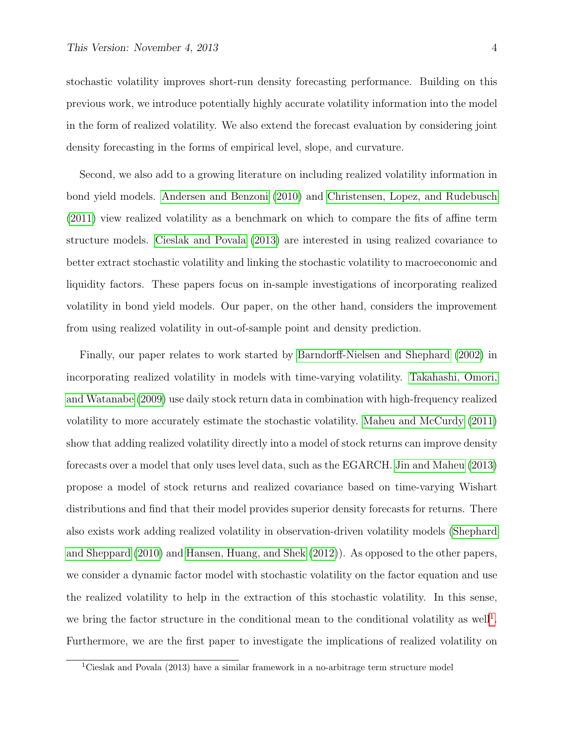stochastic volatility improves short-run density forecasting performance. Building on this previous work, we introduce potentially highly accurate volatility information into the model in the form of realized volatility. We also extend the forecast evaluation by considering joint density forecasting in the forms of empirical level, slope, and curvature.

Second, we also add to a growing literature on including realized volatility information in bond yield models. [Andersen and Benzoni](#page-27-3) [\(2010\)](#page-27-3) and [Christensen, Lopez, and Rudebusch](#page-27-4) [\(2011\)](#page-27-4) view realized volatility as a benchmark on which to compare the fits of affine term structure models. [Cieslak and Povala](#page-27-5) [\(2013\)](#page-27-5) are interested in using realized covariance to better extract stochastic volatility and linking the stochastic volatility to macroeconomic and liquidity factors. These papers focus on in-sample investigations of incorporating realized volatility in bond yield models. Our paper, on the other hand, considers the improvement from using realized volatility in out-of-sample point and density prediction.

Finally, our paper relates to work started by [Barndorff-Nielsen and Shephard](#page-27-6) [\(2002\)](#page-27-6) in incorporating realized volatility in models with time-varying volatility. [Takahashi, Omori,](#page-29-0) [and Watanabe](#page-29-0) [\(2009\)](#page-29-0) use daily stock return data in combination with high-frequency realized volatility to more accurately estimate the stochastic volatility. [Maheu and McCurdy](#page-28-5) [\(2011\)](#page-28-5) show that adding realized volatility directly into a model of stock returns can improve density forecasts over a model that only uses level data, such as the EGARCH. [Jin and Maheu](#page-28-6) [\(2013\)](#page-28-6) propose a model of stock returns and realized covariance based on time-varying Wishart distributions and find that their model provides superior density forecasts for returns. There also exists work adding realized volatility in observation-driven volatility models [\(Shephard](#page-28-7) [and Sheppard](#page-28-7) [\(2010\)](#page-28-7) and [Hansen, Huang, and Shek](#page-28-8) [\(2012\)](#page-28-8)). As opposed to the other papers, we consider a dynamic factor model with stochastic volatility on the factor equation and use the realized volatility to help in the extraction of this stochastic volatility. In this sense, we bring the factor structure in the conditional mean to the conditional volatility as well<sup>[1](#page-0-0)</sup>. Furthermore, we are the first paper to investigate the implications of realized volatility on

<sup>1</sup>Cieslak and Povala (2013) have a similar framework in a no-arbitrage term structure model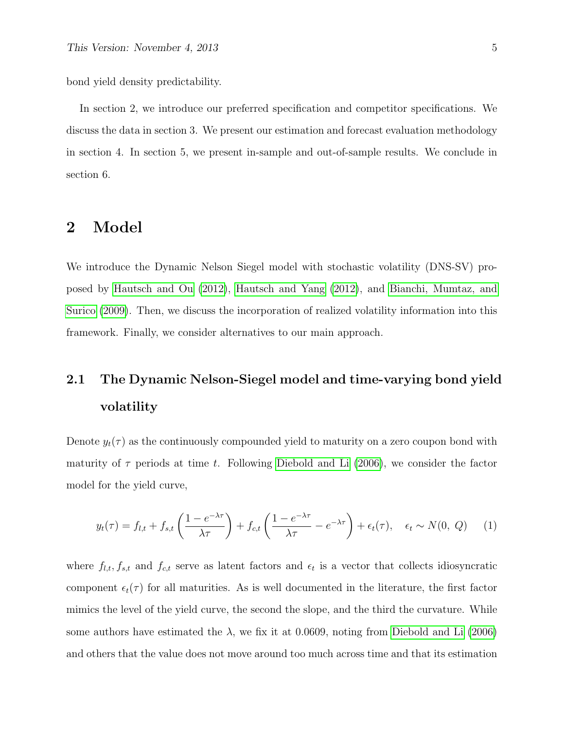bond yield density predictability.

In section 2, we introduce our preferred specification and competitor specifications. We discuss the data in section 3. We present our estimation and forecast evaluation methodology in section 4. In section 5, we present in-sample and out-of-sample results. We conclude in section 6.

## 2 Model

We introduce the Dynamic Nelson Siegel model with stochastic volatility (DNS-SV) proposed by [Hautsch and Ou](#page-28-2) [\(2012\)](#page-28-2), [Hautsch and Yang](#page-28-3) [\(2012\)](#page-28-3), and [Bianchi, Mumtaz, and](#page-27-7) [Surico](#page-27-7) [\(2009\)](#page-27-7). Then, we discuss the incorporation of realized volatility information into this framework. Finally, we consider alternatives to our main approach.

# 2.1 The Dynamic Nelson-Siegel model and time-varying bond yield volatility

Denote  $y_t(\tau)$  as the continuously compounded yield to maturity on a zero coupon bond with maturity of  $\tau$  periods at time t. Following [Diebold and Li](#page-27-0) [\(2006\)](#page-27-0), we consider the factor model for the yield curve,

<span id="page-4-0"></span>
$$
y_t(\tau) = f_{l,t} + f_{s,t} \left( \frac{1 - e^{-\lambda \tau}}{\lambda \tau} \right) + f_{c,t} \left( \frac{1 - e^{-\lambda \tau}}{\lambda \tau} - e^{-\lambda \tau} \right) + \epsilon_t(\tau), \quad \epsilon_t \sim N(0, Q) \tag{1}
$$

where  $f_{l,t}, f_{s,t}$  and  $f_{c,t}$  serve as latent factors and  $\epsilon_t$  is a vector that collects idiosyncratic component  $\epsilon_t(\tau)$  for all maturities. As is well documented in the literature, the first factor mimics the level of the yield curve, the second the slope, and the third the curvature. While some authors have estimated the  $\lambda$ , we fix it at 0.0609, noting from [Diebold and Li](#page-27-0) [\(2006\)](#page-27-0) and others that the value does not move around too much across time and that its estimation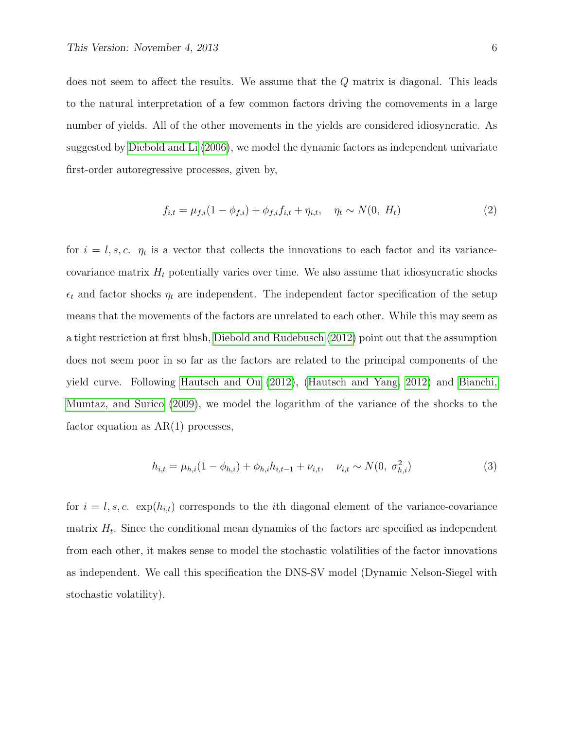does not seem to affect the results. We assume that the Q matrix is diagonal. This leads to the natural interpretation of a few common factors driving the comovements in a large number of yields. All of the other movements in the yields are considered idiosyncratic. As suggested by [Diebold and Li](#page-27-0) [\(2006\)](#page-27-0), we model the dynamic factors as independent univariate first-order autoregressive processes, given by,

$$
f_{i,t} = \mu_{f,i}(1 - \phi_{f,i}) + \phi_{f,i}f_{i,t} + \eta_{i,t}, \quad \eta_t \sim N(0, H_t)
$$
\n(2)

for  $i = l, s, c$ .  $\eta_t$  is a vector that collects the innovations to each factor and its variancecovariance matrix  $H_t$  potentially varies over time. We also assume that idiosyncratic shocks  $\epsilon_t$  and factor shocks  $\eta_t$  are independent. The independent factor specification of the setup means that the movements of the factors are unrelated to each other. While this may seem as a tight restriction at first blush, [Diebold and Rudebusch](#page-27-2) [\(2012\)](#page-27-2) point out that the assumption does not seem poor in so far as the factors are related to the principal components of the yield curve. Following [Hautsch and Ou](#page-28-2) [\(2012\)](#page-28-2), [\(Hautsch and Yang, 2012\)](#page-28-3) and [Bianchi,](#page-27-7) [Mumtaz, and Surico](#page-27-7) [\(2009\)](#page-27-7), we model the logarithm of the variance of the shocks to the factor equation as  $AR(1)$  processes,

$$
h_{i,t} = \mu_{h,i}(1 - \phi_{h,i}) + \phi_{h,i}h_{i,t-1} + \nu_{i,t}, \quad \nu_{i,t} \sim N(0, \sigma_{h,i}^2)
$$
 (3)

for  $i = l, s, c$ .  $exp(h_{i,t})$  corresponds to the *i*th diagonal element of the variance-covariance matrix  $H_t$ . Since the conditional mean dynamics of the factors are specified as independent from each other, it makes sense to model the stochastic volatilities of the factor innovations as independent. We call this specification the DNS-SV model (Dynamic Nelson-Siegel with stochastic volatility).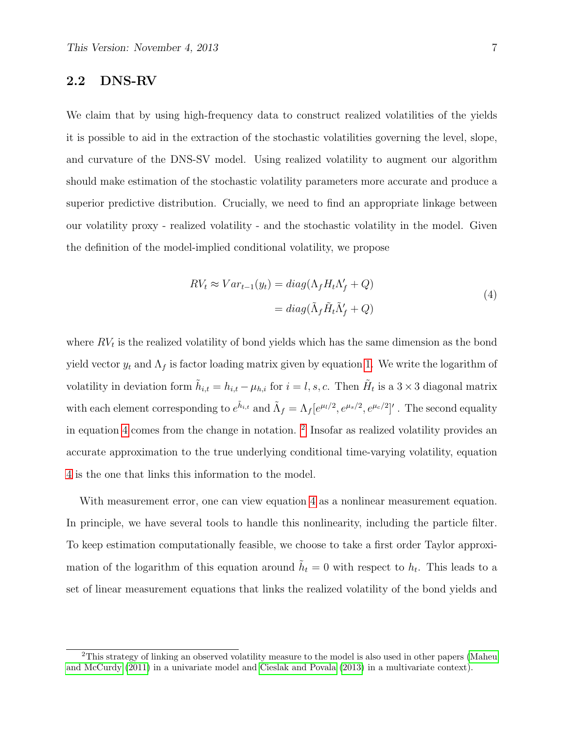#### 2.2 DNS-RV

We claim that by using high-frequency data to construct realized volatilities of the yields it is possible to aid in the extraction of the stochastic volatilities governing the level, slope, and curvature of the DNS-SV model. Using realized volatility to augment our algorithm should make estimation of the stochastic volatility parameters more accurate and produce a superior predictive distribution. Crucially, we need to find an appropriate linkage between our volatility proxy - realized volatility - and the stochastic volatility in the model. Given the definition of the model-implied conditional volatility, we propose

$$
RV_t \approx Var_{t-1}(y_t) = diag(\Lambda_f H_t \Lambda'_f + Q)
$$
  
= 
$$
diag(\tilde{\Lambda}_f \tilde{H}_t \tilde{\Lambda}'_f + Q)
$$
 (4)

<span id="page-6-0"></span>where  $RV<sub>t</sub>$  is the realized volatility of bond yields which has the same dimension as the bond yield vector  $y_t$  and  $\Lambda_f$  is factor loading matrix given by equation [1.](#page-4-0) We write the logarithm of volatility in deviation form  $\tilde{h}_{i,t} = h_{i,t} - \mu_{h,i}$  for  $i = l, s, c$ . Then  $\tilde{H}_t$  is a  $3 \times 3$  diagonal matrix with each element corresponding to  $e^{\tilde{h}_{i,t}}$  and  $\tilde{\Lambda}_f = \Lambda_f [e^{\mu_l/2}, e^{\mu_s/2}, e^{\mu_c/2}]'$ . The second equality in equation [4](#page-6-0) comes from the change in notation. <sup>[2](#page-0-0)</sup> Insofar as realized volatility provides an accurate approximation to the true underlying conditional time-varying volatility, equation [4](#page-6-0) is the one that links this information to the model.

With measurement error, one can view equation [4](#page-6-0) as a nonlinear measurement equation. In principle, we have several tools to handle this nonlinearity, including the particle filter. To keep estimation computationally feasible, we choose to take a first order Taylor approximation of the logarithm of this equation around  $\tilde{h}_t = 0$  with respect to  $h_t$ . This leads to a set of linear measurement equations that links the realized volatility of the bond yields and

<sup>&</sup>lt;sup>2</sup>This strategy of linking an observed volatility measure to the model is also used in other papers [\(Maheu](#page-28-5) [and McCurdy](#page-28-5) [\(2011\)](#page-28-5) in a univariate model and [Cieslak and Povala](#page-27-5) [\(2013\)](#page-27-5) in a multivariate context).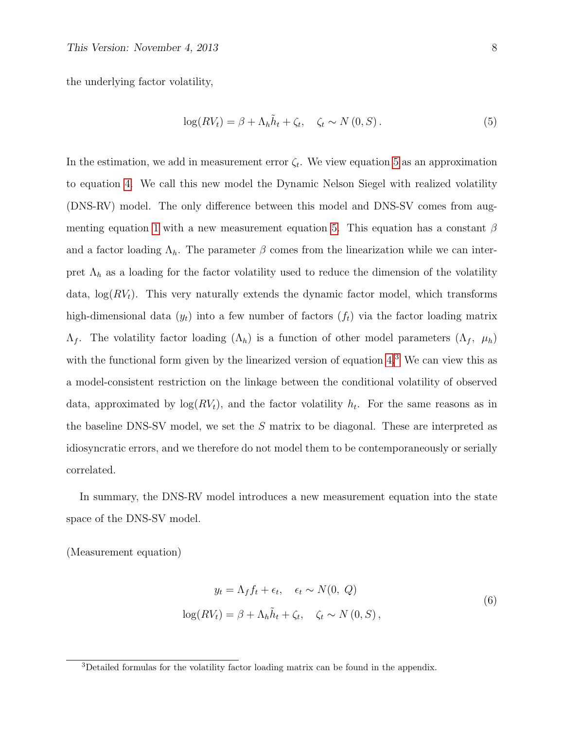the underlying factor volatility,

<span id="page-7-0"></span>
$$
\log(RV_t) = \beta + \Lambda_h \tilde{h}_t + \zeta_t, \quad \zeta_t \sim N(0, S). \tag{5}
$$

In the estimation, we add in measurement error  $\zeta_t$ . We view equation [5](#page-7-0) as an approximation to equation [4.](#page-6-0) We call this new model the Dynamic Nelson Siegel with realized volatility (DNS-RV) model. The only difference between this model and DNS-SV comes from aug-menting equation [1](#page-4-0) with a new measurement equation [5.](#page-7-0) This equation has a constant  $\beta$ and a factor loading  $\Lambda_h$ . The parameter  $\beta$  comes from the linearization while we can interpret  $\Lambda_h$  as a loading for the factor volatility used to reduce the dimension of the volatility data,  $\log(RV_t)$ . This very naturally extends the dynamic factor model, which transforms high-dimensional data  $(y_t)$  into a few number of factors  $(f_t)$  via the factor loading matrix  $\Lambda_f$ . The volatility factor loading  $(\Lambda_h)$  is a function of other model parameters  $(\Lambda_f, \mu_h)$ with the functional form given by the linearized version of equation [4.](#page-6-0)<sup>[3](#page-0-0)</sup> We can view this as a model-consistent restriction on the linkage between the conditional volatility of observed data, approximated by  $log(RV_t)$ , and the factor volatility  $h_t$ . For the same reasons as in the baseline DNS-SV model, we set the S matrix to be diagonal. These are interpreted as idiosyncratic errors, and we therefore do not model them to be contemporaneously or serially correlated.

In summary, the DNS-RV model introduces a new measurement equation into the state space of the DNS-SV model.

<span id="page-7-1"></span>(Measurement equation)

$$
y_t = \Lambda_f f_t + \epsilon_t, \quad \epsilon_t \sim N(0, Q)
$$

$$
\log(RV_t) = \beta + \Lambda_h \tilde{h}_t + \zeta_t, \quad \zeta_t \sim N(0, S),
$$

$$
(6)
$$

<sup>3</sup>Detailed formulas for the volatility factor loading matrix can be found in the appendix.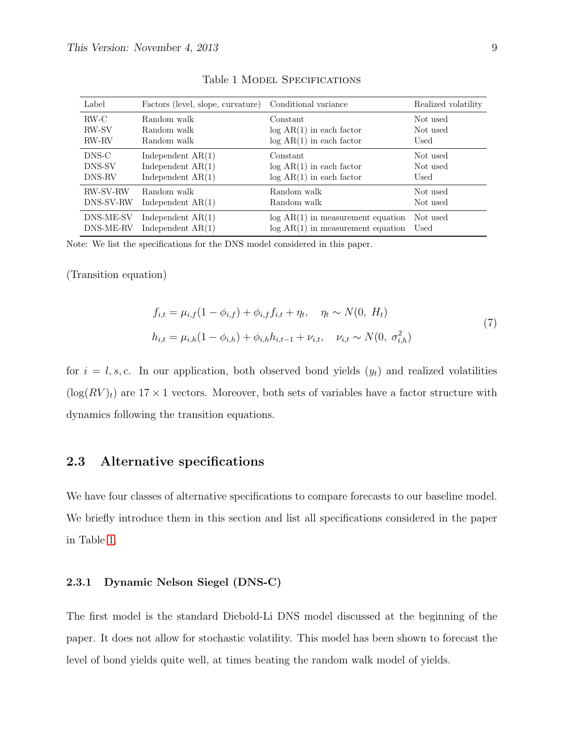<span id="page-8-0"></span>

| Label           | Factors (level, slope, curvature) Conditional variance |                                     | Realized volatility |
|-----------------|--------------------------------------------------------|-------------------------------------|---------------------|
| RW-C            | Random walk                                            | Constant                            | Not used            |
| <b>RW-SV</b>    | Random walk                                            | $log AR(1)$ in each factor          | Not used            |
| <b>RW-RV</b>    | Random walk                                            | $log AR(1)$ in each factor          | Used                |
| DNS-C           | Independent $AR(1)$                                    | Constant                            | Not used            |
| DNS-SV          | Independent $AR(1)$                                    | $log AR(1)$ in each factor          | Not used            |
| DNS-RV          | Independent $AR(1)$                                    | $log AR(1)$ in each factor          | Used                |
| <b>RW-SV-RW</b> | Random walk                                            | Random walk                         | Not used            |
| DNS-SV-RW       | Independent $AR(1)$                                    | Random walk                         | Not used            |
| DNS-ME-SV       | Independent $AR(1)$                                    | $log AR(1)$ in measurement equation | Not used            |
| DNS-ME-RV       | Independent $AR(1)$                                    | $log AR(1)$ in measurement equation | Used                |

Table 1 MODEL SPECIFICATIONS

Note: We list the specifications for the DNS model considered in this paper.

(Transition equation)

$$
f_{i,t} = \mu_{i,f}(1 - \phi_{i,f}) + \phi_{i,f}f_{i,t} + \eta_t, \quad \eta_t \sim N(0, H_t)
$$
  
\n
$$
h_{i,t} = \mu_{i,h}(1 - \phi_{i,h}) + \phi_{i,h}h_{i,t-1} + \nu_{i,t}, \quad \nu_{i,t} \sim N(0, \sigma_{i,h}^2)
$$
\n
$$
(7)
$$

for  $i = l, s, c$ . In our application, both observed bond yields  $(y_t)$  and realized volatilities  $(\log(RV)_t)$  are 17 × 1 vectors. Moreover, both sets of variables have a factor structure with dynamics following the transition equations.

#### 2.3 Alternative specifications

We have four classes of alternative specifications to compare forecasts to our baseline model. We briefly introduce them in this section and list all specifications considered in the paper in Table [1.](#page-8-0)

#### 2.3.1 Dynamic Nelson Siegel (DNS-C)

The first model is the standard Diebold-Li DNS model discussed at the beginning of the paper. It does not allow for stochastic volatility. This model has been shown to forecast the level of bond yields quite well, at times beating the random walk model of yields.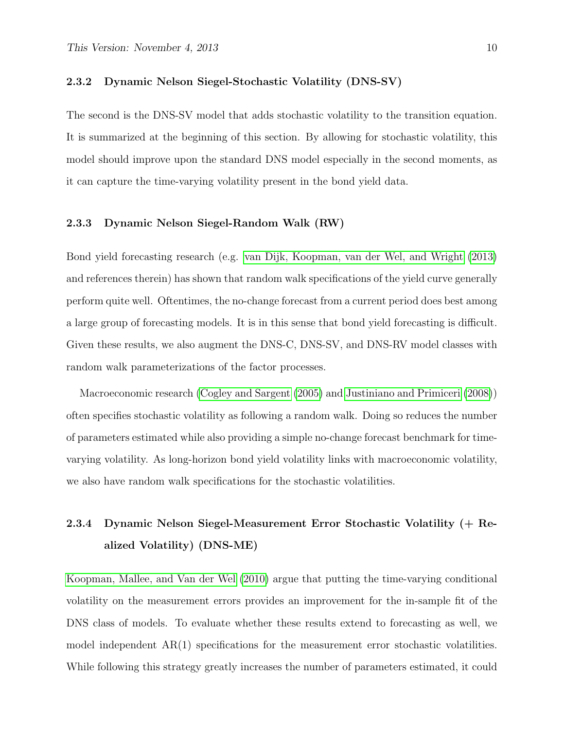#### 2.3.2 Dynamic Nelson Siegel-Stochastic Volatility (DNS-SV)

The second is the DNS-SV model that adds stochastic volatility to the transition equation. It is summarized at the beginning of this section. By allowing for stochastic volatility, this model should improve upon the standard DNS model especially in the second moments, as it can capture the time-varying volatility present in the bond yield data.

#### 2.3.3 Dynamic Nelson Siegel-Random Walk (RW)

Bond yield forecasting research (e.g. [van Dijk, Koopman, van der Wel, and Wright](#page-29-1) [\(2013\)](#page-29-1) and references therein) has shown that random walk specifications of the yield curve generally perform quite well. Oftentimes, the no-change forecast from a current period does best among a large group of forecasting models. It is in this sense that bond yield forecasting is difficult. Given these results, we also augment the DNS-C, DNS-SV, and DNS-RV model classes with random walk parameterizations of the factor processes.

Macroeconomic research [\(Cogley and Sargent](#page-27-8) [\(2005\)](#page-27-8) and [Justiniano and Primiceri](#page-28-9) [\(2008\)](#page-28-9)) often specifies stochastic volatility as following a random walk. Doing so reduces the number of parameters estimated while also providing a simple no-change forecast benchmark for timevarying volatility. As long-horizon bond yield volatility links with macroeconomic volatility, we also have random walk specifications for the stochastic volatilities.

# 2.3.4 Dynamic Nelson Siegel-Measurement Error Stochastic Volatility (+ Realized Volatility) (DNS-ME)

[Koopman, Mallee, and Van der Wel](#page-28-1) [\(2010\)](#page-28-1) argue that putting the time-varying conditional volatility on the measurement errors provides an improvement for the in-sample fit of the DNS class of models. To evaluate whether these results extend to forecasting as well, we model independent  $AR(1)$  specifications for the measurement error stochastic volatilities. While following this strategy greatly increases the number of parameters estimated, it could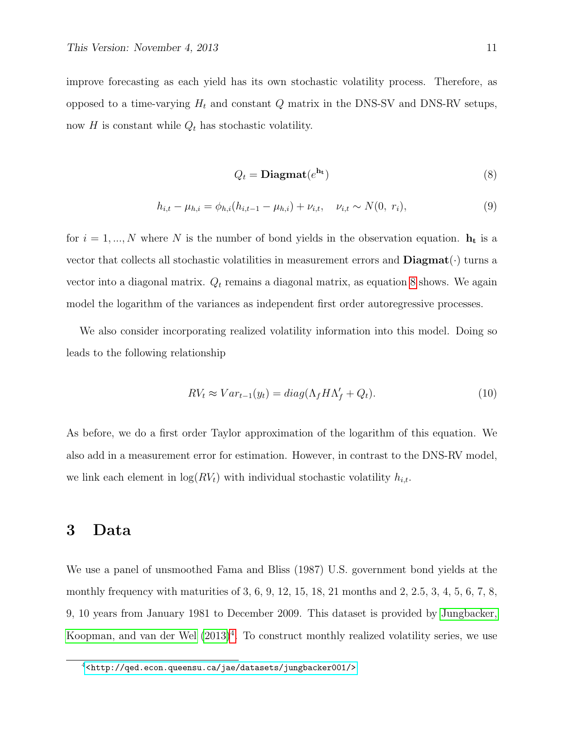improve forecasting as each yield has its own stochastic volatility process. Therefore, as opposed to a time-varying  $H_t$  and constant  $Q$  matrix in the DNS-SV and DNS-RV setups, now H is constant while  $Q_t$  has stochastic volatility.

<span id="page-10-0"></span>
$$
Q_t = \mathbf{Diagmat}(e^{\mathbf{h_t}})
$$
\n(8)

$$
h_{i,t} - \mu_{h,i} = \phi_{h,i}(h_{i,t-1} - \mu_{h,i}) + \nu_{i,t}, \quad \nu_{i,t} \sim N(0, r_i),
$$
\n(9)

for  $i = 1, ..., N$  where N is the number of bond yields in the observation equation.  $h_t$  is a vector that collects all stochastic volatilities in measurement errors and  $\mathbf{Diagramat}(\cdot)$  turns a vector into a diagonal matrix.  $Q_t$  remains a diagonal matrix, as equation [8](#page-10-0) shows. We again model the logarithm of the variances as independent first order autoregressive processes.

We also consider incorporating realized volatility information into this model. Doing so leads to the following relationship

$$
RV_t \approx Var_{t-1}(y_t) = diag(\Lambda_f H \Lambda'_f + Q_t).
$$
\n(10)

As before, we do a first order Taylor approximation of the logarithm of this equation. We also add in a measurement error for estimation. However, in contrast to the DNS-RV model, we link each element in  $log(RV_t)$  with individual stochastic volatility  $h_{i,t}$ .

# 3 Data

We use a panel of unsmoothed Fama and Bliss (1987) U.S. government bond yields at the monthly frequency with maturities of 3, 6, 9, 12, 15, 18, 21 months and 2, 2.5, 3, 4, 5, 6, 7, 8, 9, 10 years from January 1981 to December 2009. This dataset is provided by [Jungbacker,](#page-28-10) [Koopman, and van der Wel](#page-28-10)  $(2013)^4$  $(2013)^4$  $(2013)^4$ . To construct monthly realized volatility series, we use

<sup>4</sup><<http://qed.econ.queensu.ca/jae/datasets/jungbacker001/>>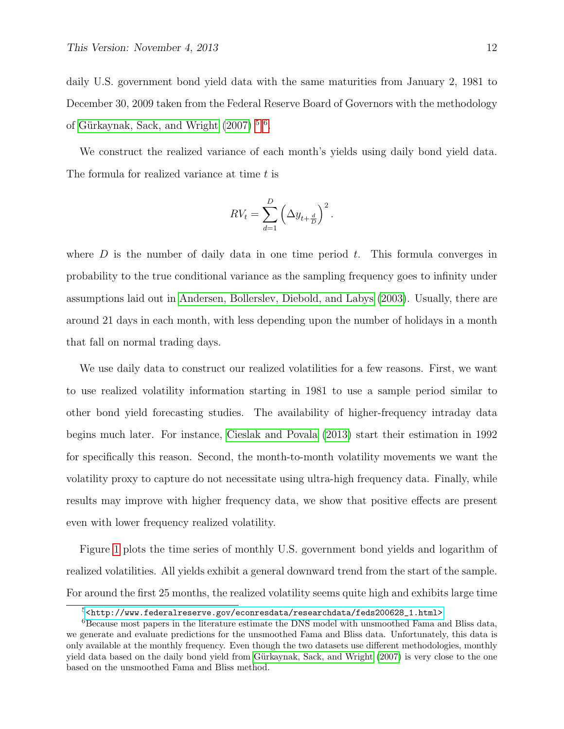daily U.S. government bond yield data with the same maturities from January 2, 1981 to December 30, 2009 taken from the Federal Reserve Board of Governors with the methodology of Gürkaynak, Sack, and Wright  $(2007)^{5.6}$  $(2007)^{5.6}$ .

We construct the realized variance of each month's yields using daily bond yield data. The formula for realized variance at time t is

$$
RV_t = \sum_{d=1}^{D} \left( \Delta y_{t + \frac{d}{D}} \right)^2.
$$

where  $D$  is the number of daily data in one time period  $t$ . This formula converges in probability to the true conditional variance as the sampling frequency goes to infinity under assumptions laid out in [Andersen, Bollerslev, Diebold, and Labys](#page-27-9) [\(2003\)](#page-27-9). Usually, there are around 21 days in each month, with less depending upon the number of holidays in a month that fall on normal trading days.

We use daily data to construct our realized volatilities for a few reasons. First, we want to use realized volatility information starting in 1981 to use a sample period similar to other bond yield forecasting studies. The availability of higher-frequency intraday data begins much later. For instance, [Cieslak and Povala](#page-27-5) [\(2013\)](#page-27-5) start their estimation in 1992 for specifically this reason. Second, the month-to-month volatility movements we want the volatility proxy to capture do not necessitate using ultra-high frequency data. Finally, while results may improve with higher frequency data, we show that positive effects are present even with lower frequency realized volatility.

Figure [1](#page-12-0) plots the time series of monthly U.S. government bond yields and logarithm of realized volatilities. All yields exhibit a general downward trend from the start of the sample. For around the first 25 months, the realized volatility seems quite high and exhibits large time

<sup>5</sup>[<http://www.federalreserve.gov/econresdata/researchdata/feds200628\\_1.html>](<http://www.federalreserve.gov/econresdata/researchdata/feds200628_1.html>)

<sup>6</sup>Because most papers in the literature estimate the DNS model with unsmoothed Fama and Bliss data, we generate and evaluate predictions for the unsmoothed Fama and Bliss data. Unfortunately, this data is only available at the monthly frequency. Even though the two datasets use different methodologies, monthly yield data based on the daily bond yield from Gürkaynak, Sack, and Wright [\(2007\)](#page-28-11) is very close to the one based on the unsmoothed Fama and Bliss method.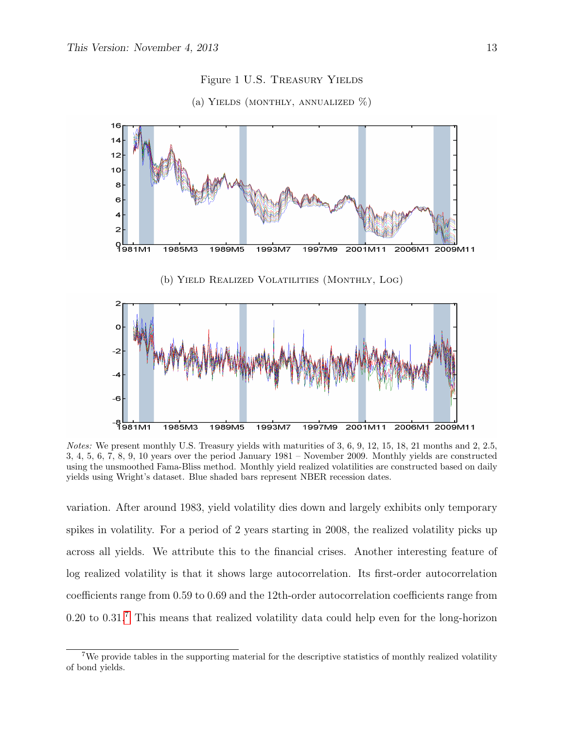<span id="page-12-0"></span>

Figure 1 U.S. Treasury Yields



(a) YIELDS (MONTHLY, ANNUALIZED  $\%$ )

Notes: We present monthly U.S. Treasury yields with maturities of 3, 6, 9, 12, 15, 18, 21 months and 2, 2.5, 3, 4, 5, 6, 7, 8, 9, 10 years over the period January 1981 – November 2009. Monthly yields are constructed using the unsmoothed Fama-Bliss method. Monthly yield realized volatilities are constructed based on daily yields using Wright's dataset. Blue shaded bars represent NBER recession dates.

variation. After around 1983, yield volatility dies down and largely exhibits only temporary spikes in volatility. For a period of 2 years starting in 2008, the realized volatility picks up across all yields. We attribute this to the financial crises. Another interesting feature of log realized volatility is that it shows large autocorrelation. Its first-order autocorrelation coefficients range from 0.59 to 0.69 and the 12th-order autocorrelation coefficients range from 0.20 to 0.31.<sup>[7](#page-0-0)</sup> This means that realized volatility data could help even for the long-horizon

<sup>&</sup>lt;sup>7</sup>We provide tables in the supporting material for the descriptive statistics of monthly realized volatility of bond yields.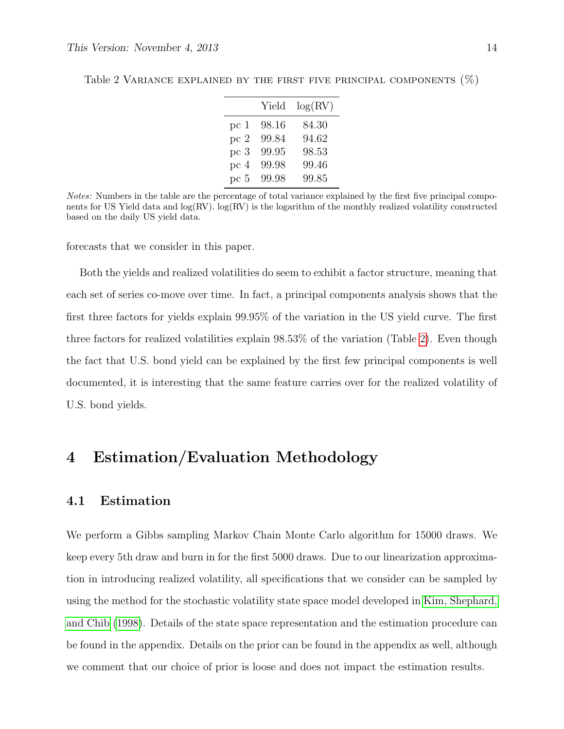|                 | Yield | log(RV) |
|-----------------|-------|---------|
| pc <sub>1</sub> | 98.16 | 84.30   |
| pc 2            | 99.84 | 94.62   |
| pc <sub>3</sub> | 99.95 | 98.53   |
| pc 4            | 99.98 | 99.46   |
| pc 5            | 99.98 | 99.85   |

<span id="page-13-0"></span>Table 2 VARIANCE EXPLAINED BY THE FIRST FIVE PRINCIPAL COMPONENTS  $(\%)$ 

Notes: Numbers in the table are the percentage of total variance explained by the first five principal components for US Yield data and  $log(RV)$ .  $log(RV)$  is the logarithm of the monthly realized volatility constructed based on the daily US yield data.

forecasts that we consider in this paper.

Both the yields and realized volatilities do seem to exhibit a factor structure, meaning that each set of series co-move over time. In fact, a principal components analysis shows that the first three factors for yields explain 99.95% of the variation in the US yield curve. The first three factors for realized volatilities explain 98.53% of the variation (Table [2\)](#page-13-0). Even though the fact that U.S. bond yield can be explained by the first few principal components is well documented, it is interesting that the same feature carries over for the realized volatility of U.S. bond yields.

# 4 Estimation/Evaluation Methodology

#### 4.1 Estimation

We perform a Gibbs sampling Markov Chain Monte Carlo algorithm for 15000 draws. We keep every 5th draw and burn in for the first 5000 draws. Due to our linearization approximation in introducing realized volatility, all specifications that we consider can be sampled by using the method for the stochastic volatility state space model developed in [Kim, Shephard,](#page-28-12) [and Chib](#page-28-12) [\(1998\)](#page-28-12). Details of the state space representation and the estimation procedure can be found in the appendix. Details on the prior can be found in the appendix as well, although we comment that our choice of prior is loose and does not impact the estimation results.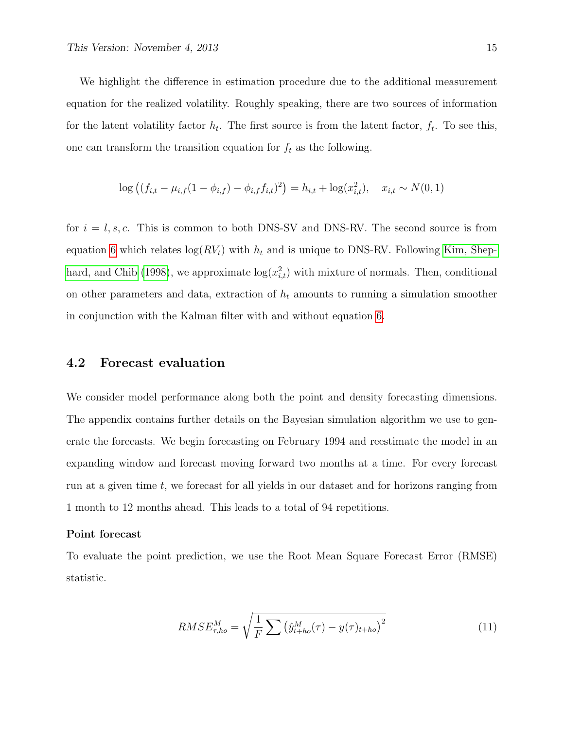We highlight the difference in estimation procedure due to the additional measurement equation for the realized volatility. Roughly speaking, there are two sources of information for the latent volatility factor  $h_t$ . The first source is from the latent factor,  $f_t$ . To see this, one can transform the transition equation for  $f_t$  as the following.

$$
\log ((f_{i,t} - \mu_{i,f}(1 - \phi_{i,f}) - \phi_{i,f}f_{i,t})^2) = h_{i,t} + \log(x_{i,t}^2), \quad x_{i,t} \sim N(0,1)
$$

for  $i = l, s, c$ . This is common to both DNS-SV and DNS-RV. The second source is from equation [6](#page-7-1) which relates  $log(RV_t)$  with  $h_t$  and is unique to DNS-RV. Following [Kim, Shep](#page-28-12)[hard, and Chib](#page-28-12) [\(1998\)](#page-28-12), we approximate  $log(x_{i,t}^2)$  with mixture of normals. Then, conditional on other parameters and data, extraction of  $h_t$  amounts to running a simulation smoother in conjunction with the Kalman filter with and without equation [6.](#page-7-1)

#### 4.2 Forecast evaluation

We consider model performance along both the point and density forecasting dimensions. The appendix contains further details on the Bayesian simulation algorithm we use to generate the forecasts. We begin forecasting on February 1994 and reestimate the model in an expanding window and forecast moving forward two months at a time. For every forecast run at a given time  $t$ , we forecast for all yields in our dataset and for horizons ranging from 1 month to 12 months ahead. This leads to a total of 94 repetitions.

#### Point forecast

To evaluate the point prediction, we use the Root Mean Square Forecast Error (RMSE) statistic.

<span id="page-14-0"></span>
$$
RMSE_{\tau,ho}^{M} = \sqrt{\frac{1}{F} \sum (\hat{y}_{t+ho}^{M}(\tau) - y(\tau)_{t+ho})^{2}}
$$
(11)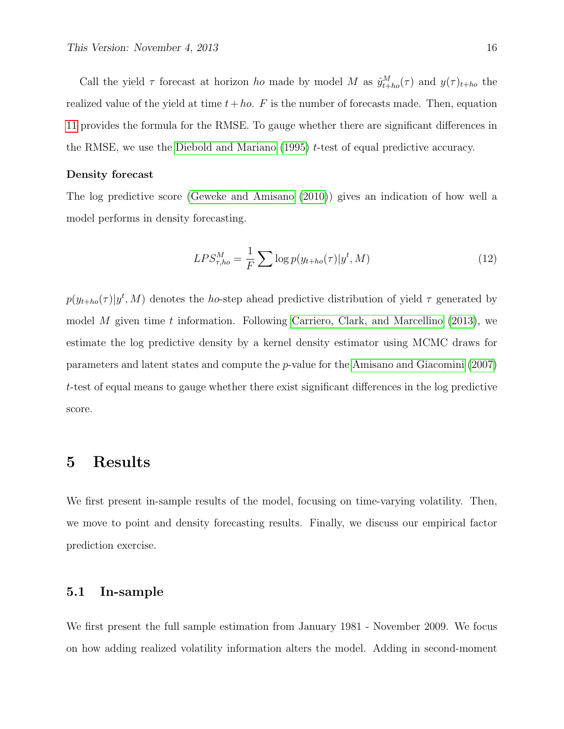Call the yield  $\tau$  forecast at horizon ho made by model M as  $\hat{y}_{t+ho}^{M}(\tau)$  and  $y(\tau)_{t+ho}$  the realized value of the yield at time  $t+ho$ . F is the number of forecasts made. Then, equation [11](#page-14-0) provides the formula for the RMSE. To gauge whether there are significant differences in the RMSE, we use the [Diebold and Mariano](#page-27-10)  $(1995)$  t-test of equal predictive accuracy.

#### Density forecast

The log predictive score [\(Geweke and Amisano](#page-28-13) [\(2010\)](#page-28-13)) gives an indication of how well a model performs in density forecasting.

$$
LPS_{\tau,ho}^M = \frac{1}{F} \sum \log p(y_{t+ho}(\tau)|y^t, M)
$$
\n(12)

 $p(y_{t+ho}(\tau)|y^t, M)$  denotes the ho-step ahead predictive distribution of yield  $\tau$  generated by model M given time t information. Following [Carriero, Clark, and Marcellino](#page-27-1)  $(2013)$ , we estimate the log predictive density by a kernel density estimator using MCMC draws for parameters and latent states and compute the p-value for the [Amisano and Giacomini](#page-27-11) [\(2007\)](#page-27-11) t-test of equal means to gauge whether there exist significant differences in the log predictive score.

## 5 Results

We first present in-sample results of the model, focusing on time-varying volatility. Then, we move to point and density forecasting results. Finally, we discuss our empirical factor prediction exercise.

#### 5.1 In-sample

We first present the full sample estimation from January 1981 - November 2009. We focus on how adding realized volatility information alters the model. Adding in second-moment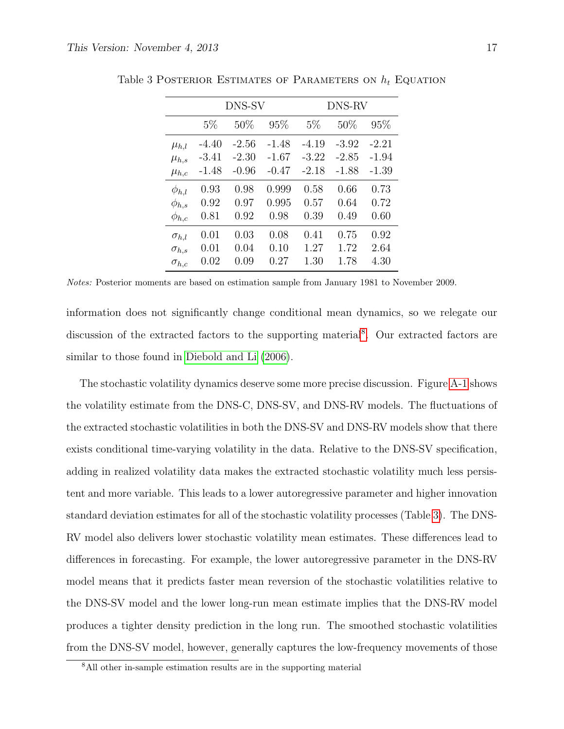|                |         | DNS-SV  |         | DNS-RV  |         |         |  |  |
|----------------|---------|---------|---------|---------|---------|---------|--|--|
|                | $5\%$   | 50%     | 95%     | $5\%$   | 50%     | 95%     |  |  |
| $\mu_{h,l}$    | $-4.40$ | $-2.56$ | -1.48   | $-4.19$ | $-3.92$ | $-2.21$ |  |  |
| $\mu_{h,s}$    | $-3.41$ | $-2.30$ | $-1.67$ | $-3.22$ | $-2.85$ | $-1.94$ |  |  |
| $\mu_{h,c}$    | $-1.48$ | $-0.96$ | $-0.47$ | $-2.18$ | $-1.88$ | $-1.39$ |  |  |
| $\phi_{h,l}$   | 0.93    | 0.98    | 0.999   | 0.58    | 0.66    | 0.73    |  |  |
| $\phi_{h,s}$   | 0.92    | 0.97    | 0.995   | 0.57    | 0.64    | 0.72    |  |  |
| $\phi_{h,c}$   | 0.81    | 0.92    | 0.98    | 0.39    | 0.49    | 0.60    |  |  |
| $\sigma_{h.l}$ | 0.01    | 0.03    | 0.08    | 0.41    | 0.75    | 0.92    |  |  |
| $\sigma_{h,s}$ | 0.01    | 0.04    | 0.10    | 1.27    | 1.72    | 2.64    |  |  |
| $\sigma_{h,c}$ | 0.02    | 0.09    | 0.27    | 1.30    | 1.78    | 4.30    |  |  |
|                |         |         |         |         |         |         |  |  |

<span id="page-16-0"></span>Table 3 POSTERIOR ESTIMATES OF PARAMETERS ON  $h_t$  EQUATION

Notes: Posterior moments are based on estimation sample from January 1981 to November 2009.

information does not significantly change conditional mean dynamics, so we relegate our discussion of the extracted factors to the supporting material<sup>[8](#page-0-0)</sup>. Our extracted factors are similar to those found in [Diebold and Li](#page-27-0) [\(2006\)](#page-27-0).

The stochastic volatility dynamics deserve some more precise discussion. Figure [A-1](#page-44-0) shows the volatility estimate from the DNS-C, DNS-SV, and DNS-RV models. The fluctuations of the extracted stochastic volatilities in both the DNS-SV and DNS-RV models show that there exists conditional time-varying volatility in the data. Relative to the DNS-SV specification, adding in realized volatility data makes the extracted stochastic volatility much less persistent and more variable. This leads to a lower autoregressive parameter and higher innovation standard deviation estimates for all of the stochastic volatility processes (Table [3\)](#page-16-0). The DNS-RV model also delivers lower stochastic volatility mean estimates. These differences lead to differences in forecasting. For example, the lower autoregressive parameter in the DNS-RV model means that it predicts faster mean reversion of the stochastic volatilities relative to the DNS-SV model and the lower long-run mean estimate implies that the DNS-RV model produces a tighter density prediction in the long run. The smoothed stochastic volatilities from the DNS-SV model, however, generally captures the low-frequency movements of those

<sup>8</sup>All other in-sample estimation results are in the supporting material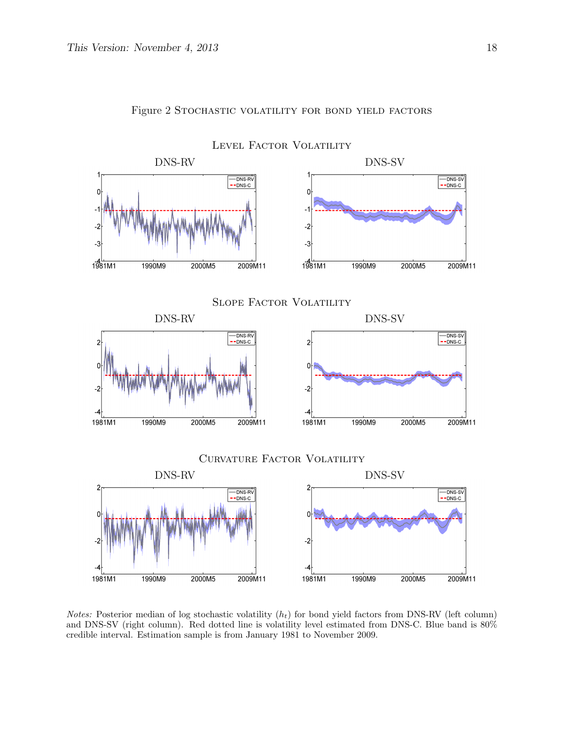

#### Figure 2 STOCHASTIC VOLATILITY FOR BOND YIELD FACTORS

*Notes:* Posterior median of log stochastic volatility  $(h_t)$  for bond yield factors from DNS-RV (left column) and DNS-SV (right column). Red dotted line is volatility level estimated from DNS-C. Blue band is 80% credible interval. Estimation sample is from January 1981 to November 2009.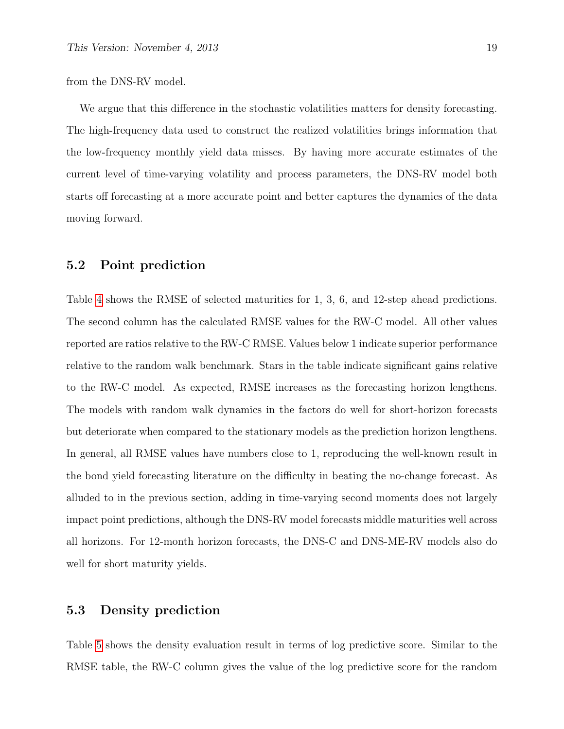from the DNS-RV model.

We argue that this difference in the stochastic volatilities matters for density forecasting. The high-frequency data used to construct the realized volatilities brings information that the low-frequency monthly yield data misses. By having more accurate estimates of the current level of time-varying volatility and process parameters, the DNS-RV model both starts off forecasting at a more accurate point and better captures the dynamics of the data moving forward.

#### 5.2 Point prediction

Table [4](#page-19-0) shows the RMSE of selected maturities for 1, 3, 6, and 12-step ahead predictions. The second column has the calculated RMSE values for the RW-C model. All other values reported are ratios relative to the RW-C RMSE. Values below 1 indicate superior performance relative to the random walk benchmark. Stars in the table indicate significant gains relative to the RW-C model. As expected, RMSE increases as the forecasting horizon lengthens. The models with random walk dynamics in the factors do well for short-horizon forecasts but deteriorate when compared to the stationary models as the prediction horizon lengthens. In general, all RMSE values have numbers close to 1, reproducing the well-known result in the bond yield forecasting literature on the difficulty in beating the no-change forecast. As alluded to in the previous section, adding in time-varying second moments does not largely impact point predictions, although the DNS-RV model forecasts middle maturities well across all horizons. For 12-month horizon forecasts, the DNS-C and DNS-ME-RV models also do well for short maturity yields.

#### 5.3 Density prediction

Table [5](#page-20-0) shows the density evaluation result in terms of log predictive score. Similar to the RMSE table, the RW-C column gives the value of the log predictive score for the random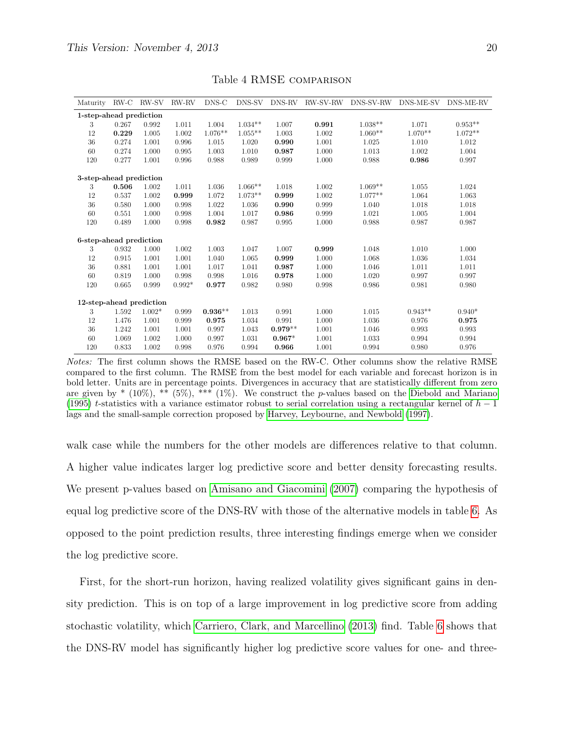<span id="page-19-0"></span>

| Maturity                 | RW-C  | RW-SV    | RW-RV    | DNS-C     | DNS-SV    | DNS-RV    | <b>RW-SV-RW</b> | DNS-SV-RW | DNS-ME-SV | DNS-ME-RV |
|--------------------------|-------|----------|----------|-----------|-----------|-----------|-----------------|-----------|-----------|-----------|
| 1-step-ahead prediction  |       |          |          |           |           |           |                 |           |           |           |
| 3                        | 0.267 | 0.992    | 1.011    | 1.004     | $1.034**$ | 1.007     | 0.991           | $1.038**$ | 1.071     | $0.953**$ |
| 12                       | 0.229 | 1.005    | 1.002    | $1.076**$ | $1.055**$ | 1.003     | 1.002           | $1.060**$ | $1.070**$ | $1.072**$ |
| 36                       | 0.274 | 1.001    | 0.996    | 1.015     | 1.020     | 0.990     | 1.001           | 1.025     | 1.010     | 1.012     |
| 60                       | 0.274 | 1.000    | 0.995    | 1.003     | 1.010     | 0.987     | 1.000           | 1.013     | 1.002     | 1.004     |
| 120                      | 0.277 | 1.001    | 0.996    | 0.988     | 0.989     | 0.999     | 1.000           | 0.988     | 0.986     | 0.997     |
| 3-step-ahead prediction  |       |          |          |           |           |           |                 |           |           |           |
| 3                        | 0.506 | 1.002    | 1.011    | 1.036     | $1.066**$ | 1.018     | 1.002           | $1.069**$ | 1.055     | 1.024     |
| 12                       | 0.537 | 1.002    | 0.999    | 1.072     | $1.073**$ | 0.999     | 1.002           | $1.077**$ | 1.064     | 1.063     |
| 36                       | 0.580 | 1.000    | 0.998    | 1.022     | 1.036     | 0.990     | 0.999           | 1.040     | 1.018     | 1.018     |
| 60                       | 0.551 | 1.000    | 0.998    | 1.004     | 1.017     | 0.986     | 0.999           | 1.021     | 1.005     | 1.004     |
| 120                      | 0.489 | 1.000    | 0.998    | 0.982     | 0.987     | 0.995     | 1.000           | 0.988     | 0.987     | 0.987     |
| 6-step-ahead prediction  |       |          |          |           |           |           |                 |           |           |           |
| 3                        | 0.932 | 1.000    | 1.002    | 1.003     | 1.047     | 1.007     | 0.999           | 1.048     | 1.010     | 1.000     |
| 12                       | 0.915 | 1.001    | 1.001    | 1.040     | 1.065     | 0.999     | 1.000           | 1.068     | 1.036     | 1.034     |
| 36                       | 0.881 | 1.001    | 1.001    | 1.017     | 1.041     | 0.987     | 1.000           | 1.046     | 1.011     | 1.011     |
| 60                       | 0.819 | 1.000    | 0.998    | 0.998     | 1.016     | 0.978     | 1.000           | 1.020     | 0.997     | 0.997     |
| 120                      | 0.665 | 0.999    | $0.992*$ | 0.977     | 0.982     | 0.980     | 0.998           | 0.986     | 0.981     | 0.980     |
| 12-step-ahead prediction |       |          |          |           |           |           |                 |           |           |           |
| 3                        | 1.592 | $1.002*$ | 0.999    | $0.936**$ | 1.013     | 0.991     | 1.000           | 1.015     | $0.943**$ | $0.940*$  |
| 12                       | 1.476 | 1.001    | 0.999    | 0.975     | 1.034     | 0.991     | 1.000           | 1.036     | 0.976     | 0.975     |
| 36                       | 1.242 | 1.001    | 1.001    | 0.997     | 1.043     | $0.979**$ | 1.001           | 1.046     | 0.993     | 0.993     |
| 60                       | 1.069 | 1.002    | 1.000    | 0.997     | 1.031     | $0.967*$  | 1.001           | 1.033     | 0.994     | 0.994     |
| 120                      | 0.833 | 1.002    | 0.998    | 0.976     | 0.994     | 0.966     | 1.001           | 0.994     | 0.980     | 0.976     |

Table 4 RMSE comparison

Notes: The first column shows the RMSE based on the RW-C. Other columns show the relative RMSE compared to the first column. The RMSE from the best model for each variable and forecast horizon is in bold letter. Units are in percentage points. Divergences in accuracy that are statistically different from zero are given by  $*(10\%),$  \*\*  $(5\%),$  \*\*\*  $(1\%)$ . We construct the p-values based on the [Diebold and Mariano](#page-27-10) [\(1995\)](#page-27-10) t-statistics with a variance estimator robust to serial correlation using a rectangular kernel of  $h-1$ lags and the small-sample correction proposed by [Harvey, Leybourne, and Newbold](#page-28-14) [\(1997\)](#page-28-14).

walk case while the numbers for the other models are differences relative to that column. A higher value indicates larger log predictive score and better density forecasting results. We present p-values based on [Amisano and Giacomini](#page-27-11) [\(2007\)](#page-27-11) comparing the hypothesis of equal log predictive score of the DNS-RV with those of the alternative models in table [6.](#page-21-0) As opposed to the point prediction results, three interesting findings emerge when we consider the log predictive score.

First, for the short-run horizon, having realized volatility gives significant gains in density prediction. This is on top of a large improvement in log predictive score from adding stochastic volatility, which [Carriero, Clark, and Marcellino](#page-27-1) [\(2013\)](#page-27-1) find. Table [6](#page-21-0) shows that the DNS-RV model has significantly higher log predictive score values for one- and three-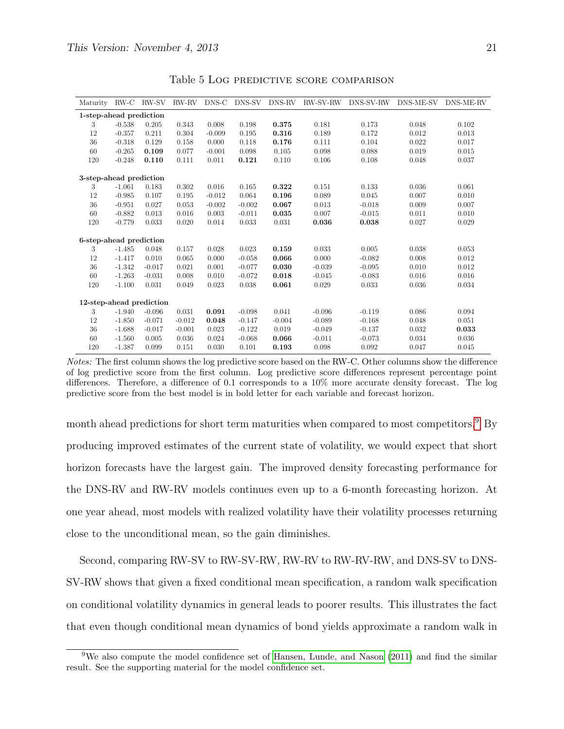<span id="page-20-0"></span>

| Maturity                 | RW-C     | RW-SV    | RW-RV    | $DNS-C$  | DNS-SV   | DNS-RV   | <b>RW-SV-RW</b> | DNS-SV-RW | DNS-ME-SV | DNS-ME-RV |
|--------------------------|----------|----------|----------|----------|----------|----------|-----------------|-----------|-----------|-----------|
| 1-step-ahead prediction  |          |          |          |          |          |          |                 |           |           |           |
| 3                        | $-0.538$ | 0.205    | 0.343    | 0.008    | 0.198    | 0.375    | 0.181           | 0.173     | 0.048     | 0.102     |
| 12                       | $-0.357$ | 0.211    | 0.304    | $-0.009$ | 0.195    | 0.316    | 0.189           | 0.172     | 0.012     | 0.013     |
| 36                       | $-0.318$ | 0.129    | 0.158    | 0.000    | 0.118    | 0.176    | 0.111           | 0.104     | 0.022     | 0.017     |
| 60                       | $-0.265$ | 0.109    | 0.077    | $-0.001$ | 0.098    | 0.105    | 0.098           | 0.088     | 0.019     | 0.015     |
| 120                      | $-0.248$ | 0.110    | 0.111    | 0.011    | 0.121    | 0.110    | 0.106           | 0.108     | 0.048     | 0.037     |
| 3-step-ahead prediction  |          |          |          |          |          |          |                 |           |           |           |
| 3                        | $-1.061$ | 0.183    | 0.302    | 0.016    | 0.165    | 0.322    | 0.151           | 0.133     | 0.036     | 0.061     |
| 12                       | $-0.985$ | 0.107    | 0.195    | $-0.012$ | 0.064    | 0.196    | 0.089           | 0.045     | 0.007     | 0.010     |
| 36                       | $-0.951$ | 0.027    | 0.053    | $-0.002$ | $-0.002$ | 0.067    | 0.013           | $-0.018$  | 0.009     | 0.007     |
| 60                       | $-0.882$ | 0.013    | 0.016    | 0.003    | $-0.011$ | 0.035    | 0.007           | $-0.015$  | 0.011     | 0.010     |
| 120                      | $-0.779$ | 0.033    | 0.020    | 0.014    | 0.033    | 0.031    | 0.036           | 0.038     | 0.027     | 0.029     |
| 6-step-ahead prediction  |          |          |          |          |          |          |                 |           |           |           |
| 3                        | $-1.485$ | 0.048    | 0.157    | 0.028    | 0.023    | 0.159    | 0.033           | 0.005     | 0.038     | 0.053     |
| 12                       | $-1.417$ | 0.010    | 0.065    | 0.000    | $-0.058$ | 0.066    | 0.000           | $-0.082$  | 0.008     | 0.012     |
| 36                       | $-1.342$ | $-0.017$ | 0.021    | 0.001    | $-0.077$ | 0.030    | $-0.039$        | $-0.095$  | 0.010     | 0.012     |
| 60                       | $-1.263$ | $-0.031$ | 0.008    | 0.010    | $-0.072$ | 0.018    | $-0.045$        | $-0.083$  | 0.016     | 0.016     |
| 120                      | $-1.100$ | 0.031    | 0.049    | 0.023    | 0.038    | 0.061    | 0.029           | 0.033     | 0.036     | 0.034     |
| 12-step-ahead prediction |          |          |          |          |          |          |                 |           |           |           |
| 3                        | $-1.940$ | $-0.096$ | 0.031    | 0.091    | $-0.098$ | 0.041    | $-0.096$        | $-0.119$  | 0.086     | 0.094     |
| 12                       | $-1.850$ | $-0.071$ | $-0.012$ | 0.048    | $-0.147$ | $-0.004$ | $-0.089$        | $-0.168$  | 0.048     | 0.051     |
| 36                       | $-1.688$ | $-0.017$ | $-0.001$ | 0.023    | $-0.122$ | 0.019    | $-0.049$        | $-0.137$  | 0.032     | 0.033     |
| 60                       | $-1.560$ | 0.005    | 0.036    | 0.024    | $-0.068$ | 0.066    | $-0.011$        | $-0.073$  | 0.034     | 0.036     |
| 120                      | $-1.387$ | 0.099    | 0.151    | 0.030    | 0.101    | 0.193    | 0.098           | 0.092     | 0.047     | 0.045     |
|                          |          |          |          |          |          |          |                 |           |           |           |

Table 5 Log predictive score comparison

Notes: The first column shows the log predictive score based on the RW-C. Other columns show the difference of log predictive score from the first column. Log predictive score differences represent percentage point differences. Therefore, a difference of 0.1 corresponds to a 10% more accurate density forecast. The log predictive score from the best model is in bold letter for each variable and forecast horizon.

month ahead predictions for short term maturities when compared to most competitors.<sup>[9](#page-0-0)</sup> By producing improved estimates of the current state of volatility, we would expect that short horizon forecasts have the largest gain. The improved density forecasting performance for the DNS-RV and RW-RV models continues even up to a 6-month forecasting horizon. At one year ahead, most models with realized volatility have their volatility processes returning close to the unconditional mean, so the gain diminishes.

Second, comparing RW-SV to RW-SV-RW, RW-RV to RW-RV-RW, and DNS-SV to DNS-SV-RW shows that given a fixed conditional mean specification, a random walk specification on conditional volatility dynamics in general leads to poorer results. This illustrates the fact that even though conditional mean dynamics of bond yields approximate a random walk in

<sup>9</sup>We also compute the model confidence set of [Hansen, Lunde, and Nason](#page-28-15) [\(2011\)](#page-28-15) and find the similar result. See the supporting material for the model confidence set.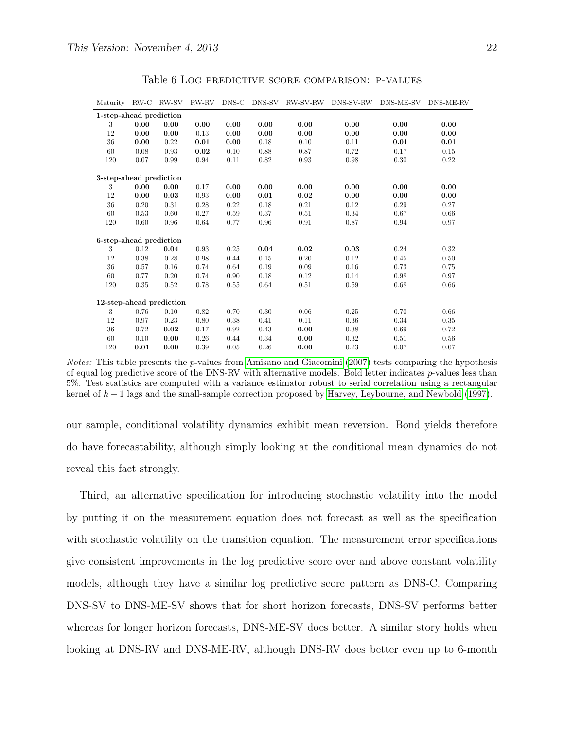<span id="page-21-0"></span>

| Maturity                 | RW-C | RW-SV | RW-RV | DNS-C | DNS-SV | <b>RW-SV-RW</b> | DNS-SV-RW | DNS-ME-SV | DNS-ME-RV |
|--------------------------|------|-------|-------|-------|--------|-----------------|-----------|-----------|-----------|
| 1-step-ahead prediction  |      |       |       |       |        |                 |           |           |           |
| 3                        | 0.00 | 0.00  | 0.00  | 0.00  | 0.00   | 0.00            | 0.00      | 0.00      | 0.00      |
| 12                       | 0.00 | 0.00  | 0.13  | 0.00  | 0.00   | 0.00            | 0.00      | 0.00      | 0.00      |
| 36                       | 0.00 | 0.22  | 0.01  | 0.00  | 0.18   | 0.10            | 0.11      | 0.01      | 0.01      |
| 60                       | 0.08 | 0.93  | 0.02  | 0.10  | 0.88   | 0.87            | 0.72      | 0.17      | 0.15      |
| 120                      | 0.07 | 0.99  | 0.94  | 0.11  | 0.82   | 0.93            | 0.98      | 0.30      | 0.22      |
| 3-step-ahead prediction  |      |       |       |       |        |                 |           |           |           |
| 3                        | 0.00 | 0.00  | 0.17  | 0.00  | 0.00   | 0.00            | 0.00      | 0.00      | 0.00      |
| 12                       | 0.00 | 0.03  | 0.93  | 0.00  | 0.01   | 0.02            | 0.00      | 0.00      | 0.00      |
| 36                       | 0.20 | 0.31  | 0.28  | 0.22  | 0.18   | 0.21            | 0.12      | 0.29      | 0.27      |
| 60                       | 0.53 | 0.60  | 0.27  | 0.59  | 0.37   | 0.51            | 0.34      | 0.67      | 0.66      |
| 120                      | 0.60 | 0.96  | 0.64  | 0.77  | 0.96   | 0.91            | 0.87      | 0.94      | 0.97      |
| 6-step-ahead prediction  |      |       |       |       |        |                 |           |           |           |
| 3                        | 0.12 | 0.04  | 0.93  | 0.25  | 0.04   | 0.02            | 0.03      | 0.24      | 0.32      |
| 12                       | 0.38 | 0.28  | 0.98  | 0.44  | 0.15   | 0.20            | 0.12      | 0.45      | 0.50      |
| 36                       | 0.57 | 0.16  | 0.74  | 0.64  | 0.19   | 0.09            | 0.16      | 0.73      | 0.75      |
| 60                       | 0.77 | 0.20  | 0.74  | 0.90  | 0.18   | 0.12            | 0.14      | 0.98      | 0.97      |
| 120                      | 0.35 | 0.52  | 0.78  | 0.55  | 0.64   | 0.51            | 0.59      | 0.68      | 0.66      |
| 12-step-ahead prediction |      |       |       |       |        |                 |           |           |           |
| 3                        | 0.76 | 0.10  | 0.82  | 0.70  | 0.30   | 0.06            | 0.25      | 0.70      | 0.66      |
| 12                       | 0.97 | 0.23  | 0.80  | 0.38  | 0.41   | 0.11            | 0.36      | 0.34      | 0.35      |
| 36                       | 0.72 | 0.02  | 0.17  | 0.92  | 0.43   | 0.00            | 0.38      | 0.69      | 0.72      |
| 60                       | 0.10 | 0.00  | 0.26  | 0.44  | 0.34   | 0.00            | 0.32      | 0.51      | 0.56      |
| 120                      | 0.01 | 0.00  | 0.39  | 0.05  | 0.26   | 0.00            | 0.23      | 0.07      | 0.07      |

Table 6 Log predictive score comparison: p-values

*Notes:* This table presents the *p*-values from [Amisano and Giacomini](#page-27-11) [\(2007\)](#page-27-11) tests comparing the hypothesis of equal log predictive score of the DNS-RV with alternative models. Bold letter indicates p-values less than 5%. Test statistics are computed with a variance estimator robust to serial correlation using a rectangular kernel of  $h-1$  lags and the small-sample correction proposed by [Harvey, Leybourne, and Newbold](#page-28-14) [\(1997\)](#page-28-14).

our sample, conditional volatility dynamics exhibit mean reversion. Bond yields therefore do have forecastability, although simply looking at the conditional mean dynamics do not reveal this fact strongly.

Third, an alternative specification for introducing stochastic volatility into the model by putting it on the measurement equation does not forecast as well as the specification with stochastic volatility on the transition equation. The measurement error specifications give consistent improvements in the log predictive score over and above constant volatility models, although they have a similar log predictive score pattern as DNS-C. Comparing DNS-SV to DNS-ME-SV shows that for short horizon forecasts, DNS-SV performs better whereas for longer horizon forecasts, DNS-ME-SV does better. A similar story holds when looking at DNS-RV and DNS-ME-RV, although DNS-RV does better even up to 6-month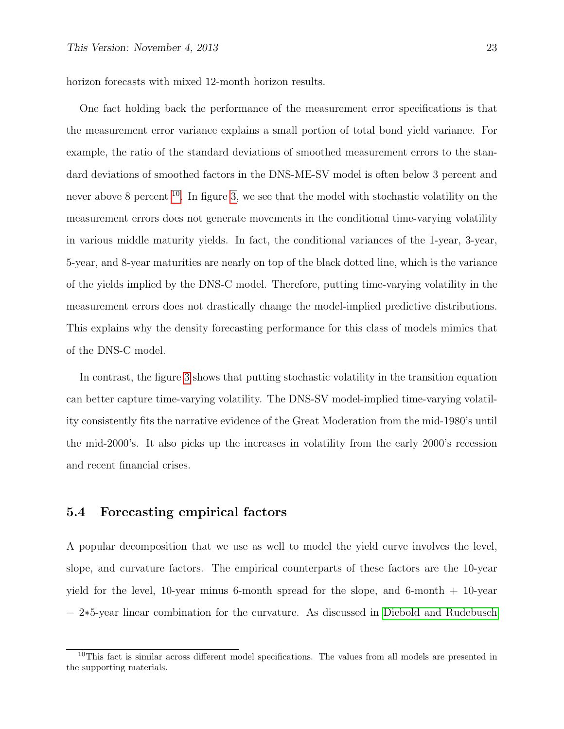horizon forecasts with mixed 12-month horizon results.

One fact holding back the performance of the measurement error specifications is that the measurement error variance explains a small portion of total bond yield variance. For example, the ratio of the standard deviations of smoothed measurement errors to the standard deviations of smoothed factors in the DNS-ME-SV model is often below 3 percent and never above 8 percent  $10$ . In figure [3,](#page-23-0) we see that the model with stochastic volatility on the measurement errors does not generate movements in the conditional time-varying volatility in various middle maturity yields. In fact, the conditional variances of the 1-year, 3-year, 5-year, and 8-year maturities are nearly on top of the black dotted line, which is the variance of the yields implied by the DNS-C model. Therefore, putting time-varying volatility in the measurement errors does not drastically change the model-implied predictive distributions. This explains why the density forecasting performance for this class of models mimics that of the DNS-C model.

In contrast, the figure [3](#page-23-0) shows that putting stochastic volatility in the transition equation can better capture time-varying volatility. The DNS-SV model-implied time-varying volatility consistently fits the narrative evidence of the Great Moderation from the mid-1980's until the mid-2000's. It also picks up the increases in volatility from the early 2000's recession and recent financial crises.

#### 5.4 Forecasting empirical factors

A popular decomposition that we use as well to model the yield curve involves the level, slope, and curvature factors. The empirical counterparts of these factors are the 10-year yield for the level, 10-year minus 6-month spread for the slope, and 6-month + 10-year − 2∗5-year linear combination for the curvature. As discussed in [Diebold and Rudebusch](#page-27-2)

<sup>&</sup>lt;sup>10</sup>This fact is similar across different model specifications. The values from all models are presented in the supporting materials.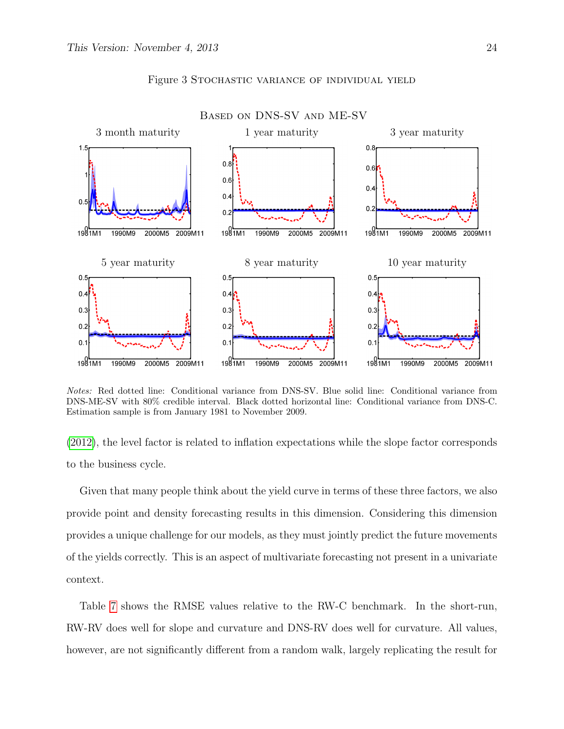<span id="page-23-0"></span>

#### Figure 3 Stochastic variance of individual yield

Notes: Red dotted line: Conditional variance from DNS-SV. Blue solid line: Conditional variance from DNS-ME-SV with 80% credible interval. Black dotted horizontal line: Conditional variance from DNS-C. Estimation sample is from January 1981 to November 2009.

[\(2012\)](#page-27-2), the level factor is related to inflation expectations while the slope factor corresponds to the business cycle.

Given that many people think about the yield curve in terms of these three factors, we also provide point and density forecasting results in this dimension. Considering this dimension provides a unique challenge for our models, as they must jointly predict the future movements of the yields correctly. This is an aspect of multivariate forecasting not present in a univariate context.

Table [7](#page-25-0) shows the RMSE values relative to the RW-C benchmark. In the short-run, RW-RV does well for slope and curvature and DNS-RV does well for curvature. All values, however, are not significantly different from a random walk, largely replicating the result for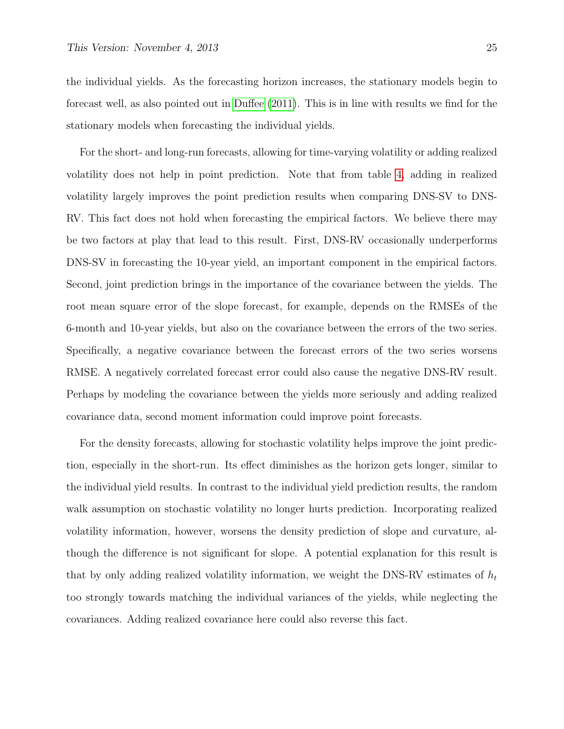the individual yields. As the forecasting horizon increases, the stationary models begin to forecast well, as also pointed out in [Duffee](#page-27-12) [\(2011\)](#page-27-12). This is in line with results we find for the stationary models when forecasting the individual yields.

For the short- and long-run forecasts, allowing for time-varying volatility or adding realized volatility does not help in point prediction. Note that from table [4,](#page-19-0) adding in realized volatility largely improves the point prediction results when comparing DNS-SV to DNS-RV. This fact does not hold when forecasting the empirical factors. We believe there may be two factors at play that lead to this result. First, DNS-RV occasionally underperforms DNS-SV in forecasting the 10-year yield, an important component in the empirical factors. Second, joint prediction brings in the importance of the covariance between the yields. The root mean square error of the slope forecast, for example, depends on the RMSEs of the 6-month and 10-year yields, but also on the covariance between the errors of the two series. Specifically, a negative covariance between the forecast errors of the two series worsens RMSE. A negatively correlated forecast error could also cause the negative DNS-RV result. Perhaps by modeling the covariance between the yields more seriously and adding realized covariance data, second moment information could improve point forecasts.

For the density forecasts, allowing for stochastic volatility helps improve the joint prediction, especially in the short-run. Its effect diminishes as the horizon gets longer, similar to the individual yield results. In contrast to the individual yield prediction results, the random walk assumption on stochastic volatility no longer hurts prediction. Incorporating realized volatility information, however, worsens the density prediction of slope and curvature, although the difference is not significant for slope. A potential explanation for this result is that by only adding realized volatility information, we weight the DNS-RV estimates of  $h_t$ too strongly towards matching the individual variances of the yields, while neglecting the covariances. Adding realized covariance here could also reverse this fact.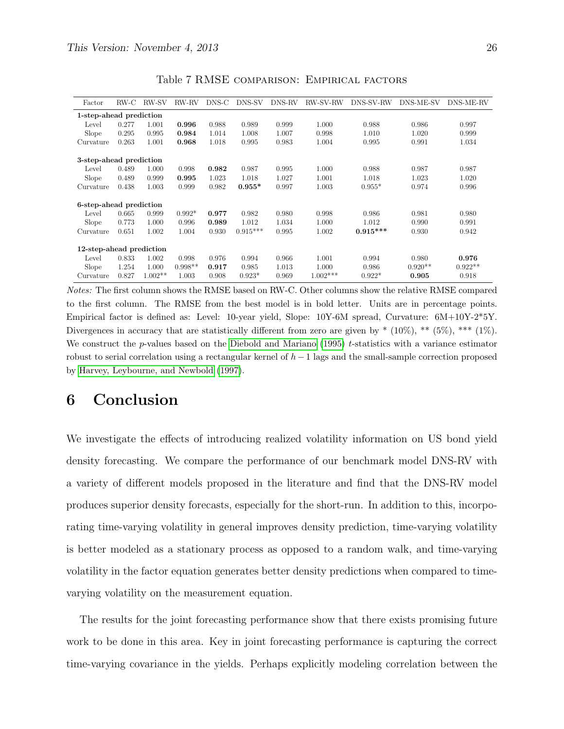<span id="page-25-0"></span>

| Factor                   | RW-C  | RW-SV     | RW-RV     | DNS-C | DNS-SV     | DNS-RV | RW-SV-RW   | DNS-SV-RW  | DNS-ME-SV | DNS-ME-RV |
|--------------------------|-------|-----------|-----------|-------|------------|--------|------------|------------|-----------|-----------|
| 1-step-ahead prediction  |       |           |           |       |            |        |            |            |           |           |
| Level                    | 0.277 | 1.001     | 0.996     | 0.988 | 0.989      | 0.999  | 1.000      | 0.988      | 0.986     | 0.997     |
| Slope                    | 0.295 | 0.995     | 0.984     | 1.014 | 1.008      | 1.007  | 0.998      | 1.010      | 1.020     | 0.999     |
| Curvature                | 0.263 | 1.001     | 0.968     | 1.018 | 0.995      | 0.983  | 1.004      | 0.995      | 0.991     | 1.034     |
| 3-step-ahead prediction  |       |           |           |       |            |        |            |            |           |           |
| Level                    | 0.489 | 1.000     | 0.998     | 0.982 | 0.987      | 0.995  | 1.000      | 0.988      | 0.987     | 0.987     |
| Slope                    | 0.489 | 0.999     | 0.995     | 1.023 | 1.018      | 1.027  | 1.001      | 1.018      | 1.023     | 1.020     |
| Curvature                | 0.438 | 1.003     | 0.999     | 0.982 | $0.955*$   | 0.997  | 1.003      | $0.955*$   | 0.974     | 0.996     |
| 6-step-ahead prediction  |       |           |           |       |            |        |            |            |           |           |
| Level                    | 0.665 | 0.999     | $0.992*$  | 0.977 | 0.982      | 0.980  | 0.998      | 0.986      | 0.981     | 0.980     |
| Slope                    | 0.773 | 1.000     | 0.996     | 0.989 | 1.012      | 1.034  | 1.000      | 1.012      | 0.990     | 0.991     |
| Curvature                | 0.651 | 1.002     | 1.004     | 0.930 | $0.915***$ | 0.995  | 1.002      | $0.915***$ | 0.930     | 0.942     |
| 12-step-ahead prediction |       |           |           |       |            |        |            |            |           |           |
| Level                    | 0.833 | 1.002     | 0.998     | 0.976 | 0.994      | 0.966  | 1.001      | 0.994      | 0.980     | 0.976     |
| Slope                    | 1.254 | 1.000     | $0.998**$ | 0.917 | 0.985      | 1.013  | 1.000      | 0.986      | $0.920**$ | $0.922**$ |
| Curvature                | 0.827 | $1.002**$ | 1.003     | 0.908 | $0.923*$   | 0.969  | $1.002***$ | $0.922*$   | 0.905     | 0.918     |

Table 7 RMSE comparison: Empirical factors

Notes: The first column shows the RMSE based on RW-C. Other columns show the relative RMSE compared to the first column. The RMSE from the best model is in bold letter. Units are in percentage points. Empirical factor is defined as: Level: 10-year yield, Slope: 10Y-6M spread, Curvature: 6M+10Y-2\*5Y. Divergences in accuracy that are statistically different from zero are given by  $*(10\%),$  \*\*  $(5\%),$  \*\*\*  $(1\%).$ We construct the p-values based on the [Diebold and Mariano](#page-27-10)  $(1995)$  t-statistics with a variance estimator robust to serial correlation using a rectangular kernel of h−1 lags and the small-sample correction proposed by [Harvey, Leybourne, and Newbold](#page-28-14) [\(1997\)](#page-28-14).

# 6 Conclusion

We investigate the effects of introducing realized volatility information on US bond yield density forecasting. We compare the performance of our benchmark model DNS-RV with a variety of different models proposed in the literature and find that the DNS-RV model produces superior density forecasts, especially for the short-run. In addition to this, incorporating time-varying volatility in general improves density prediction, time-varying volatility is better modeled as a stationary process as opposed to a random walk, and time-varying volatility in the factor equation generates better density predictions when compared to timevarying volatility on the measurement equation.

The results for the joint forecasting performance show that there exists promising future work to be done in this area. Key in joint forecasting performance is capturing the correct time-varying covariance in the yields. Perhaps explicitly modeling correlation between the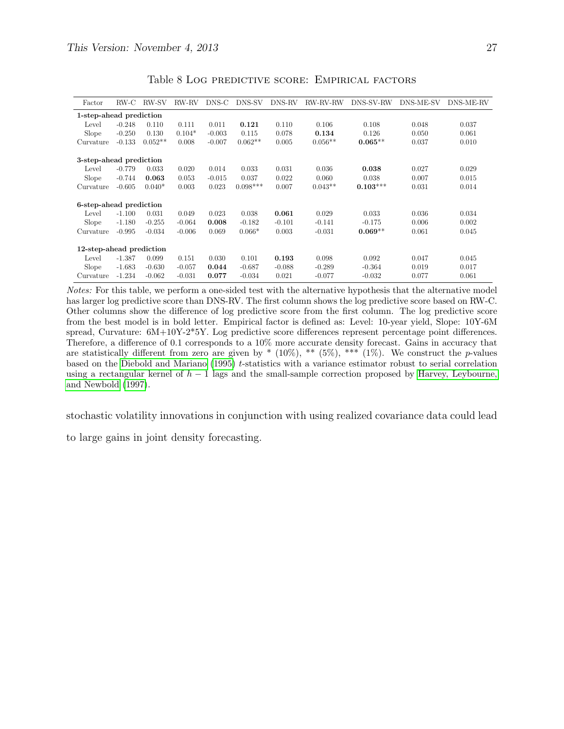| Factor                   | $RW-C$   | RW-SV     | RW-RV    | DNS-C    | DNS-SV     | DNS-RV   | RW-RV-RW  | DNS-SV-RW  | DNS-ME-SV | DNS-ME-RV |
|--------------------------|----------|-----------|----------|----------|------------|----------|-----------|------------|-----------|-----------|
| 1-step-ahead prediction  |          |           |          |          |            |          |           |            |           |           |
| Level                    | $-0.248$ | 0.110     | 0.111    | 0.011    | 0.121      | 0.110    | 0.106     | 0.108      | 0.048     | 0.037     |
| Slope                    | $-0.250$ | 0.130     | $0.104*$ | $-0.003$ | 0.115      | 0.078    | 0.134     | 0.126      | 0.050     | 0.061     |
| Curvature                | $-0.133$ | $0.052**$ | 0.008    | $-0.007$ | $0.062**$  | 0.005    | $0.056**$ | $0.065**$  | 0.037     | 0.010     |
|                          |          |           |          |          |            |          |           |            |           |           |
| 3-step-ahead prediction  |          |           |          |          |            |          |           |            |           |           |
| Level                    | $-0.779$ | 0.033     | 0.020    | 0.014    | 0.033      | 0.031    | 0.036     | 0.038      | 0.027     | 0.029     |
| Slope                    | $-0.744$ | 0.063     | 0.053    | $-0.015$ | 0.037      | 0.022    | 0.060     | 0.038      | 0.007     | 0.015     |
| Curvature                | $-0.605$ | $0.040*$  | 0.003    | 0.023    | $0.098***$ | 0.007    | $0.043**$ | $0.103***$ | 0.031     | 0.014     |
| 6-step-ahead prediction  |          |           |          |          |            |          |           |            |           |           |
| Level                    | $-1.100$ | 0.031     | 0.049    | 0.023    | 0.038      | 0.061    | 0.029     | 0.033      | 0.036     | 0.034     |
| Slope                    | $-1.180$ | $-0.255$  | $-0.064$ | 0.008    | $-0.182$   | $-0.101$ | $-0.141$  | $-0.175$   | 0.006     | 0.002     |
| Curvature                | $-0.995$ | $-0.034$  | $-0.006$ | 0.069    | $0.066*$   | 0.003    | $-0.031$  | $0.069**$  | 0.061     | 0.045     |
| 12-step-ahead prediction |          |           |          |          |            |          |           |            |           |           |
| Level                    | $-1.387$ | 0.099     | 0.151    | 0.030    | 0.101      | 0.193    | 0.098     | 0.092      | 0.047     | 0.045     |
| Slope                    | $-1.683$ | $-0.630$  | $-0.057$ | 0.044    | $-0.687$   | $-0.088$ | $-0.289$  | $-0.364$   | 0.019     | 0.017     |
| Curvature                | $-1.234$ | $-0.062$  | $-0.031$ | 0.077    | $-0.034$   | 0.021    | $-0.077$  | $-0.032$   | 0.077     | 0.061     |

Table 8 Log predictive score: Empirical factors

Notes: For this table, we perform a one-sided test with the alternative hypothesis that the alternative model has larger log predictive score than DNS-RV. The first column shows the log predictive score based on RW-C. Other columns show the difference of log predictive score from the first column. The log predictive score from the best model is in bold letter. Empirical factor is defined as: Level: 10-year yield, Slope: 10Y-6M spread, Curvature: 6M+10Y-2\*5Y. Log predictive score differences represent percentage point differences. Therefore, a difference of 0.1 corresponds to a 10% more accurate density forecast. Gains in accuracy that are statistically different from zero are given by  $*(10\%),$  \*\*  $(5\%),$  \*\*\*  $(1\%)$ . We construct the *p*-values based on the [Diebold and Mariano](#page-27-10) [\(1995\)](#page-27-10) t-statistics with a variance estimator robust to serial correlation using a rectangular kernel of  $h - 1$  lags and the small-sample correction proposed by [Harvey, Leybourne,](#page-28-14) [and Newbold](#page-28-14) [\(1997\)](#page-28-14).

stochastic volatility innovations in conjunction with using realized covariance data could lead

to large gains in joint density forecasting.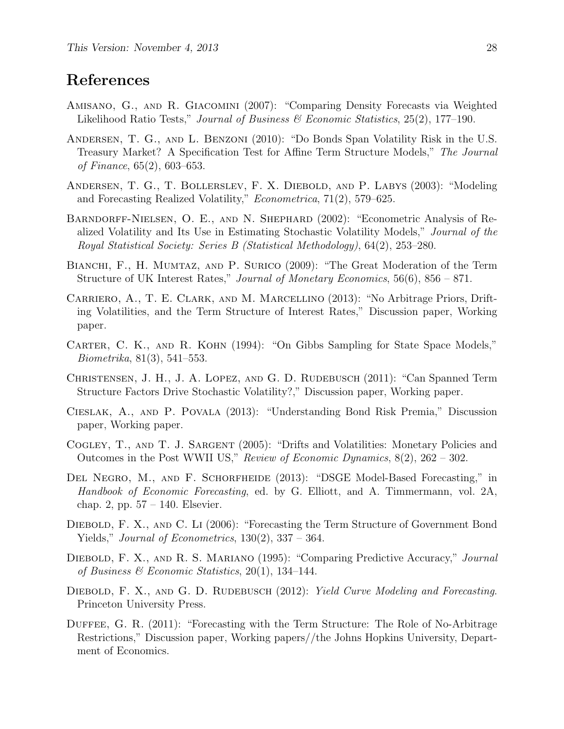## References

- <span id="page-27-11"></span>Amisano, G., and R. Giacomini (2007): "Comparing Density Forecasts via Weighted Likelihood Ratio Tests," Journal of Business  $\mathcal B$  Economic Statistics, 25(2), 177–190.
- <span id="page-27-3"></span>Andersen, T. G., and L. Benzoni (2010): "Do Bonds Span Volatility Risk in the U.S. Treasury Market? A Specification Test for Affine Term Structure Models," The Journal of Finance, 65(2), 603–653.
- <span id="page-27-9"></span>Andersen, T. G., T. Bollerslev, F. X. Diebold, and P. Labys (2003): "Modeling and Forecasting Realized Volatility," Econometrica, 71(2), 579–625.
- <span id="page-27-6"></span>Barndorff-Nielsen, O. E., and N. Shephard (2002): "Econometric Analysis of Realized Volatility and Its Use in Estimating Stochastic Volatility Models," Journal of the Royal Statistical Society: Series B (Statistical Methodology), 64(2), 253–280.
- <span id="page-27-7"></span>BIANCHI, F., H. MUMTAZ, AND P. SURICO (2009): "The Great Moderation of the Term Structure of UK Interest Rates," Journal of Monetary Economics, 56(6), 856 – 871.
- <span id="page-27-1"></span>Carriero, A., T. E. Clark, and M. Marcellino (2013): "No Arbitrage Priors, Drifting Volatilities, and the Term Structure of Interest Rates," Discussion paper, Working paper.
- <span id="page-27-13"></span>CARTER, C. K., AND R. KOHN (1994): "On Gibbs Sampling for State Space Models," Biometrika, 81(3), 541–553.
- <span id="page-27-4"></span>CHRISTENSEN, J. H., J. A. LOPEZ, AND G. D. RUDEBUSCH (2011): "Can Spanned Term Structure Factors Drive Stochastic Volatility?," Discussion paper, Working paper.
- <span id="page-27-5"></span>Cieslak, A., and P. Povala (2013): "Understanding Bond Risk Premia," Discussion paper, Working paper.
- <span id="page-27-8"></span>COGLEY, T., AND T. J. SARGENT (2005): "Drifts and Volatilities: Monetary Policies and Outcomes in the Post WWII US," Review of Economic Dynamics,  $8(2)$ ,  $262 - 302$ .
- <span id="page-27-14"></span>DEL NEGRO, M., AND F. SCHORFHEIDE (2013): "DSGE Model-Based Forecasting," in Handbook of Economic Forecasting, ed. by G. Elliott, and A. Timmermann, vol. 2A, chap. 2, pp. 57 – 140. Elsevier.
- <span id="page-27-0"></span>Diebold, F. X., and C. Li (2006): "Forecasting the Term Structure of Government Bond Yields," *Journal of Econometrics*,  $130(2)$ ,  $337 - 364$ .
- <span id="page-27-10"></span>Diebold, F. X., and R. S. Mariano (1995): "Comparing Predictive Accuracy," Journal of Business & Economic Statistics,  $20(1)$ , 134-144.
- <span id="page-27-2"></span>DIEBOLD, F. X., AND G. D. RUDEBUSCH (2012): Yield Curve Modeling and Forecasting. Princeton University Press.
- <span id="page-27-12"></span>DUFFEE, G. R. (2011): "Forecasting with the Term Structure: The Role of No-Arbitrage Restrictions," Discussion paper, Working papers//the Johns Hopkins University, Department of Economics.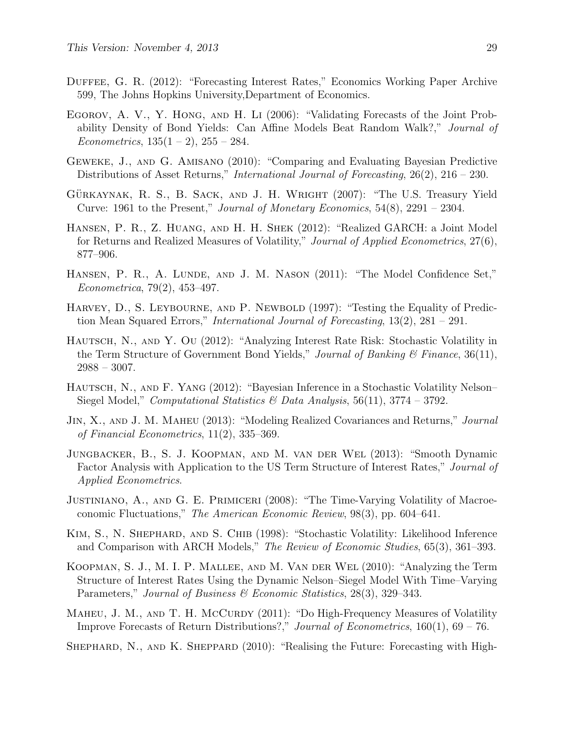- <span id="page-28-4"></span>DUFFEE, G. R. (2012): "Forecasting Interest Rates," Economics Working Paper Archive 599, The Johns Hopkins University,Department of Economics.
- <span id="page-28-0"></span>Egorov, A. V., Y. Hong, and H. Li (2006): "Validating Forecasts of the Joint Probability Density of Bond Yields: Can Affine Models Beat Random Walk?," Journal of Econometrics,  $135(1 - 2)$ ,  $255 - 284$ .
- <span id="page-28-13"></span>Geweke, J., and G. Amisano (2010): "Comparing and Evaluating Bayesian Predictive Distributions of Asset Returns," *International Journal of Forecasting*, 26(2), 216 – 230.
- <span id="page-28-11"></span>GÜRKAYNAK, R. S., B. SACK, AND J. H. WRIGHT (2007): "The U.S. Treasury Yield Curve: 1961 to the Present," *Journal of Monetary Economics*,  $54(8)$ ,  $2291 - 2304$ .
- <span id="page-28-8"></span>Hansen, P. R., Z. Huang, and H. H. Shek (2012): "Realized GARCH: a Joint Model for Returns and Realized Measures of Volatility," Journal of Applied Econometrics, 27(6), 877–906.
- <span id="page-28-15"></span>HANSEN, P. R., A. LUNDE, AND J. M. NASON (2011): "The Model Confidence Set," Econometrica, 79(2), 453–497.
- <span id="page-28-14"></span>HARVEY, D., S. LEYBOURNE, AND P. NEWBOLD (1997): "Testing the Equality of Prediction Mean Squared Errors," *International Journal of Forecasting*,  $13(2)$ ,  $281 - 291$ .
- <span id="page-28-2"></span>HAUTSCH, N., AND Y. OU (2012): "Analyzing Interest Rate Risk: Stochastic Volatility in the Term Structure of Government Bond Yields," Journal of Banking  $\mathcal C$  Finance, 36(11),  $2988 - 3007$ .
- <span id="page-28-3"></span>HAUTSCH, N., AND F. YANG (2012): "Bayesian Inference in a Stochastic Volatility Nelson– Siegel Model," Computational Statistics & Data Analysis,  $56(11)$ ,  $3774 - 3792$ .
- <span id="page-28-6"></span>JIN, X., AND J. M. MAHEU (2013): "Modeling Realized Covariances and Returns," Journal of Financial Econometrics, 11(2), 335–369.
- <span id="page-28-10"></span>Jungbacker, B., S. J. Koopman, and M. van der Wel (2013): "Smooth Dynamic Factor Analysis with Application to the US Term Structure of Interest Rates," Journal of Applied Econometrics.
- <span id="page-28-9"></span>JUSTINIANO, A., AND G. E. PRIMICERI (2008): "The Time-Varying Volatility of Macroeconomic Fluctuations," The American Economic Review, 98(3), pp. 604–641.
- <span id="page-28-12"></span>KIM, S., N. SHEPHARD, AND S. CHIB (1998): "Stochastic Volatility: Likelihood Inference and Comparison with ARCH Models," The Review of Economic Studies, 65(3), 361–393.
- <span id="page-28-1"></span>Koopman, S. J., M. I. P. Mallee, and M. Van der Wel (2010): "Analyzing the Term Structure of Interest Rates Using the Dynamic Nelson–Siegel Model With Time–Varying Parameters," Journal of Business & Economic Statistics, 28(3), 329–343.
- <span id="page-28-5"></span>MAHEU, J. M., AND T. H. MCCURDY (2011): "Do High-Frequency Measures of Volatility Improve Forecasts of Return Distributions?," Journal of Econometrics, 160(1), 69 – 76.
- <span id="page-28-7"></span>SHEPHARD, N., AND K. SHEPPARD (2010): "Realising the Future: Forecasting with High-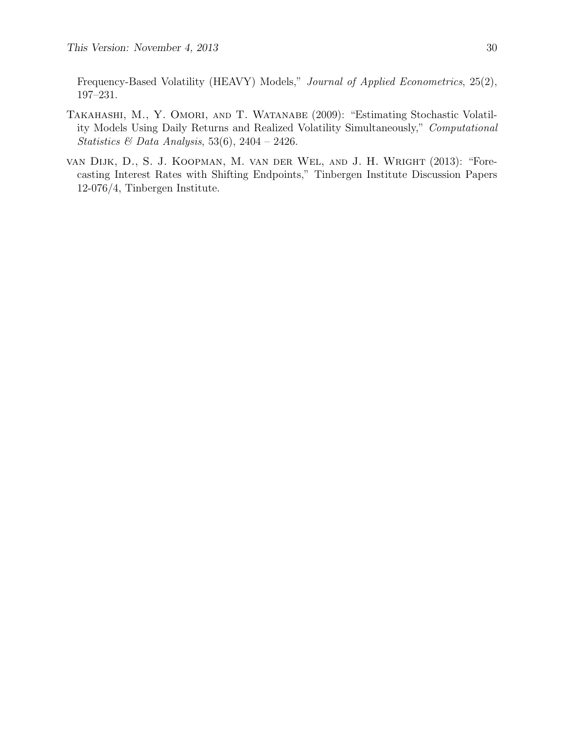Frequency-Based Volatility (HEAVY) Models," Journal of Applied Econometrics, 25(2), 197–231.

- <span id="page-29-0"></span>TAKAHASHI, M., Y. OMORI, AND T. WATANABE (2009): "Estimating Stochastic Volatility Models Using Daily Returns and Realized Volatility Simultaneously," Computational Statistics & Data Analysis, 53(6), 2404 – 2426.
- <span id="page-29-1"></span>van Dijk, D., S. J. Koopman, M. van der Wel, and J. H. Wright (2013): "Forecasting Interest Rates with Shifting Endpoints," Tinbergen Institute Discussion Papers 12-076/4, Tinbergen Institute.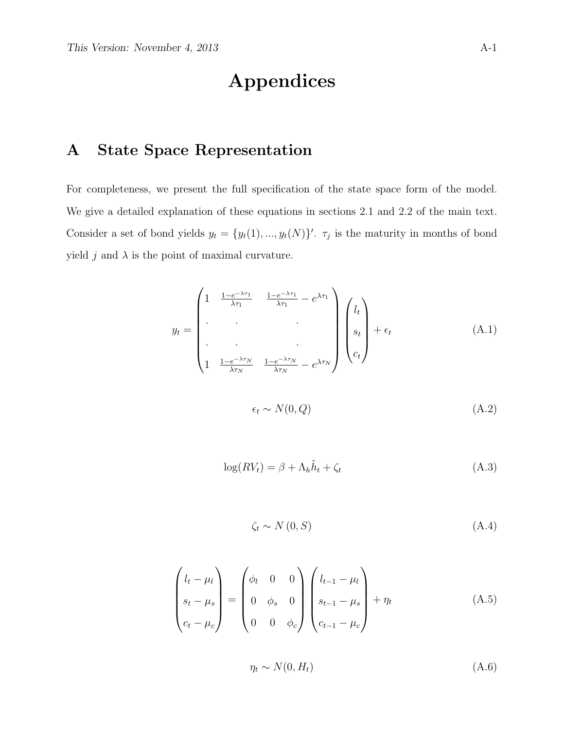# Appendices

# A State Space Representation

For completeness, we present the full specification of the state space form of the model. We give a detailed explanation of these equations in sections 2.1 and 2.2 of the main text. Consider a set of bond yields  $y_t = \{y_t(1), ..., y_t(N)\}$ .  $\tau_j$  is the maturity in months of bond yield j and  $\lambda$  is the point of maximal curvature.

$$
y_t = \begin{pmatrix} 1 & \frac{1 - e^{-\lambda \tau_1}}{\lambda \tau_1} & \frac{1 - e^{-\lambda \tau_1}}{\lambda \tau_1} - e^{\lambda \tau_1} \\ \cdot & \cdot & \cdot \\ \cdot & \cdot & \cdot \\ \cdot & \cdot & \cdot \\ 1 & \frac{1 - e^{-\lambda \tau_N}}{\lambda \tau_N} & \frac{1 - e^{-\lambda \tau_N}}{\lambda \tau_N} - e^{\lambda \tau_N} \end{pmatrix} \begin{pmatrix} l_t \\ s_t \\ c_t \end{pmatrix} + \epsilon_t \tag{A.1}
$$

$$
\epsilon_t \sim N(0, Q) \tag{A.2}
$$

<span id="page-30-0"></span>
$$
\log(RV_t) = \beta + \Lambda_h \tilde{h}_t + \zeta_t \tag{A.3}
$$

$$
\zeta_t \sim N(0, S) \tag{A.4}
$$

$$
\begin{pmatrix} l_t - \mu_l \\ s_t - \mu_s \\ c_t - \mu_c \end{pmatrix} = \begin{pmatrix} \phi_l & 0 & 0 \\ 0 & \phi_s & 0 \\ 0 & 0 & \phi_c \end{pmatrix} \begin{pmatrix} l_{t-1} - \mu_l \\ s_{t-1} - \mu_s \\ c_{t-1} - \mu_c \end{pmatrix} + \eta_t
$$
(A.5)

$$
\eta_t \sim N(0, H_t) \tag{A.6}
$$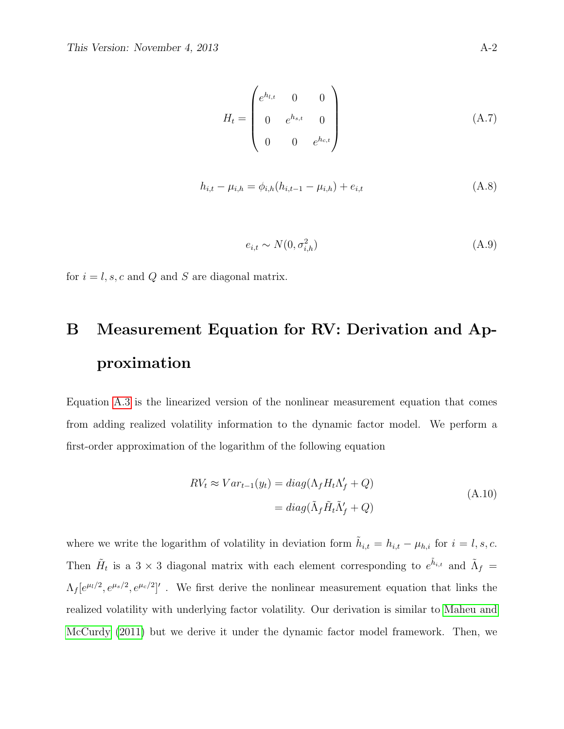$$
H_t = \begin{pmatrix} e^{h_{l,t}} & 0 & 0 \\ 0 & e^{h_{s,t}} & 0 \\ 0 & 0 & e^{h_{c,t}} \end{pmatrix}
$$
 (A.7)

$$
h_{i,t} - \mu_{i,h} = \phi_{i,h}(h_{i,t-1} - \mu_{i,h}) + e_{i,t}
$$
\n(A.8)

$$
e_{i,t} \sim N(0, \sigma_{i,h}^2) \tag{A.9}
$$

for  $i = l, s, c$  and Q and S are diagonal matrix.

# B Measurement Equation for RV: Derivation and Approximation

Equation [A.3](#page-30-0) is the linearized version of the nonlinear measurement equation that comes from adding realized volatility information to the dynamic factor model. We perform a first-order approximation of the logarithm of the following equation

$$
RV_t \approx Var_{t-1}(y_t) = diag(\Lambda_f H_t \Lambda'_f + Q)
$$
  
= 
$$
diag(\tilde{\Lambda}_f \tilde{H}_t \tilde{\Lambda}'_f + Q)
$$
 (A.10)

where we write the logarithm of volatility in deviation form  $\tilde{h}_{i,t} = h_{i,t} - \mu_{h,i}$  for  $i = l, s, c$ . Then  $H_t$  is a 3 × 3 diagonal matrix with each element corresponding to  $e^{\tilde{h}_{i,t}}$  and  $\tilde{\Lambda}_f$  =  $\Lambda_f[e^{\mu_l/2}, e^{\mu_s/2}, e^{\mu_c/2}]'$ . We first derive the nonlinear measurement equation that links the realized volatility with underlying factor volatility. Our derivation is similar to [Maheu and](#page-28-5) [McCurdy](#page-28-5) [\(2011\)](#page-28-5) but we derive it under the dynamic factor model framework. Then, we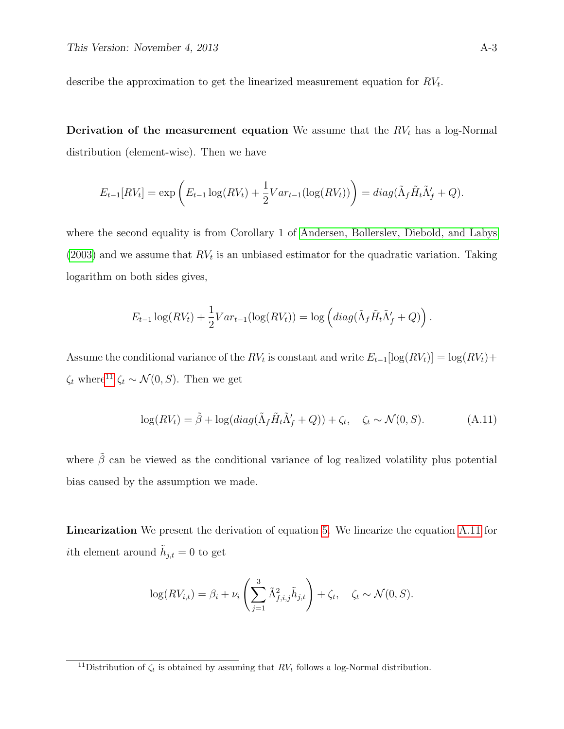describe the approximation to get the linearized measurement equation for  $RV_t$ .

**Derivation of the measurement equation** We assume that the  $RV<sub>t</sub>$  has a log-Normal distribution (element-wise). Then we have

$$
E_{t-1}[RV_t] = \exp\left(E_{t-1}\log(RV_t) + \frac{1}{2}Var_{t-1}(\log(RV_t))\right) = diag(\tilde{\Lambda}_f\tilde{H}_t\tilde{\Lambda}_f' + Q).
$$

where the second equality is from Corollary 1 of [Andersen, Bollerslev, Diebold, and Labys](#page-27-9)  $(2003)$  and we assume that  $RV_t$  is an unbiased estimator for the quadratic variation. Taking logarithm on both sides gives,

$$
E_{t-1}\log(RV_t) + \frac{1}{2}Var_{t-1}(\log(RV_t)) = \log\left(diag(\tilde{\Lambda}_f\tilde{H}_t\tilde{\Lambda}'_f + Q)\right).
$$

Assume the conditional variance of the  $RV_t$  is constant and write  $E_{t-1}[\log(RV_t)] = \log(RV_t) +$  $\zeta_t$  where<sup>[11](#page-0-0)</sup>  $\zeta_t \sim \mathcal{N}(0, S)$ . Then we get

<span id="page-32-0"></span>
$$
\log(RV_t) = \tilde{\beta} + \log(diag(\tilde{\Lambda}_f \tilde{H}_t \tilde{\Lambda}'_f + Q)) + \zeta_t, \quad \zeta_t \sim \mathcal{N}(0, S). \tag{A.11}
$$

where  $\tilde{\beta}$  can be viewed as the conditional variance of log realized volatility plus potential bias caused by the assumption we made.

Linearization We present the derivation of equation [5.](#page-7-0) We linearize the equation [A.11](#page-32-0) for *i*th element around  $\tilde{h}_{j,t} = 0$  to get

$$
\log(RV_{i,t}) = \beta_i + \nu_i \left( \sum_{j=1}^3 \tilde{\Lambda}_{f,i,j}^2 \tilde{h}_{j,t} \right) + \zeta_t, \quad \zeta_t \sim \mathcal{N}(0, S).
$$

<sup>&</sup>lt;sup>11</sup>Distribution of  $\zeta_t$  is obtained by assuming that  $RV_t$  follows a log-Normal distribution.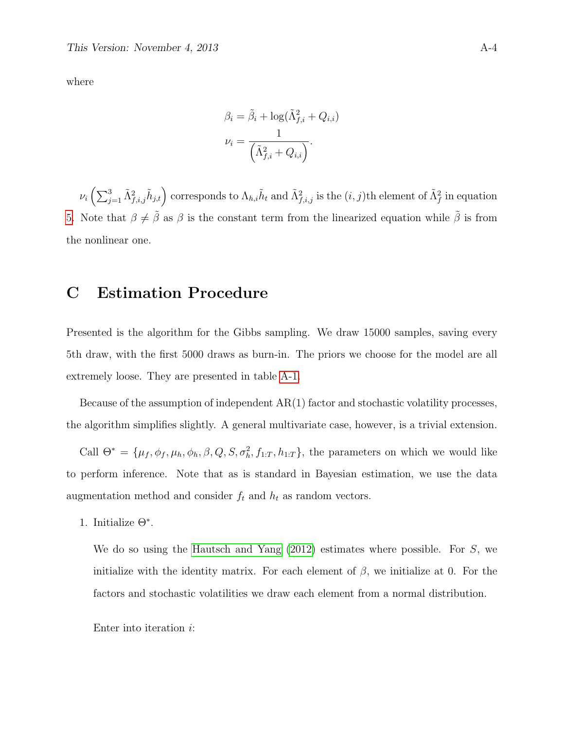where

$$
\beta_i = \tilde{\beta}_i + \log(\tilde{\Lambda}_{f,i}^2 + Q_{i,i})
$$

$$
\nu_i = \frac{1}{(\tilde{\Lambda}_{f,i}^2 + Q_{i,i})}.
$$

 $\nu_i \left( \sum_{j=1}^3 \tilde{\Lambda}_{f,i,j}^2 \tilde{h}_{j,t} \right)$  corresponds to  $\Lambda_{h,i} \tilde{h}_t$  and  $\tilde{\Lambda}_{f,i,j}^2$  is the  $(i, j)$ th element of  $\tilde{\Lambda}_f^2$  in equation [5.](#page-7-0) Note that  $\beta \neq \tilde{\beta}$  as  $\beta$  is the constant term from the linearized equation while  $\tilde{\beta}$  is from the nonlinear one.

# C Estimation Procedure

Presented is the algorithm for the Gibbs sampling. We draw 15000 samples, saving every 5th draw, with the first 5000 draws as burn-in. The priors we choose for the model are all extremely loose. They are presented in table [A-1.](#page-37-0)

Because of the assumption of independent AR(1) factor and stochastic volatility processes, the algorithm simplifies slightly. A general multivariate case, however, is a trivial extension.

Call  $\Theta^* = \{\mu_f, \phi_f, \mu_h, \phi_h, \beta, Q, S, \sigma_h^2, f_{1:T}, h_{1:T}\}\$ , the parameters on which we would like to perform inference. Note that as is standard in Bayesian estimation, we use the data augmentation method and consider  $f_t$  and  $h_t$  as random vectors.

1. Initialize  $\Theta^*$ .

We do so using the [Hautsch and Yang](#page-28-3) [\(2012\)](#page-28-3) estimates where possible. For S, we initialize with the identity matrix. For each element of  $\beta$ , we initialize at 0. For the factors and stochastic volatilities we draw each element from a normal distribution.

Enter into iteration i: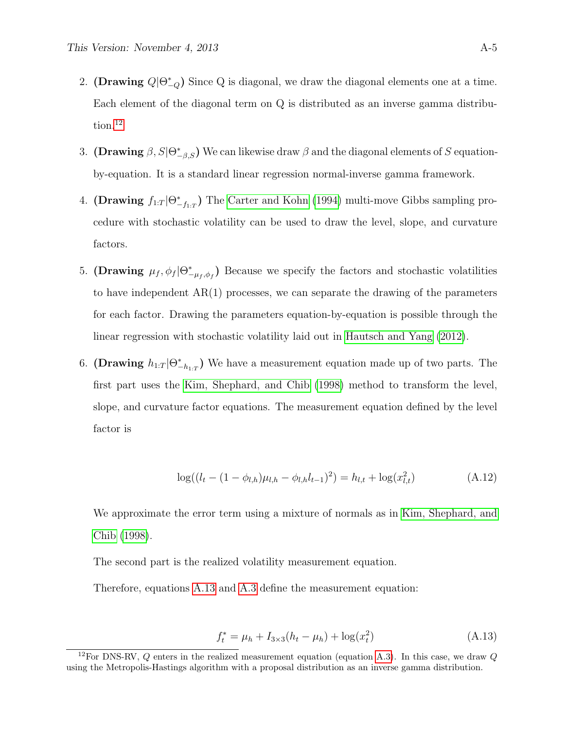- 2. (Drawing  $Q|\Theta^*_{-Q}$ ) Since Q is diagonal, we draw the diagonal elements one at a time. Each element of the diagonal term on Q is distributed as an inverse gamma distribu-tion.<sup>[12](#page-0-0)</sup>
- 3. (Drawing  $\beta$ ,  $S|\Theta^*_{-\beta,S}$ ) We can likewise draw  $\beta$  and the diagonal elements of S equationby-equation. It is a standard linear regression normal-inverse gamma framework.
- 4. (Drawing  $f_{1:T} | \Theta^*_{-f_{1:T}}$ ) The [Carter and Kohn](#page-27-13) [\(1994\)](#page-27-13) multi-move Gibbs sampling procedure with stochastic volatility can be used to draw the level, slope, and curvature factors.
- 5. (Drawing  $\mu_f$ ,  $\phi_f | \Theta^*_{-\mu_f,\phi_f}$ ) Because we specify the factors and stochastic volatilities to have independent  $AR(1)$  processes, we can separate the drawing of the parameters for each factor. Drawing the parameters equation-by-equation is possible through the linear regression with stochastic volatility laid out in [Hautsch and Yang](#page-28-3) [\(2012\)](#page-28-3).
- 6. (Drawing  $h_{1:T} | \Theta^*_{-h_{1:T}}$ ) We have a measurement equation made up of two parts. The first part uses the [Kim, Shephard, and Chib](#page-28-12) [\(1998\)](#page-28-12) method to transform the level, slope, and curvature factor equations. The measurement equation defined by the level factor is

$$
\log((l_t - (1 - \phi_{l,h})\mu_{l,h} - \phi_{l,h}l_{t-1})^2) = h_{l,t} + \log(x_{l,t}^2)
$$
\n(A.12)

We approximate the error term using a mixture of normals as in [Kim, Shephard, and](#page-28-12) [Chib](#page-28-12) [\(1998\)](#page-28-12).

The second part is the realized volatility measurement equation.

Therefore, equations [A.13](#page-34-0) and [A.3](#page-30-0) define the measurement equation:

<span id="page-34-0"></span>
$$
f_t^* = \mu_h + I_{3 \times 3}(h_t - \mu_h) + \log(x_t^2)
$$
 (A.13)

<sup>&</sup>lt;sup>12</sup>For DNS-RV, Q enters in the realized measurement equation (equation [A.3\)](#page-30-0). In this case, we draw Q using the Metropolis-Hastings algorithm with a proposal distribution as an inverse gamma distribution.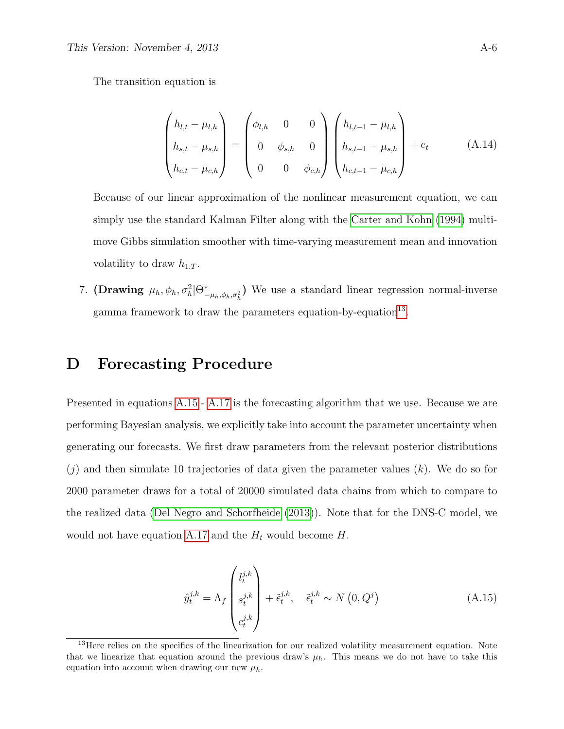The transition equation is

$$
\begin{pmatrix} h_{l,t} - \mu_{l,h} \\ h_{s,t} - \mu_{s,h} \\ h_{c,t} - \mu_{c,h} \end{pmatrix} = \begin{pmatrix} \phi_{l,h} & 0 & 0 \\ 0 & \phi_{s,h} & 0 \\ 0 & 0 & \phi_{c,h} \end{pmatrix} \begin{pmatrix} h_{l,t-1} - \mu_{l,h} \\ h_{s,t-1} - \mu_{s,h} \\ h_{c,t-1} - \mu_{c,h} \end{pmatrix} + e_t
$$
 (A.14)

Because of our linear approximation of the nonlinear measurement equation, we can simply use the standard Kalman Filter along with the [Carter and Kohn](#page-27-13) [\(1994\)](#page-27-13) multimove Gibbs simulation smoother with time-varying measurement mean and innovation volatility to draw  $h_{1:T}$ .

7. (Drawing  $\mu_h, \phi_h, \sigma_h^2 | \Theta^*_{-\mu_h, \phi_h, \sigma_h^2}$ ) We use a standard linear regression normal-inverse gamma framework to draw the parameters equation-by-equation<sup>[13](#page-0-0)</sup>.

### D Forecasting Procedure

Presented in equations [A.15](#page-35-0) - [A.17](#page-36-0) is the forecasting algorithm that we use. Because we are performing Bayesian analysis, we explicitly take into account the parameter uncertainty when generating our forecasts. We first draw parameters from the relevant posterior distributions  $(j)$  and then simulate 10 trajectories of data given the parameter values  $(k)$ . We do so for 2000 parameter draws for a total of 20000 simulated data chains from which to compare to the realized data [\(Del Negro and Schorfheide](#page-27-14) [\(2013\)](#page-27-14)). Note that for the DNS-C model, we would not have equation [A.17](#page-36-0) and the  $H_t$  would become  $H$ .

<span id="page-35-0"></span>
$$
\hat{y}_{t}^{j,k} = \Lambda_f \begin{pmatrix} l_t^{j,k} \\ s_t^{j,k} \\ c_t^{j,k} \end{pmatrix} + \tilde{\epsilon}_t^{j,k}, \quad \tilde{\epsilon}_t^{j,k} \sim N(0, Q^j)
$$
\n(A.15)

<sup>&</sup>lt;sup>13</sup>Here relies on the specifics of the linearization for our realized volatility measurement equation. Note that we linearize that equation around the previous draw's  $\mu_h$ . This means we do not have to take this equation into account when drawing our new  $\mu_h$ .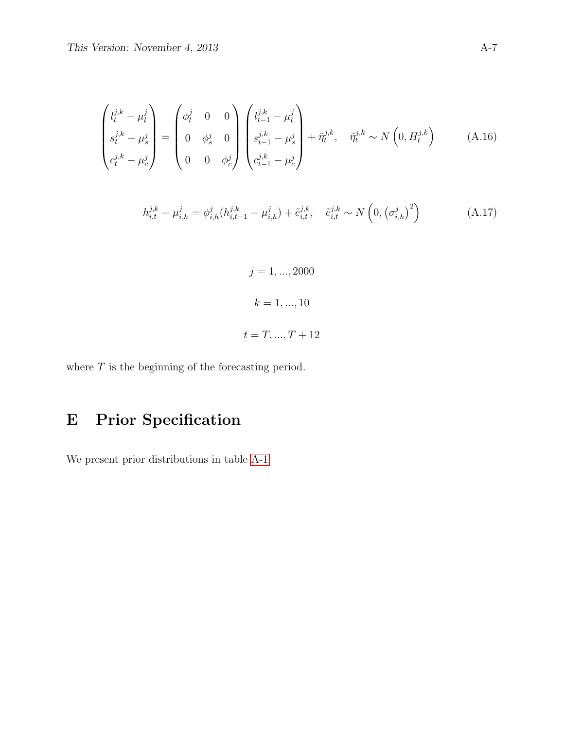$$
\begin{pmatrix} l_t^{j,k} - \mu_l^j \\ s_t^{j,k} - \mu_s^j \\ c_t^{j,k} - \mu_c^j \end{pmatrix} = \begin{pmatrix} \phi_l^j & 0 & 0 \\ 0 & \phi_s^j & 0 \\ 0 & 0 & \phi_c^j \end{pmatrix} \begin{pmatrix} l_{t-1}^{j,k} - \mu_l^j \\ s_{t-1}^{j,k} - \mu_s^j \\ c_{t-1}^{j,k} - \mu_c^j \end{pmatrix} + \tilde{\eta}_t^{j,k}, \quad \tilde{\eta}_t^{j,k} \sim N\left(0, H_t^{j,k}\right) \tag{A.16}
$$

<span id="page-36-0"></span>
$$
h_{i,t}^{j,k} - \mu_{i,h}^j = \phi_{i,h}^j (h_{i,t-1}^{j,k} - \mu_{i,h}^j) + \tilde{e}_{i,t}^{j,k}, \quad \tilde{e}_{i,t}^{j,k} \sim N\left(0, \left(\sigma_{i,h}^j\right)^2\right)
$$
(A.17)

 $j = 1, ..., 2000$  $k = 1, ..., 10$  $t = T, ..., T + 12$ 

where  ${\cal T}$  is the beginning of the forecasting period.

# E Prior Specification

We present prior distributions in table [A-1.](#page-37-0)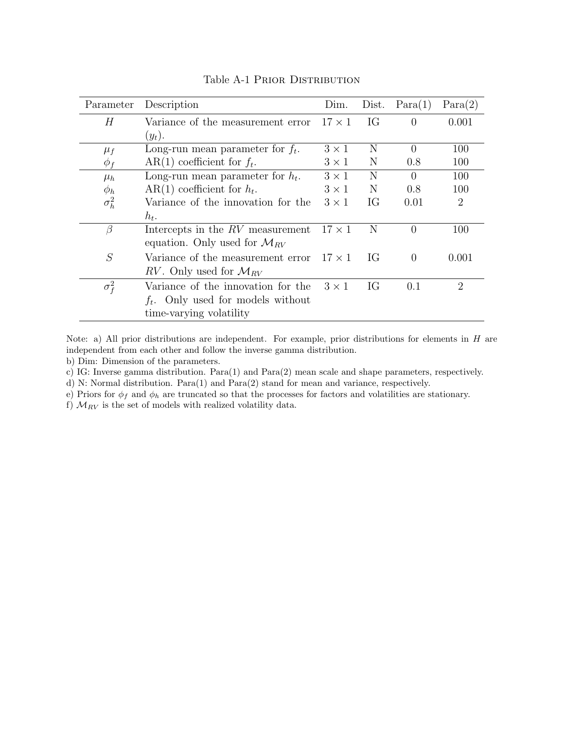<span id="page-37-0"></span>

| Parameter    | Description                                     | Dim.         | Dist. | Para(1)  | Para(2)                     |
|--------------|-------------------------------------------------|--------------|-------|----------|-----------------------------|
| Н            | Variance of the measurement error $17 \times 1$ |              | IG    | $\Omega$ | 0.001                       |
|              | $(y_t).$                                        |              |       |          |                             |
| $\mu_f$      | Long-run mean parameter for $f_t$ .             | $3 \times 1$ | N     | $\Omega$ | 100                         |
| $\phi_f$     | $AR(1)$ coefficient for $f_t$ .                 | $3 \times 1$ | N     | 0.8      | 100                         |
| $\mu_h$      | Long-run mean parameter for $h_t$ .             | $3 \times 1$ | N     | $\Omega$ | 100                         |
| $\phi_h$     | $AR(1)$ coefficient for $h_t$ .                 | $3 \times 1$ | N     | 0.8      | 100                         |
| $\sigma_h^2$ | Variance of the innovation for the              | $3 \times 1$ | IG    | 0.01     | 2                           |
|              | $h_t$ .                                         |              |       |          |                             |
| β            | Intercepts in the RV measurement $17 \times 1$  |              | - N   | $\Omega$ | 100                         |
|              | equation. Only used for $\mathcal{M}_{RV}$      |              |       |          |                             |
| S            | Variance of the measurement error $17 \times 1$ |              | IG    | $\Omega$ | 0.001                       |
|              | RV. Only used for $\mathcal{M}_{RV}$            |              |       |          |                             |
| $\sigma_f^2$ | Variance of the innovation for the              | $3 \times 1$ | IG    | 0.1      | $\mathcal{D}_{\mathcal{L}}$ |
|              | $f_t$ . Only used for models without            |              |       |          |                             |
|              | time-varying volatility                         |              |       |          |                             |

Table A-1 Prior Distribution

Note: a) All prior distributions are independent. For example, prior distributions for elements in H are independent from each other and follow the inverse gamma distribution.

b) Dim: Dimension of the parameters.

c) IG: Inverse gamma distribution. Para(1) and Para(2) mean scale and shape parameters, respectively.

d) N: Normal distribution. Para(1) and Para(2) stand for mean and variance, respectively.

e) Priors for  $\phi_f$  and  $\phi_h$  are truncated so that the processes for factors and volatilities are stationary.

f)  $M_{RV}$  is the set of models with realized volatility data.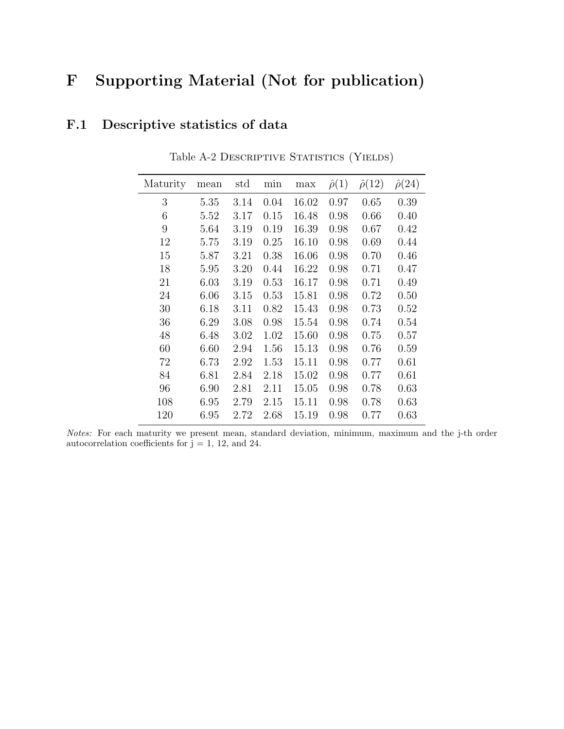# F Supporting Material (Not for publication)

# F.1 Descriptive statistics of data

| Maturity | mean | std  | min  | max   | $\hat{\rho}(1)$ | $\hat{\rho}(12)$ | $\hat{\rho}(24)$ |
|----------|------|------|------|-------|-----------------|------------------|------------------|
| 3        | 5.35 | 3.14 | 0.04 | 16.02 | 0.97            | 0.65             | 0.39             |
| 6        | 5.52 | 3.17 | 0.15 | 16.48 | 0.98            | 0.66             | 0.40             |
| 9        | 5.64 | 3.19 | 0.19 | 16.39 | 0.98            | 0.67             | 0.42             |
| 12       | 5.75 | 3.19 | 0.25 | 16.10 | 0.98            | 0.69             | 0.44             |
| 15       | 5.87 | 3.21 | 0.38 | 16.06 | 0.98            | 0.70             | 0.46             |
| 18       | 5.95 | 3.20 | 0.44 | 16.22 | 0.98            | 0.71             | 0.47             |
| 21       | 6.03 | 3.19 | 0.53 | 16.17 | 0.98            | 0.71             | 0.49             |
| 24       | 6.06 | 3.15 | 0.53 | 15.81 | 0.98            | 0.72             | 0.50             |
| 30       | 6.18 | 3.11 | 0.82 | 15.43 | 0.98            | 0.73             | 0.52             |
| 36       | 6.29 | 3.08 | 0.98 | 15.54 | 0.98            | 0.74             | 0.54             |
| 48       | 6.48 | 3.02 | 1.02 | 15.60 | 0.98            | 0.75             | 0.57             |
| 60       | 6.60 | 2.94 | 1.56 | 15.13 | 0.98            | 0.76             | 0.59             |
| 72       | 6.73 | 2.92 | 1.53 | 15.11 | 0.98            | 0.77             | 0.61             |
| 84       | 6.81 | 2.84 | 2.18 | 15.02 | 0.98            | 0.77             | 0.61             |
| 96       | 6.90 | 2.81 | 2.11 | 15.05 | 0.98            | 0.78             | 0.63             |
| 108      | 6.95 | 2.79 | 2.15 | 15.11 | 0.98            | 0.78             | 0.63             |
| 120      | 6.95 | 2.72 | 2.68 | 15.19 | 0.98            | 0.77             | 0.63             |

Table A-2 DESCRIPTIVE STATISTICS (YIELDS)

Notes: For each maturity we present mean, standard deviation, minimum, maximum and the j-th order autocorrelation coefficients for  $j = 1, 12,$  and 24.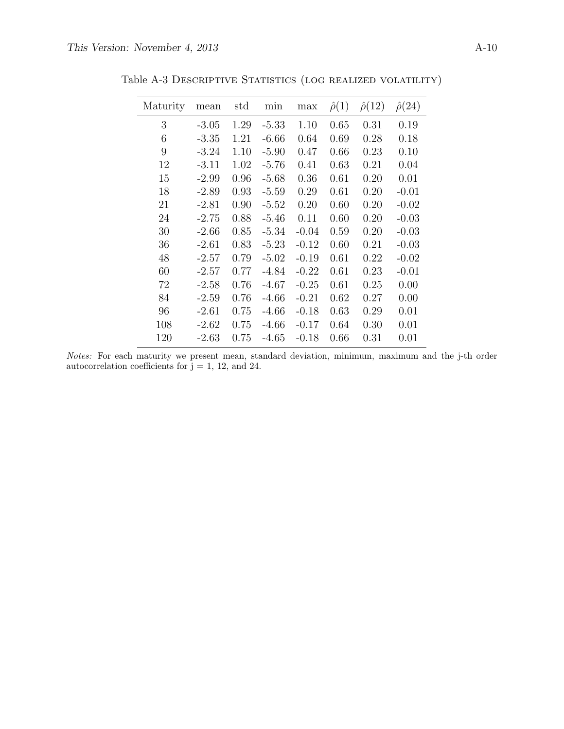| Maturity | mean    | std  | min     | max     | $\hat{\rho}(1)$ | $\hat{\rho}(12)$ | $\hat{\rho}(24)$ |
|----------|---------|------|---------|---------|-----------------|------------------|------------------|
| 3        | $-3.05$ | 1.29 | $-5.33$ | 1.10    | 0.65            | 0.31             | 0.19             |
| 6        | $-3.35$ | 1.21 | $-6.66$ | 0.64    | 0.69            | 0.28             | 0.18             |
| 9        | $-3.24$ | 1.10 | $-5.90$ | 0.47    | 0.66            | 0.23             | 0.10             |
| 12       | $-3.11$ | 1.02 | $-5.76$ | 0.41    | 0.63            | 0.21             | 0.04             |
| 15       | $-2.99$ | 0.96 | $-5.68$ | 0.36    | 0.61            | 0.20             | 0.01             |
| 18       | $-2.89$ | 0.93 | $-5.59$ | 0.29    | 0.61            | 0.20             | $-0.01$          |
| 21       | $-2.81$ | 0.90 | $-5.52$ | 0.20    | 0.60            | 0.20             | $-0.02$          |
| 24       | $-2.75$ | 0.88 | $-5.46$ | 0.11    | 0.60            | 0.20             | $-0.03$          |
| 30       | $-2.66$ | 0.85 | $-5.34$ | $-0.04$ | 0.59            | 0.20             | $-0.03$          |
| 36       | $-2.61$ | 0.83 | $-5.23$ | $-0.12$ | 0.60            | 0.21             | $-0.03$          |
| 48       | $-2.57$ | 0.79 | $-5.02$ | $-0.19$ | 0.61            | 0.22             | $-0.02$          |
| 60       | $-2.57$ | 0.77 | $-4.84$ | $-0.22$ | 0.61            | 0.23             | $-0.01$          |
| 72       | $-2.58$ | 0.76 | $-4.67$ | $-0.25$ | 0.61            | 0.25             | 0.00             |
| 84       | $-2.59$ | 0.76 | $-4.66$ | $-0.21$ | 0.62            | 0.27             | 0.00             |
| 96       | $-2.61$ | 0.75 | $-4.66$ | $-0.18$ | 0.63            | 0.29             | 0.01             |
| 108      | $-2.62$ | 0.75 | $-4.66$ | $-0.17$ | 0.64            | 0.30             | 0.01             |
| 120      | $-2.63$ | 0.75 | $-4.65$ | $-0.18$ | 0.66            | 0.31             | 0.01             |

Table A-3 Descriptive Statistics (log realized volatility)

Notes: For each maturity we present mean, standard deviation, minimum, maximum and the j-th order autocorrelation coefficients for  $\vec{j} = 1, 12,$  and 24.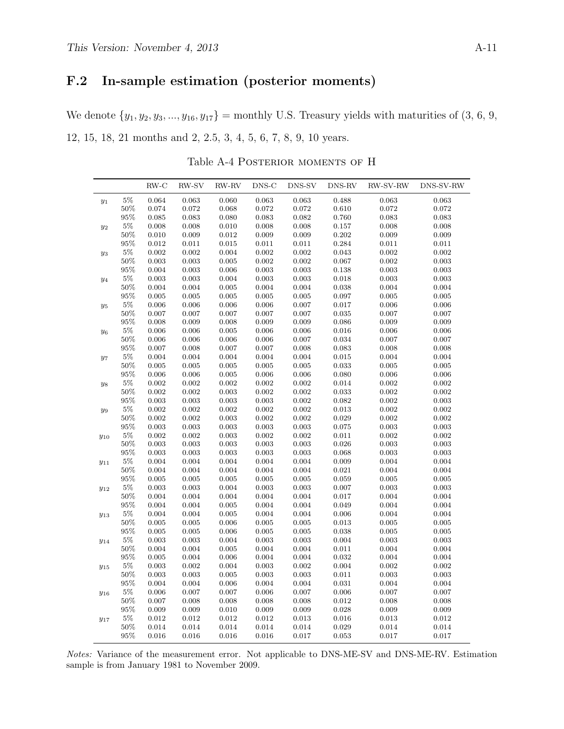## F.2 In-sample estimation (posterior moments)

We denote  $\{y_1, y_2, y_3, \ldots, y_{16}, y_{17}\}$  = monthly U.S. Treasury yields with maturities of  $(3, 6, 9, 9)$ 12, 15, 18, 21 months and 2, 2.5, 3, 4, 5, 6, 7, 8, 9, 10 years.

Table A-4 POSTERIOR MOMENTS OF H

|             |        | $RW-C$      | RW-SV       | $RW-RV$     | DNS-C       | DNS-SV      | DNS-RV      | RW-SV-RW    | DNS-SV-RW   |
|-------------|--------|-------------|-------------|-------------|-------------|-------------|-------------|-------------|-------------|
| $y_1$       | $5\%$  | 0.064       | 0.063       | 0.060       | 0.063       | 0.063       | 0.488       | 0.063       | 0.063       |
|             | $50\%$ | 0.074       | 0.072       | 0.068       | 0.072       | 0.072       | 0.610       | 0.072       | 0.072       |
|             | $95\%$ | 0.085       | 0.083       | 0.080       | 0.083       | 0.082       | 0.760       | 0.083       | 0.083       |
| $y_2$       | $5\%$  | 0.008       | 0.008       | 0.010       | 0.008       | 0.008       | $0.157\,$   | 0.008       | 0.008       |
|             | $50\%$ | 0.010       | 0.009       | $\rm 0.012$ | 0.009       | 0.009       | 0.202       | 0.009       | 0.009       |
|             | $95\%$ | 0.012       | 0.011       | $\,0.015\,$ | $\rm 0.011$ | $0.011\,$   | 0.284       | 0.011       | $0.011\,$   |
| $y_3$       | $5\%$  | $\rm 0.002$ | 0.002       | 0.004       | 0.002       | $\rm 0.002$ | 0.043       | $\rm 0.002$ | $\rm 0.002$ |
|             | $50\%$ | 0.003       | $\rm 0.003$ | 0.005       | 0.002       | 0.002       | 0.067       | 0.002       | $\rm 0.003$ |
|             | $95\%$ | 0.004       | 0.003       | 0.006       | 0.003       | 0.003       | 0.138       | 0.003       | 0.003       |
| $y_4$       | $5\%$  | $\rm 0.003$ | 0.003       | 0.004       | 0.003       | 0.003       | 0.018       | 0.003       | $\rm 0.003$ |
|             | $50\%$ | 0.004       | 0.004       | 0.005       | 0.004       | 0.004       | 0.038       | 0.004       | 0.004       |
|             | $95\%$ | 0.005       | $\rm 0.005$ | 0.005       | 0.005       | 0.005       | 0.097       | 0.005       | 0.005       |
| $y_5$       | $5\%$  | $0.006\,$   | 0.006       | 0.006       | 0.006       | 0.007       | 0.017       | 0.006       | 0.006       |
|             | $50\%$ | 0.007       | 0.007       | 0.007       | 0.007       | 0.007       | $\,0.035\,$ | 0.007       | 0.007       |
|             | $95\%$ | 0.008       | 0.009       | 0.008       | 0.009       | 0.009       | 0.086       | 0.009       | 0.009       |
| $y_6$       | $5\%$  | 0.006       | 0.006       | 0.005       | 0.006       | 0.006       | 0.016       | 0.006       | 0.006       |
|             | $50\%$ | $0.006\,$   | $0.006\,$   | 0.006       | 0.006       | 0.007       | 0.034       | 0.007       | 0.007       |
|             | $95\%$ | 0.007       | 0.008       | 0.007       | 0.007       | 0.008       | 0.083       | 0.008       | 0.008       |
| $y_7$       | $5\%$  | 0.004       | 0.004       | 0.004       | 0.004       | 0.004       | 0.015       | 0.004       | 0.004       |
|             | $50\%$ | 0.005       | 0.005       | 0.005       | 0.005       | 0.005       | 0.033       | 0.005       | 0.005       |
|             | $95\%$ | 0.006       | 0.006       | 0.005       | 0.006       | 0.006       | 0.080       | 0.006       | 0.006       |
| $y_{\rm 8}$ | $5\%$  | 0.002       | 0.002       | 0.002       | 0.002       | 0.002       | 0.014       | 0.002       | 0.002       |
|             | $50\%$ | $\rm 0.002$ | $\rm 0.002$ | 0.003       | 0.002       | $\rm 0.002$ | 0.033       | $\rm 0.002$ | $\rm 0.002$ |
|             | $95\%$ | $\rm 0.003$ | 0.003       | 0.003       | 0.003       | $\rm 0.002$ | 0.082       | $\rm 0.002$ | $\rm 0.003$ |
| $y_9$       | $5\%$  | 0.002       | 0.002       | 0.002       | 0.002       | 0.002       | 0.013       | 0.002       | 0.002       |
|             | $50\%$ | 0.002       | 0.002       | 0.003       | 0.002       | $\rm 0.002$ | 0.029       | 0.002       | $\rm 0.002$ |
|             | $95\%$ | $\rm 0.003$ | 0.003       | 0.003       | 0.003       | 0.003       | 0.075       | 0.003       | $\rm 0.003$ |
| $y_{10}$    | $5\%$  | $\rm 0.002$ | 0.002       | 0.003       | 0.002       | $\rm 0.002$ | $0.011\,$   | $\rm 0.002$ | $\rm 0.002$ |
|             | $50\%$ | $\rm 0.003$ | $\rm 0.003$ | 0.003       | $\rm 0.003$ | 0.003       | 0.026       | 0.003       | $\rm 0.003$ |
|             | $95\%$ | 0.003       | $\rm 0.003$ | 0.003       | 0.003       | 0.003       | 0.068       | 0.003       | 0.003       |
| $y_{11}$    | $5\%$  | 0.004       | 0.004       | 0.004       | 0.004       | 0.004       | 0.009       | 0.004       | $\,0.004\,$ |
|             | $50\%$ | 0.004       | 0.004       | 0.004       | 0.004       | 0.004       | 0.021       | 0.004       | 0.004       |
|             | $95\%$ | 0.005       | 0.005       | 0.005       | 0.005       | 0.005       | 0.059       | 0.005       | 0.005       |
| $y_{12}$    | $5\%$  | $\rm 0.003$ | 0.003       | 0.004       | 0.003       | 0.003       | 0.007       | 0.003       | $\rm 0.003$ |
|             | $50\%$ | 0.004       | 0.004       | 0.004       | 0.004       | 0.004       | 0.017       | 0.004       | 0.004       |
|             | $95\%$ | 0.004       | 0.004       | 0.005       | 0.004       | 0.004       | 0.049       | 0.004       | 0.004       |
| $y_{13}$    | $5\%$  | 0.004       | 0.004       | 0.005       | 0.004       | 0.004       | 0.006       | 0.004       | 0.004       |
|             | $50\%$ | 0.005       | 0.005       | 0.006       | 0.005       | 0.005       | 0.013       | 0.005       | 0.005       |
|             | $95\%$ | 0.005       | $\rm 0.005$ | $0.006\,$   | 0.005       | $\,0.005\,$ | 0.038       | $0.005\,$   | 0.005       |
| $y_{14}$    | $5\%$  | $\rm 0.003$ | 0.003       | 0.004       | 0.003       | 0.003       | 0.004       | 0.003       | 0.003       |
|             | $50\%$ | 0.004       | 0.004       | 0.005       | 0.004       | 0.004       | $\rm 0.011$ | 0.004       | 0.004       |
|             | $95\%$ | 0.005       | 0.004       | 0.006       | 0.004       | 0.004       | 0.032       | 0.004       | 0.004       |
| $y_{15}$    | $5\%$  | 0.003       | 0.002       | 0.004       | 0.003       | 0.002       | 0.004       | 0.002       | $\rm 0.002$ |
|             | $50\%$ | 0.003       | 0.003       | 0.005       | 0.003       | 0.003       | 0.011       | 0.003       | $\rm 0.003$ |
|             | $95\%$ | 0.004       | 0.004       | 0.006       | 0.004       | 0.004       | $\,0.031\,$ | 0.004       | $\,0.004\,$ |
| $y_{16}$    | $5\%$  | 0.006       | 0.007       | 0.007       | 0.006       | 0.007       | 0.006       | 0.007       | 0.007       |
|             | $50\%$ | 0.007       | $0.008\,$   | 0.008       | 0.008       | $0.008\,$   | 0.012       | 0.008       | $0.008\,$   |
|             | $95\%$ | 0.009       | $\rm 0.009$ | 0.010       | 0.009       | 0.009       | 0.028       | 0.009       | 0.009       |
| $y_{17}$    | $5\%$  | 0.012       | 0.012       | $\rm 0.012$ | $\rm 0.012$ | 0.013       | 0.016       | 0.013       | 0.012       |
|             | $50\%$ | 0.014       | 0.014       | 0.014       | 0.014       | 0.014       | 0.029       | 0.014       | 0.014       |
|             | 95%    | 0.016       | 0.016       | 0.016       | 0.016       | 0.017       | 0.053       | 0.017       | 0.017       |

Notes: Variance of the measurement error. Not applicable to DNS-ME-SV and DNS-ME-RV. Estimation sample is from January 1981 to November 2009.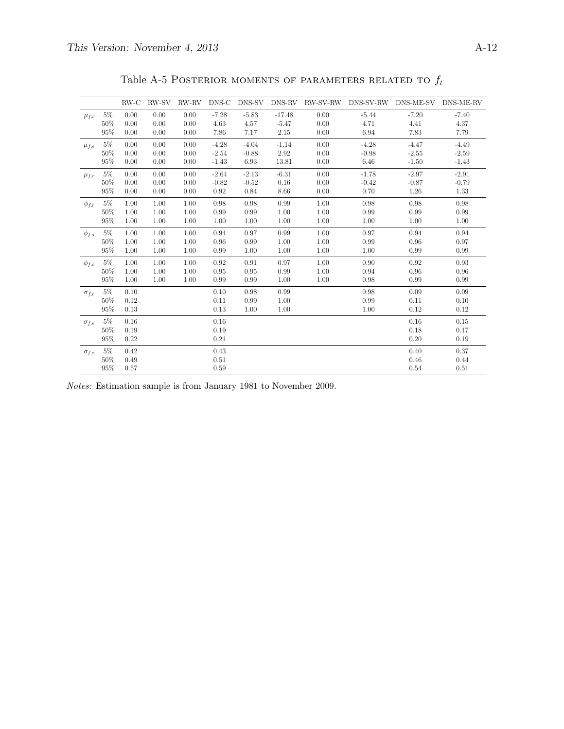|                |        | $RW-C$ | RW-SV | RW-RV | DNS-C   | DNS-SV  | DNS-RV   | RW-SV-RW | DNS-SV-RW | DNS-ME-SV | DNS-ME-RV |
|----------------|--------|--------|-------|-------|---------|---------|----------|----------|-----------|-----------|-----------|
| $\mu_{f,l}$    | $5\%$  | 0.00   | 0.00  | 0.00  | $-7.28$ | $-5.83$ | $-17.48$ | 0.00     | $-5.44$   | $-7.20$   | $-7.40$   |
|                | 50%    | 0.00   | 0.00  | 0.00  | 4.63    | 4.57    | $-5.47$  | 0.00     | 4.71      | 4.41      | 4.37      |
|                | 95%    | 0.00   | 0.00  | 0.00  | 7.86    | 7.17    | 2.15     | 0.00     | 6.94      | 7.83      | 7.79      |
| $\mu_{f,s}$    | $5\%$  | 0.00   | 0.00  | 0.00  | $-4.28$ | $-4.04$ | $-1.14$  | 0.00     | $-4.28$   | $-4.47$   | $-4.49$   |
|                | 50%    | 0.00   | 0.00  | 0.00  | $-2.54$ | $-0.88$ | 2.92     | 0.00     | $-0.98$   | $-2.55$   | $-2.59$   |
|                | 95%    | 0.00   | 0.00  | 0.00  | $-1.43$ | 6.93    | 13.81    | 0.00     | 6.46      | $-1.50$   | $-1.43$   |
| $\mu_{f,c}$    | $5\%$  | 0.00   | 0.00  | 0.00  | $-2.64$ | $-2.13$ | $-6.31$  | 0.00     | $-1.78$   | $-2.97$   | $-2.91$   |
|                | 50%    | 0.00   | 0.00  | 0.00  | $-0.82$ | $-0.52$ | 0.16     | 0.00     | $-0.42$   | $-0.87$   | $-0.79$   |
|                | 95%    | 0.00   | 0.00  | 0.00  | 0.92    | 0.84    | 8.66     | 0.00     | 0.70      | 1.26      | 1.33      |
| $\phi_{f,l}$   | $5\%$  | 1.00   | 1.00  | 1.00  | 0.98    | 0.98    | 0.99     | 1.00     | 0.98      | 0.98      | 0.98      |
|                | 50%    | 1.00   | 1.00  | 1.00  | 0.99    | 0.99    | 1.00     | 1.00     | 0.99      | 0.99      | 0.99      |
|                | 95%    | 1.00   | 1.00  | 1.00  | 1.00    | 1.00    | 1.00     | 1.00     | 1.00      | 1.00      | 1.00      |
| $\phi_{f,s}$   | $5\%$  | 1.00   | 1.00  | 1.00  | 0.94    | 0.97    | 0.99     | 1.00     | 0.97      | 0.94      | 0.94      |
|                | 50%    | 1.00   | 1.00  | 1.00  | 0.96    | 0.99    | 1.00     | 1.00     | 0.99      | 0.96      | 0.97      |
|                | 95%    | 1.00   | 1.00  | 1.00  | 0.99    | 1.00    | 1.00     | 1.00     | 1.00      | 0.99      | 0.99      |
| $\phi_{f,c}$   | $5\%$  | 1.00   | 1.00  | 1.00  | 0.92    | 0.91    | 0.97     | 1.00     | 0.90      | 0.92      | 0.93      |
|                | 50%    | 1.00   | 1.00  | 1.00  | 0.95    | 0.95    | 0.99     | 1.00     | 0.94      | 0.96      | 0.96      |
|                | 95%    | 1.00   | 1.00  | 1.00  | 0.99    | 0.99    | 1.00     | 1.00     | 0.98      | 0.99      | 0.99      |
| $\sigma_{f,l}$ | $5\%$  | 0.10   |       |       | 0.10    | 0.98    | 0.99     |          | 0.98      | 0.09      | 0.09      |
|                | $50\%$ | 0.12   |       |       | 0.11    | 0.99    | 1.00     |          | 0.99      | 0.11      | 0.10      |
|                | 95%    | 0.13   |       |       | 0.13    | 1.00    | 1.00     |          | 1.00      | 0.12      | 0.12      |
| $\sigma_{f,s}$ | $5\%$  | 0.16   |       |       | 0.16    |         |          |          |           | 0.16      | 0.15      |
|                | 50%    | 0.19   |       |       | 0.19    |         |          |          |           | 0.18      | 0.17      |
|                | 95%    | 0.22   |       |       | 0.21    |         |          |          |           | 0.20      | 0.19      |
| $\sigma_{f,c}$ | $5\%$  | 0.42   |       |       | 0.43    |         |          |          |           | 0.40      | 0.37      |
|                | 50%    | 0.49   |       |       | 0.51    |         |          |          |           | 0.46      | 0.44      |
|                | 95%    | 0.57   |       |       | 0.59    |         |          |          |           | 0.54      | 0.51      |

Table A-5 POSTERIOR MOMENTS OF PARAMETERS RELATED TO  $f_t$ 

Notes: Estimation sample is from January 1981 to November 2009.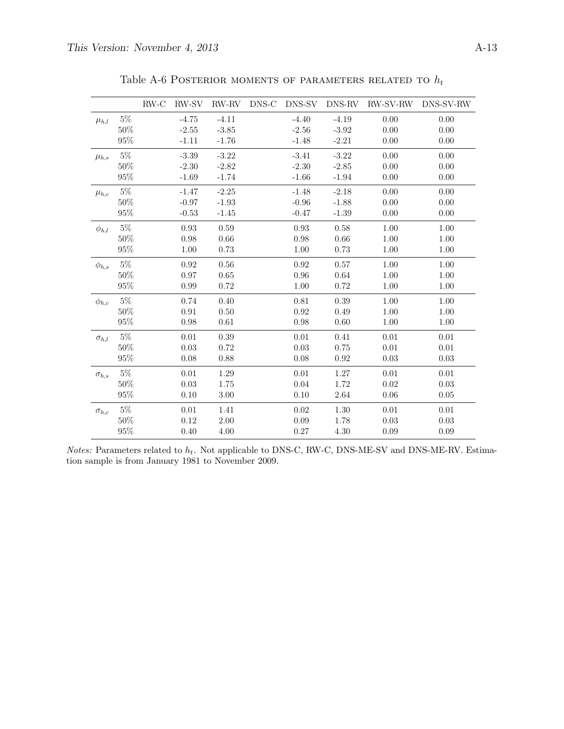|                |        | $RW-C$ | RW-SV    | RW-RV    | DNS-C | DNS-SV  | DNS-RV   | RW-SV-RW | DNS-SV-RW |
|----------------|--------|--------|----------|----------|-------|---------|----------|----------|-----------|
| $\mu_{h,l}$    | $5\%$  |        | $-4.75$  | $-4.11$  |       | $-4.40$ | $-4.19$  | 0.00     | 0.00      |
|                | 50%    |        | $-2.55$  | $-3.85$  |       | $-2.56$ | $-3.92$  | 0.00     | 0.00      |
|                | 95%    |        | $-1.11$  | $-1.76$  |       | $-1.48$ | $-2.21$  | 0.00     | 0.00      |
| $\mu_{h,s}$    | $5\%$  |        | $-3.39$  | $-3.22$  |       | $-3.41$ | $-3.22$  | 0.00     | 0.00      |
|                | 50%    |        | $-2.30$  | $-2.82$  |       | $-2.30$ | $-2.85$  | 0.00     | 0.00      |
|                | 95%    |        | $-1.69$  | $-1.74$  |       | $-1.66$ | $-1.94$  | 0.00     | 0.00      |
| $\mu_{h,c}$    | $5\%$  |        | $-1.47$  | $-2.25$  |       | $-1.48$ | $-2.18$  | 0.00     | 0.00      |
|                | 50%    |        | $-0.97$  | $-1.93$  |       | $-0.96$ | $-1.88$  | 0.00     | 0.00      |
|                | $95\%$ |        | $-0.53$  | $-1.45$  |       | $-0.47$ | $-1.39$  | 0.00     | 0.00      |
| $\phi_{h,l}$   | $5\%$  |        | 0.93     | 0.59     |       | 0.93    | 0.58     | 1.00     | 1.00      |
|                | $50\%$ |        | 0.98     | 0.66     |       | 0.98    | 0.66     | 1.00     | 1.00      |
|                | $95\%$ |        | 1.00     | 0.73     |       | 1.00    | 0.73     | 1.00     | 1.00      |
| $\phi_{h,s}$   | $5\%$  |        | 0.92     | 0.56     |       | 0.92    | 0.57     | 1.00     | 1.00      |
|                | 50%    |        | 0.97     | 0.65     |       | 0.96    | 0.64     | 1.00     | 1.00      |
|                | $95\%$ |        | 0.99     | 0.72     |       | 1.00    | 0.72     | 1.00     | 1.00      |
| $\phi_{h,c}$   | $5\%$  |        | 0.74     | 0.40     |       | 0.81    | 0.39     | 1.00     | 1.00      |
|                | 50%    |        | 0.91     | 0.50     |       | 0.92    | 0.49     | 1.00     | 1.00      |
|                | 95%    |        | 0.98     | $0.61\,$ |       | 0.98    | $0.60\,$ | 1.00     | 1.00      |
| $\sigma_{h,l}$ | $5\%$  |        | $0.01\,$ | 0.39     |       | 0.01    | 0.41     | 0.01     | 0.01      |
|                | 50%    |        | 0.03     | 0.72     |       | 0.03    | 0.75     | 0.01     | 0.01      |
|                | 95%    |        | 0.08     | 0.88     |       | 0.08    | 0.92     | 0.03     | 0.03      |
| $\sigma_{h,s}$ | $5\%$  |        | 0.01     | 1.29     |       | 0.01    | 1.27     | 0.01     | 0.01      |
|                | 50%    |        | 0.03     | 1.75     |       | 0.04    | 1.72     | 0.02     | 0.03      |
|                | $95\%$ |        | 0.10     | 3.00     |       | 0.10    | 2.64     | 0.06     | 0.05      |
| $\sigma_{h,c}$ | $5\%$  |        | 0.01     | 1.41     |       | 0.02    | 1.30     | 0.01     | 0.01      |
|                | $50\%$ |        | 0.12     | 2.00     |       | 0.09    | 1.78     | 0.03     | 0.03      |
|                | $95\%$ |        | 0.40     | 4.00     |       | 0.27    | 4.30     | 0.09     | 0.09      |

Table A-6 POSTERIOR MOMENTS OF PARAMETERS RELATED TO  $h_t$ 

Notes: Parameters related to  $h_t$ . Not applicable to DNS-C, RW-C, DNS-ME-SV and DNS-ME-RV. Estimation sample is from January 1981 to November 2009.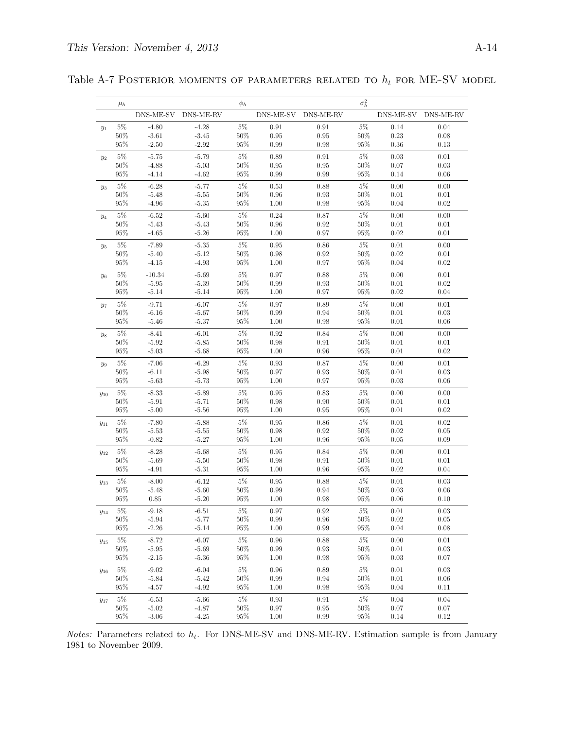| DNS-ME-SV DNS-ME-RV<br>DNS-ME-SV DNS-ME-RV<br>DNS-ME-SV DNS-ME-RV<br>$5\%$<br>$5\%$<br>$5\%$<br>$-4.80$<br>$-4.28$<br>0.91<br>0.91<br>0.14<br>0.04<br>$y_1$<br>$50\%$<br>50%<br>0.23<br>50%<br>$-3.61$<br>$-3.45$<br>0.95<br>0.95<br>0.08<br>$95\%$<br>95%<br>95%<br>$-2.50$<br>$-2.92$<br>0.99<br>0.98<br>0.36<br>0.13<br>$5\%$<br>$5\%$<br>$5\%$<br>$-5.75$<br>$-5.79$<br>0.91<br>0.03<br>0.01<br>0.89<br>$y_2$<br>$50\%$<br>$50\%$<br>$\rm 0.95$<br>$50\%$<br>$-4.88$<br>$-5.03$<br>0.95<br>0.07<br>0.03<br>$95\%$<br>$-4.14$<br>95%<br>0.99<br>95%<br>0.06<br>$-4.62$<br>0.99<br>0.14<br>$5\%$<br>$5\%$<br>$5\%$<br>$-6.28$<br>$-5.77$<br>0.53<br>$0.88\,$<br>0.00<br>0.00<br>$y_3$<br>$50\%$<br>50%<br>0.93<br>50%<br>$-5.48$<br>$-5.55$<br>0.96<br>0.01<br>0.01<br>$95\%$<br>95%<br>95%<br>$-4.96$<br>$-5.35$<br>1.00<br>0.98<br>0.04<br>0.02<br>$5\%$<br>$5\%$<br>$5\%$<br>$-6.52$<br>$-5.60$<br>0.24<br>$0.87\,$<br>0.00<br>0.00<br>$y_4$<br>50%<br>$\rm 0.92$<br>50%<br>50%<br>$-5.43$<br>$-5.43$<br>0.96<br>0.01<br>0.01<br>$95\%$<br>$-5.26$<br>95%<br>95%<br>$-4.65$<br>1.00<br>0.97<br>0.02<br>0.01<br>$5\%$<br>$5\%$<br>$5\%$<br>$-7.89$<br>$-5.35$<br>0.95<br>$0.86\,$<br>0.01<br>0.00<br>$y_5$<br>$50\%$<br>$50\%$<br>$50\%$<br>$-5.12$<br>0.98<br>$\rm 0.92$<br>0.02<br>0.01<br>$-5.40$<br>$95\%$<br>95%<br>95%<br>0.02<br>$-4.15$<br>$-4.93$<br>1.00<br>0.97<br>0.04<br>$5\%$<br>$5\%$<br>$5\%$<br>$-10.34$<br>$-5.69$<br>0.97<br>$0.88\,$<br>0.00<br>0.01<br>$y_6$<br>$50\%$<br>$-5.39$<br>50%<br>0.93<br>50%<br>0.02<br>$-5.95$<br>0.99<br>0.01<br>$95\%$<br>95%<br>95%<br>0.04<br>$-5.14$<br>$-5.14$<br>1.00<br>0.97<br>0.02<br>$5\%$<br>$5\%$<br>$5\%$<br>0.89<br>$-9.71$<br>$-6.07$<br>0.97<br>0.00<br>0.01<br>$y_7$<br>$50\%$<br>50%<br>0.94<br>50%<br>$-6.16$<br>$-5.67$<br>0.99<br>0.01<br>0.03<br>$95\%$<br>$-5.37$<br>$95\%$<br>$95\%$<br>$-5.46$<br>1.00<br>0.98<br>0.01<br>0.06<br>$5\%$<br>$5\%$<br>5%<br>$-6.01$<br>0.92<br>0.84<br>0.00<br>0.00<br>$-8.41$<br>$y_8$<br>$50\%$<br>$50\%$<br>$50\%$<br>$-5.92$<br>$-5.85$<br>0.98<br>$0.91\,$<br>0.01<br>0.01<br>$95\%$<br>95%<br>95%<br>0.02<br>$-5.03$<br>$-5.68$<br>1.00<br>0.96<br>0.01<br>$5\%$<br>$5\%$<br>$5\%$<br>$-6.29$<br>$-7.06$<br>0.93<br>0.87<br>0.00<br>0.01<br>$y_9$<br>$50\%$<br>50%<br>50%<br>$-6.11$<br>$-5.98$<br>0.97<br>0.93<br>0.01<br>0.03<br>$95\%$<br>$-5.73$<br>$95\%$<br>$0.97\,$<br>$95\%$<br>0.06<br>$-5.63$<br>1.00<br>0.03<br>$5\%$<br>$5\%$<br>$5\%$<br>0.83<br>$-8.33$<br>$-5.89$<br>0.95<br>0.00<br>0.00<br>$y_{10}$<br>$50\%$<br>50%<br>$0.90\,$<br>50%<br>$-5.91$<br>$-5.71$<br>0.98<br>0.01<br>0.01<br>$95\%$<br>$-5.56$<br>$95\%$<br>$95\%$<br>0.02<br>$-5.00$<br>1.00<br>0.95<br>0.01<br>$5\%$<br>$5\%$<br>$5\%$<br>$-7.80$<br>$-5.88$<br>$\rm 0.95$<br>$0.86\,$<br>0.02<br>0.01<br>$y_{11}$<br>$50\%$<br>$50\%$<br>$50\%$<br>$-5.53$<br>$-5.55$<br>0.92<br>0.02<br>0.05<br>0.98<br>$95\%$<br>0.09<br>$-0.82$<br>$-5.27$<br>95%<br>1.00<br>0.96<br>95%<br>0.05<br>$5\%$<br>$5\%$<br>$5\%$<br>$-8.28$<br>$-5.68$<br>0.95<br>0.84<br>0.00<br>0.01<br>$y_{12}$<br>50%<br>0.91<br>50%<br>50%<br>$-5.69$<br>$-5.50$<br>0.98<br>0.01<br>0.01<br>$95\%$<br>$95\%$<br>0.96<br>$95\%$<br>0.04<br>$-4.91$<br>$-5.31$<br>1.00<br>0.02<br>$5\%$<br>$5\%$<br>$5\%$<br>0.88<br>$-8.00$<br>$-6.12$<br>0.95<br>0.01<br>0.03<br>$y_{13}$<br>$50\%$<br>50%<br>0.94<br>50%<br>$-5.48$<br>$-5.60$<br>0.99<br>0.03<br>0.06<br>$95\%$<br>$-5.20$<br>95%<br>95%<br>0.85<br>0.98<br>0.10<br>1.00<br>0.06<br>$-9.18$<br>$5\%$<br>$\rm 0.92$<br>$0.01\,$<br>$0.03\,$<br>$5\%$<br>$-6.51$<br>0.97<br>$5\%$<br>$y_{14}$<br>$50\%$<br>$-5.77$<br>$50\%$<br>$50\%$<br>$-5.94$<br>0.99<br>0.96<br>0.02<br>$0.05\,$<br>$95\%$<br>95%<br>95%<br>0.08<br>$-2.26$<br>$-5.14$<br>1.00<br>0.99<br>0.04<br>$5\%$<br>$5\%$<br>$5\%$<br>$-8.72$<br>$-6.07$<br>0.96<br>0.88<br>0.00<br>0.01<br>$y_{15}$<br>$50\%$<br>$50\%$<br>$\rm 0.93$<br>50%<br>$0.01\,$<br>0.03<br>$-5.95$<br>$-5.69$<br>$0.99\,$<br>$95\%$<br>$95\%$<br>$95\%$<br>$0.07\,$<br>$-2.15$<br>$-5.36$<br>1.00<br>$0.98\,$<br>0.03<br>$5\%$<br>$5\%$<br>$5\%$<br>$-9.02$<br>$-6.04$<br>$0.96\,$<br>$0.89\,$<br>0.01<br>0.03<br>$y_{16}$<br>$50\%$<br>$-5.84$<br>$-5.42$<br>$50\%$<br>0.99<br>$\rm 0.94$<br>$50\%$<br>$0.01\,$<br>$0.06\,$<br>$95\%$<br>$95\%$<br>95%<br>$-4.57$<br>$-4.92$<br>0.98<br>0.04<br>0.11<br>1.00<br>$5\%$<br>$5\%$<br>$5\%$<br>0.04<br>$-6.53$<br>$-5.66$<br>0.93<br>0.91<br>0.04<br>$y_{17}$<br>50%<br>$-5.02$<br>$-4.87$<br>50%<br>0.97<br>$\rm 0.95$<br>50%<br>0.07<br>0.07<br>$95\%$<br>$95\%$<br>$0.12\,$<br>$-3.06$<br>$-4.25$<br>95%<br>1.00<br>$0.99\,$<br>0.14 | $\mu_h$ |  | $\phi_h$ |  | $\sigma_h^2$ |  |
|--------------------------------------------------------------------------------------------------------------------------------------------------------------------------------------------------------------------------------------------------------------------------------------------------------------------------------------------------------------------------------------------------------------------------------------------------------------------------------------------------------------------------------------------------------------------------------------------------------------------------------------------------------------------------------------------------------------------------------------------------------------------------------------------------------------------------------------------------------------------------------------------------------------------------------------------------------------------------------------------------------------------------------------------------------------------------------------------------------------------------------------------------------------------------------------------------------------------------------------------------------------------------------------------------------------------------------------------------------------------------------------------------------------------------------------------------------------------------------------------------------------------------------------------------------------------------------------------------------------------------------------------------------------------------------------------------------------------------------------------------------------------------------------------------------------------------------------------------------------------------------------------------------------------------------------------------------------------------------------------------------------------------------------------------------------------------------------------------------------------------------------------------------------------------------------------------------------------------------------------------------------------------------------------------------------------------------------------------------------------------------------------------------------------------------------------------------------------------------------------------------------------------------------------------------------------------------------------------------------------------------------------------------------------------------------------------------------------------------------------------------------------------------------------------------------------------------------------------------------------------------------------------------------------------------------------------------------------------------------------------------------------------------------------------------------------------------------------------------------------------------------------------------------------------------------------------------------------------------------------------------------------------------------------------------------------------------------------------------------------------------------------------------------------------------------------------------------------------------------------------------------------------------------------------------------------------------------------------------------------------------------------------------------------------------------------------------------------------------------------------------------------------------------------------------------------------------------------------------------------------------------------------------------------------------------------------------------------------------------------------------------------------------------------------------------------------------------------------------------------------------------------------------------------------------------------------------------------------------------------------------------------------------------------------------------------------------------------------------------------------------------------------------------------------------------------------------------------------------------------------------------------------------------------------------------------------------------------------------------------------------------------------|---------|--|----------|--|--------------|--|
|                                                                                                                                                                                                                                                                                                                                                                                                                                                                                                                                                                                                                                                                                                                                                                                                                                                                                                                                                                                                                                                                                                                                                                                                                                                                                                                                                                                                                                                                                                                                                                                                                                                                                                                                                                                                                                                                                                                                                                                                                                                                                                                                                                                                                                                                                                                                                                                                                                                                                                                                                                                                                                                                                                                                                                                                                                                                                                                                                                                                                                                                                                                                                                                                                                                                                                                                                                                                                                                                                                                                                                                                                                                                                                                                                                                                                                                                                                                                                                                                                                                                                                                                                                                                                                                                                                                                                                                                                                                                                                                                                                                                                                                  |         |  |          |  |              |  |
|                                                                                                                                                                                                                                                                                                                                                                                                                                                                                                                                                                                                                                                                                                                                                                                                                                                                                                                                                                                                                                                                                                                                                                                                                                                                                                                                                                                                                                                                                                                                                                                                                                                                                                                                                                                                                                                                                                                                                                                                                                                                                                                                                                                                                                                                                                                                                                                                                                                                                                                                                                                                                                                                                                                                                                                                                                                                                                                                                                                                                                                                                                                                                                                                                                                                                                                                                                                                                                                                                                                                                                                                                                                                                                                                                                                                                                                                                                                                                                                                                                                                                                                                                                                                                                                                                                                                                                                                                                                                                                                                                                                                                                                  |         |  |          |  |              |  |
|                                                                                                                                                                                                                                                                                                                                                                                                                                                                                                                                                                                                                                                                                                                                                                                                                                                                                                                                                                                                                                                                                                                                                                                                                                                                                                                                                                                                                                                                                                                                                                                                                                                                                                                                                                                                                                                                                                                                                                                                                                                                                                                                                                                                                                                                                                                                                                                                                                                                                                                                                                                                                                                                                                                                                                                                                                                                                                                                                                                                                                                                                                                                                                                                                                                                                                                                                                                                                                                                                                                                                                                                                                                                                                                                                                                                                                                                                                                                                                                                                                                                                                                                                                                                                                                                                                                                                                                                                                                                                                                                                                                                                                                  |         |  |          |  |              |  |
|                                                                                                                                                                                                                                                                                                                                                                                                                                                                                                                                                                                                                                                                                                                                                                                                                                                                                                                                                                                                                                                                                                                                                                                                                                                                                                                                                                                                                                                                                                                                                                                                                                                                                                                                                                                                                                                                                                                                                                                                                                                                                                                                                                                                                                                                                                                                                                                                                                                                                                                                                                                                                                                                                                                                                                                                                                                                                                                                                                                                                                                                                                                                                                                                                                                                                                                                                                                                                                                                                                                                                                                                                                                                                                                                                                                                                                                                                                                                                                                                                                                                                                                                                                                                                                                                                                                                                                                                                                                                                                                                                                                                                                                  |         |  |          |  |              |  |
|                                                                                                                                                                                                                                                                                                                                                                                                                                                                                                                                                                                                                                                                                                                                                                                                                                                                                                                                                                                                                                                                                                                                                                                                                                                                                                                                                                                                                                                                                                                                                                                                                                                                                                                                                                                                                                                                                                                                                                                                                                                                                                                                                                                                                                                                                                                                                                                                                                                                                                                                                                                                                                                                                                                                                                                                                                                                                                                                                                                                                                                                                                                                                                                                                                                                                                                                                                                                                                                                                                                                                                                                                                                                                                                                                                                                                                                                                                                                                                                                                                                                                                                                                                                                                                                                                                                                                                                                                                                                                                                                                                                                                                                  |         |  |          |  |              |  |
|                                                                                                                                                                                                                                                                                                                                                                                                                                                                                                                                                                                                                                                                                                                                                                                                                                                                                                                                                                                                                                                                                                                                                                                                                                                                                                                                                                                                                                                                                                                                                                                                                                                                                                                                                                                                                                                                                                                                                                                                                                                                                                                                                                                                                                                                                                                                                                                                                                                                                                                                                                                                                                                                                                                                                                                                                                                                                                                                                                                                                                                                                                                                                                                                                                                                                                                                                                                                                                                                                                                                                                                                                                                                                                                                                                                                                                                                                                                                                                                                                                                                                                                                                                                                                                                                                                                                                                                                                                                                                                                                                                                                                                                  |         |  |          |  |              |  |
|                                                                                                                                                                                                                                                                                                                                                                                                                                                                                                                                                                                                                                                                                                                                                                                                                                                                                                                                                                                                                                                                                                                                                                                                                                                                                                                                                                                                                                                                                                                                                                                                                                                                                                                                                                                                                                                                                                                                                                                                                                                                                                                                                                                                                                                                                                                                                                                                                                                                                                                                                                                                                                                                                                                                                                                                                                                                                                                                                                                                                                                                                                                                                                                                                                                                                                                                                                                                                                                                                                                                                                                                                                                                                                                                                                                                                                                                                                                                                                                                                                                                                                                                                                                                                                                                                                                                                                                                                                                                                                                                                                                                                                                  |         |  |          |  |              |  |
|                                                                                                                                                                                                                                                                                                                                                                                                                                                                                                                                                                                                                                                                                                                                                                                                                                                                                                                                                                                                                                                                                                                                                                                                                                                                                                                                                                                                                                                                                                                                                                                                                                                                                                                                                                                                                                                                                                                                                                                                                                                                                                                                                                                                                                                                                                                                                                                                                                                                                                                                                                                                                                                                                                                                                                                                                                                                                                                                                                                                                                                                                                                                                                                                                                                                                                                                                                                                                                                                                                                                                                                                                                                                                                                                                                                                                                                                                                                                                                                                                                                                                                                                                                                                                                                                                                                                                                                                                                                                                                                                                                                                                                                  |         |  |          |  |              |  |
|                                                                                                                                                                                                                                                                                                                                                                                                                                                                                                                                                                                                                                                                                                                                                                                                                                                                                                                                                                                                                                                                                                                                                                                                                                                                                                                                                                                                                                                                                                                                                                                                                                                                                                                                                                                                                                                                                                                                                                                                                                                                                                                                                                                                                                                                                                                                                                                                                                                                                                                                                                                                                                                                                                                                                                                                                                                                                                                                                                                                                                                                                                                                                                                                                                                                                                                                                                                                                                                                                                                                                                                                                                                                                                                                                                                                                                                                                                                                                                                                                                                                                                                                                                                                                                                                                                                                                                                                                                                                                                                                                                                                                                                  |         |  |          |  |              |  |
|                                                                                                                                                                                                                                                                                                                                                                                                                                                                                                                                                                                                                                                                                                                                                                                                                                                                                                                                                                                                                                                                                                                                                                                                                                                                                                                                                                                                                                                                                                                                                                                                                                                                                                                                                                                                                                                                                                                                                                                                                                                                                                                                                                                                                                                                                                                                                                                                                                                                                                                                                                                                                                                                                                                                                                                                                                                                                                                                                                                                                                                                                                                                                                                                                                                                                                                                                                                                                                                                                                                                                                                                                                                                                                                                                                                                                                                                                                                                                                                                                                                                                                                                                                                                                                                                                                                                                                                                                                                                                                                                                                                                                                                  |         |  |          |  |              |  |
|                                                                                                                                                                                                                                                                                                                                                                                                                                                                                                                                                                                                                                                                                                                                                                                                                                                                                                                                                                                                                                                                                                                                                                                                                                                                                                                                                                                                                                                                                                                                                                                                                                                                                                                                                                                                                                                                                                                                                                                                                                                                                                                                                                                                                                                                                                                                                                                                                                                                                                                                                                                                                                                                                                                                                                                                                                                                                                                                                                                                                                                                                                                                                                                                                                                                                                                                                                                                                                                                                                                                                                                                                                                                                                                                                                                                                                                                                                                                                                                                                                                                                                                                                                                                                                                                                                                                                                                                                                                                                                                                                                                                                                                  |         |  |          |  |              |  |
|                                                                                                                                                                                                                                                                                                                                                                                                                                                                                                                                                                                                                                                                                                                                                                                                                                                                                                                                                                                                                                                                                                                                                                                                                                                                                                                                                                                                                                                                                                                                                                                                                                                                                                                                                                                                                                                                                                                                                                                                                                                                                                                                                                                                                                                                                                                                                                                                                                                                                                                                                                                                                                                                                                                                                                                                                                                                                                                                                                                                                                                                                                                                                                                                                                                                                                                                                                                                                                                                                                                                                                                                                                                                                                                                                                                                                                                                                                                                                                                                                                                                                                                                                                                                                                                                                                                                                                                                                                                                                                                                                                                                                                                  |         |  |          |  |              |  |
|                                                                                                                                                                                                                                                                                                                                                                                                                                                                                                                                                                                                                                                                                                                                                                                                                                                                                                                                                                                                                                                                                                                                                                                                                                                                                                                                                                                                                                                                                                                                                                                                                                                                                                                                                                                                                                                                                                                                                                                                                                                                                                                                                                                                                                                                                                                                                                                                                                                                                                                                                                                                                                                                                                                                                                                                                                                                                                                                                                                                                                                                                                                                                                                                                                                                                                                                                                                                                                                                                                                                                                                                                                                                                                                                                                                                                                                                                                                                                                                                                                                                                                                                                                                                                                                                                                                                                                                                                                                                                                                                                                                                                                                  |         |  |          |  |              |  |
|                                                                                                                                                                                                                                                                                                                                                                                                                                                                                                                                                                                                                                                                                                                                                                                                                                                                                                                                                                                                                                                                                                                                                                                                                                                                                                                                                                                                                                                                                                                                                                                                                                                                                                                                                                                                                                                                                                                                                                                                                                                                                                                                                                                                                                                                                                                                                                                                                                                                                                                                                                                                                                                                                                                                                                                                                                                                                                                                                                                                                                                                                                                                                                                                                                                                                                                                                                                                                                                                                                                                                                                                                                                                                                                                                                                                                                                                                                                                                                                                                                                                                                                                                                                                                                                                                                                                                                                                                                                                                                                                                                                                                                                  |         |  |          |  |              |  |
|                                                                                                                                                                                                                                                                                                                                                                                                                                                                                                                                                                                                                                                                                                                                                                                                                                                                                                                                                                                                                                                                                                                                                                                                                                                                                                                                                                                                                                                                                                                                                                                                                                                                                                                                                                                                                                                                                                                                                                                                                                                                                                                                                                                                                                                                                                                                                                                                                                                                                                                                                                                                                                                                                                                                                                                                                                                                                                                                                                                                                                                                                                                                                                                                                                                                                                                                                                                                                                                                                                                                                                                                                                                                                                                                                                                                                                                                                                                                                                                                                                                                                                                                                                                                                                                                                                                                                                                                                                                                                                                                                                                                                                                  |         |  |          |  |              |  |
|                                                                                                                                                                                                                                                                                                                                                                                                                                                                                                                                                                                                                                                                                                                                                                                                                                                                                                                                                                                                                                                                                                                                                                                                                                                                                                                                                                                                                                                                                                                                                                                                                                                                                                                                                                                                                                                                                                                                                                                                                                                                                                                                                                                                                                                                                                                                                                                                                                                                                                                                                                                                                                                                                                                                                                                                                                                                                                                                                                                                                                                                                                                                                                                                                                                                                                                                                                                                                                                                                                                                                                                                                                                                                                                                                                                                                                                                                                                                                                                                                                                                                                                                                                                                                                                                                                                                                                                                                                                                                                                                                                                                                                                  |         |  |          |  |              |  |
|                                                                                                                                                                                                                                                                                                                                                                                                                                                                                                                                                                                                                                                                                                                                                                                                                                                                                                                                                                                                                                                                                                                                                                                                                                                                                                                                                                                                                                                                                                                                                                                                                                                                                                                                                                                                                                                                                                                                                                                                                                                                                                                                                                                                                                                                                                                                                                                                                                                                                                                                                                                                                                                                                                                                                                                                                                                                                                                                                                                                                                                                                                                                                                                                                                                                                                                                                                                                                                                                                                                                                                                                                                                                                                                                                                                                                                                                                                                                                                                                                                                                                                                                                                                                                                                                                                                                                                                                                                                                                                                                                                                                                                                  |         |  |          |  |              |  |
|                                                                                                                                                                                                                                                                                                                                                                                                                                                                                                                                                                                                                                                                                                                                                                                                                                                                                                                                                                                                                                                                                                                                                                                                                                                                                                                                                                                                                                                                                                                                                                                                                                                                                                                                                                                                                                                                                                                                                                                                                                                                                                                                                                                                                                                                                                                                                                                                                                                                                                                                                                                                                                                                                                                                                                                                                                                                                                                                                                                                                                                                                                                                                                                                                                                                                                                                                                                                                                                                                                                                                                                                                                                                                                                                                                                                                                                                                                                                                                                                                                                                                                                                                                                                                                                                                                                                                                                                                                                                                                                                                                                                                                                  |         |  |          |  |              |  |
|                                                                                                                                                                                                                                                                                                                                                                                                                                                                                                                                                                                                                                                                                                                                                                                                                                                                                                                                                                                                                                                                                                                                                                                                                                                                                                                                                                                                                                                                                                                                                                                                                                                                                                                                                                                                                                                                                                                                                                                                                                                                                                                                                                                                                                                                                                                                                                                                                                                                                                                                                                                                                                                                                                                                                                                                                                                                                                                                                                                                                                                                                                                                                                                                                                                                                                                                                                                                                                                                                                                                                                                                                                                                                                                                                                                                                                                                                                                                                                                                                                                                                                                                                                                                                                                                                                                                                                                                                                                                                                                                                                                                                                                  |         |  |          |  |              |  |
|                                                                                                                                                                                                                                                                                                                                                                                                                                                                                                                                                                                                                                                                                                                                                                                                                                                                                                                                                                                                                                                                                                                                                                                                                                                                                                                                                                                                                                                                                                                                                                                                                                                                                                                                                                                                                                                                                                                                                                                                                                                                                                                                                                                                                                                                                                                                                                                                                                                                                                                                                                                                                                                                                                                                                                                                                                                                                                                                                                                                                                                                                                                                                                                                                                                                                                                                                                                                                                                                                                                                                                                                                                                                                                                                                                                                                                                                                                                                                                                                                                                                                                                                                                                                                                                                                                                                                                                                                                                                                                                                                                                                                                                  |         |  |          |  |              |  |
|                                                                                                                                                                                                                                                                                                                                                                                                                                                                                                                                                                                                                                                                                                                                                                                                                                                                                                                                                                                                                                                                                                                                                                                                                                                                                                                                                                                                                                                                                                                                                                                                                                                                                                                                                                                                                                                                                                                                                                                                                                                                                                                                                                                                                                                                                                                                                                                                                                                                                                                                                                                                                                                                                                                                                                                                                                                                                                                                                                                                                                                                                                                                                                                                                                                                                                                                                                                                                                                                                                                                                                                                                                                                                                                                                                                                                                                                                                                                                                                                                                                                                                                                                                                                                                                                                                                                                                                                                                                                                                                                                                                                                                                  |         |  |          |  |              |  |
|                                                                                                                                                                                                                                                                                                                                                                                                                                                                                                                                                                                                                                                                                                                                                                                                                                                                                                                                                                                                                                                                                                                                                                                                                                                                                                                                                                                                                                                                                                                                                                                                                                                                                                                                                                                                                                                                                                                                                                                                                                                                                                                                                                                                                                                                                                                                                                                                                                                                                                                                                                                                                                                                                                                                                                                                                                                                                                                                                                                                                                                                                                                                                                                                                                                                                                                                                                                                                                                                                                                                                                                                                                                                                                                                                                                                                                                                                                                                                                                                                                                                                                                                                                                                                                                                                                                                                                                                                                                                                                                                                                                                                                                  |         |  |          |  |              |  |
|                                                                                                                                                                                                                                                                                                                                                                                                                                                                                                                                                                                                                                                                                                                                                                                                                                                                                                                                                                                                                                                                                                                                                                                                                                                                                                                                                                                                                                                                                                                                                                                                                                                                                                                                                                                                                                                                                                                                                                                                                                                                                                                                                                                                                                                                                                                                                                                                                                                                                                                                                                                                                                                                                                                                                                                                                                                                                                                                                                                                                                                                                                                                                                                                                                                                                                                                                                                                                                                                                                                                                                                                                                                                                                                                                                                                                                                                                                                                                                                                                                                                                                                                                                                                                                                                                                                                                                                                                                                                                                                                                                                                                                                  |         |  |          |  |              |  |
|                                                                                                                                                                                                                                                                                                                                                                                                                                                                                                                                                                                                                                                                                                                                                                                                                                                                                                                                                                                                                                                                                                                                                                                                                                                                                                                                                                                                                                                                                                                                                                                                                                                                                                                                                                                                                                                                                                                                                                                                                                                                                                                                                                                                                                                                                                                                                                                                                                                                                                                                                                                                                                                                                                                                                                                                                                                                                                                                                                                                                                                                                                                                                                                                                                                                                                                                                                                                                                                                                                                                                                                                                                                                                                                                                                                                                                                                                                                                                                                                                                                                                                                                                                                                                                                                                                                                                                                                                                                                                                                                                                                                                                                  |         |  |          |  |              |  |
|                                                                                                                                                                                                                                                                                                                                                                                                                                                                                                                                                                                                                                                                                                                                                                                                                                                                                                                                                                                                                                                                                                                                                                                                                                                                                                                                                                                                                                                                                                                                                                                                                                                                                                                                                                                                                                                                                                                                                                                                                                                                                                                                                                                                                                                                                                                                                                                                                                                                                                                                                                                                                                                                                                                                                                                                                                                                                                                                                                                                                                                                                                                                                                                                                                                                                                                                                                                                                                                                                                                                                                                                                                                                                                                                                                                                                                                                                                                                                                                                                                                                                                                                                                                                                                                                                                                                                                                                                                                                                                                                                                                                                                                  |         |  |          |  |              |  |
|                                                                                                                                                                                                                                                                                                                                                                                                                                                                                                                                                                                                                                                                                                                                                                                                                                                                                                                                                                                                                                                                                                                                                                                                                                                                                                                                                                                                                                                                                                                                                                                                                                                                                                                                                                                                                                                                                                                                                                                                                                                                                                                                                                                                                                                                                                                                                                                                                                                                                                                                                                                                                                                                                                                                                                                                                                                                                                                                                                                                                                                                                                                                                                                                                                                                                                                                                                                                                                                                                                                                                                                                                                                                                                                                                                                                                                                                                                                                                                                                                                                                                                                                                                                                                                                                                                                                                                                                                                                                                                                                                                                                                                                  |         |  |          |  |              |  |
|                                                                                                                                                                                                                                                                                                                                                                                                                                                                                                                                                                                                                                                                                                                                                                                                                                                                                                                                                                                                                                                                                                                                                                                                                                                                                                                                                                                                                                                                                                                                                                                                                                                                                                                                                                                                                                                                                                                                                                                                                                                                                                                                                                                                                                                                                                                                                                                                                                                                                                                                                                                                                                                                                                                                                                                                                                                                                                                                                                                                                                                                                                                                                                                                                                                                                                                                                                                                                                                                                                                                                                                                                                                                                                                                                                                                                                                                                                                                                                                                                                                                                                                                                                                                                                                                                                                                                                                                                                                                                                                                                                                                                                                  |         |  |          |  |              |  |
|                                                                                                                                                                                                                                                                                                                                                                                                                                                                                                                                                                                                                                                                                                                                                                                                                                                                                                                                                                                                                                                                                                                                                                                                                                                                                                                                                                                                                                                                                                                                                                                                                                                                                                                                                                                                                                                                                                                                                                                                                                                                                                                                                                                                                                                                                                                                                                                                                                                                                                                                                                                                                                                                                                                                                                                                                                                                                                                                                                                                                                                                                                                                                                                                                                                                                                                                                                                                                                                                                                                                                                                                                                                                                                                                                                                                                                                                                                                                                                                                                                                                                                                                                                                                                                                                                                                                                                                                                                                                                                                                                                                                                                                  |         |  |          |  |              |  |
|                                                                                                                                                                                                                                                                                                                                                                                                                                                                                                                                                                                                                                                                                                                                                                                                                                                                                                                                                                                                                                                                                                                                                                                                                                                                                                                                                                                                                                                                                                                                                                                                                                                                                                                                                                                                                                                                                                                                                                                                                                                                                                                                                                                                                                                                                                                                                                                                                                                                                                                                                                                                                                                                                                                                                                                                                                                                                                                                                                                                                                                                                                                                                                                                                                                                                                                                                                                                                                                                                                                                                                                                                                                                                                                                                                                                                                                                                                                                                                                                                                                                                                                                                                                                                                                                                                                                                                                                                                                                                                                                                                                                                                                  |         |  |          |  |              |  |
|                                                                                                                                                                                                                                                                                                                                                                                                                                                                                                                                                                                                                                                                                                                                                                                                                                                                                                                                                                                                                                                                                                                                                                                                                                                                                                                                                                                                                                                                                                                                                                                                                                                                                                                                                                                                                                                                                                                                                                                                                                                                                                                                                                                                                                                                                                                                                                                                                                                                                                                                                                                                                                                                                                                                                                                                                                                                                                                                                                                                                                                                                                                                                                                                                                                                                                                                                                                                                                                                                                                                                                                                                                                                                                                                                                                                                                                                                                                                                                                                                                                                                                                                                                                                                                                                                                                                                                                                                                                                                                                                                                                                                                                  |         |  |          |  |              |  |
|                                                                                                                                                                                                                                                                                                                                                                                                                                                                                                                                                                                                                                                                                                                                                                                                                                                                                                                                                                                                                                                                                                                                                                                                                                                                                                                                                                                                                                                                                                                                                                                                                                                                                                                                                                                                                                                                                                                                                                                                                                                                                                                                                                                                                                                                                                                                                                                                                                                                                                                                                                                                                                                                                                                                                                                                                                                                                                                                                                                                                                                                                                                                                                                                                                                                                                                                                                                                                                                                                                                                                                                                                                                                                                                                                                                                                                                                                                                                                                                                                                                                                                                                                                                                                                                                                                                                                                                                                                                                                                                                                                                                                                                  |         |  |          |  |              |  |
|                                                                                                                                                                                                                                                                                                                                                                                                                                                                                                                                                                                                                                                                                                                                                                                                                                                                                                                                                                                                                                                                                                                                                                                                                                                                                                                                                                                                                                                                                                                                                                                                                                                                                                                                                                                                                                                                                                                                                                                                                                                                                                                                                                                                                                                                                                                                                                                                                                                                                                                                                                                                                                                                                                                                                                                                                                                                                                                                                                                                                                                                                                                                                                                                                                                                                                                                                                                                                                                                                                                                                                                                                                                                                                                                                                                                                                                                                                                                                                                                                                                                                                                                                                                                                                                                                                                                                                                                                                                                                                                                                                                                                                                  |         |  |          |  |              |  |
|                                                                                                                                                                                                                                                                                                                                                                                                                                                                                                                                                                                                                                                                                                                                                                                                                                                                                                                                                                                                                                                                                                                                                                                                                                                                                                                                                                                                                                                                                                                                                                                                                                                                                                                                                                                                                                                                                                                                                                                                                                                                                                                                                                                                                                                                                                                                                                                                                                                                                                                                                                                                                                                                                                                                                                                                                                                                                                                                                                                                                                                                                                                                                                                                                                                                                                                                                                                                                                                                                                                                                                                                                                                                                                                                                                                                                                                                                                                                                                                                                                                                                                                                                                                                                                                                                                                                                                                                                                                                                                                                                                                                                                                  |         |  |          |  |              |  |
|                                                                                                                                                                                                                                                                                                                                                                                                                                                                                                                                                                                                                                                                                                                                                                                                                                                                                                                                                                                                                                                                                                                                                                                                                                                                                                                                                                                                                                                                                                                                                                                                                                                                                                                                                                                                                                                                                                                                                                                                                                                                                                                                                                                                                                                                                                                                                                                                                                                                                                                                                                                                                                                                                                                                                                                                                                                                                                                                                                                                                                                                                                                                                                                                                                                                                                                                                                                                                                                                                                                                                                                                                                                                                                                                                                                                                                                                                                                                                                                                                                                                                                                                                                                                                                                                                                                                                                                                                                                                                                                                                                                                                                                  |         |  |          |  |              |  |
|                                                                                                                                                                                                                                                                                                                                                                                                                                                                                                                                                                                                                                                                                                                                                                                                                                                                                                                                                                                                                                                                                                                                                                                                                                                                                                                                                                                                                                                                                                                                                                                                                                                                                                                                                                                                                                                                                                                                                                                                                                                                                                                                                                                                                                                                                                                                                                                                                                                                                                                                                                                                                                                                                                                                                                                                                                                                                                                                                                                                                                                                                                                                                                                                                                                                                                                                                                                                                                                                                                                                                                                                                                                                                                                                                                                                                                                                                                                                                                                                                                                                                                                                                                                                                                                                                                                                                                                                                                                                                                                                                                                                                                                  |         |  |          |  |              |  |
|                                                                                                                                                                                                                                                                                                                                                                                                                                                                                                                                                                                                                                                                                                                                                                                                                                                                                                                                                                                                                                                                                                                                                                                                                                                                                                                                                                                                                                                                                                                                                                                                                                                                                                                                                                                                                                                                                                                                                                                                                                                                                                                                                                                                                                                                                                                                                                                                                                                                                                                                                                                                                                                                                                                                                                                                                                                                                                                                                                                                                                                                                                                                                                                                                                                                                                                                                                                                                                                                                                                                                                                                                                                                                                                                                                                                                                                                                                                                                                                                                                                                                                                                                                                                                                                                                                                                                                                                                                                                                                                                                                                                                                                  |         |  |          |  |              |  |
|                                                                                                                                                                                                                                                                                                                                                                                                                                                                                                                                                                                                                                                                                                                                                                                                                                                                                                                                                                                                                                                                                                                                                                                                                                                                                                                                                                                                                                                                                                                                                                                                                                                                                                                                                                                                                                                                                                                                                                                                                                                                                                                                                                                                                                                                                                                                                                                                                                                                                                                                                                                                                                                                                                                                                                                                                                                                                                                                                                                                                                                                                                                                                                                                                                                                                                                                                                                                                                                                                                                                                                                                                                                                                                                                                                                                                                                                                                                                                                                                                                                                                                                                                                                                                                                                                                                                                                                                                                                                                                                                                                                                                                                  |         |  |          |  |              |  |
|                                                                                                                                                                                                                                                                                                                                                                                                                                                                                                                                                                                                                                                                                                                                                                                                                                                                                                                                                                                                                                                                                                                                                                                                                                                                                                                                                                                                                                                                                                                                                                                                                                                                                                                                                                                                                                                                                                                                                                                                                                                                                                                                                                                                                                                                                                                                                                                                                                                                                                                                                                                                                                                                                                                                                                                                                                                                                                                                                                                                                                                                                                                                                                                                                                                                                                                                                                                                                                                                                                                                                                                                                                                                                                                                                                                                                                                                                                                                                                                                                                                                                                                                                                                                                                                                                                                                                                                                                                                                                                                                                                                                                                                  |         |  |          |  |              |  |
|                                                                                                                                                                                                                                                                                                                                                                                                                                                                                                                                                                                                                                                                                                                                                                                                                                                                                                                                                                                                                                                                                                                                                                                                                                                                                                                                                                                                                                                                                                                                                                                                                                                                                                                                                                                                                                                                                                                                                                                                                                                                                                                                                                                                                                                                                                                                                                                                                                                                                                                                                                                                                                                                                                                                                                                                                                                                                                                                                                                                                                                                                                                                                                                                                                                                                                                                                                                                                                                                                                                                                                                                                                                                                                                                                                                                                                                                                                                                                                                                                                                                                                                                                                                                                                                                                                                                                                                                                                                                                                                                                                                                                                                  |         |  |          |  |              |  |
|                                                                                                                                                                                                                                                                                                                                                                                                                                                                                                                                                                                                                                                                                                                                                                                                                                                                                                                                                                                                                                                                                                                                                                                                                                                                                                                                                                                                                                                                                                                                                                                                                                                                                                                                                                                                                                                                                                                                                                                                                                                                                                                                                                                                                                                                                                                                                                                                                                                                                                                                                                                                                                                                                                                                                                                                                                                                                                                                                                                                                                                                                                                                                                                                                                                                                                                                                                                                                                                                                                                                                                                                                                                                                                                                                                                                                                                                                                                                                                                                                                                                                                                                                                                                                                                                                                                                                                                                                                                                                                                                                                                                                                                  |         |  |          |  |              |  |
|                                                                                                                                                                                                                                                                                                                                                                                                                                                                                                                                                                                                                                                                                                                                                                                                                                                                                                                                                                                                                                                                                                                                                                                                                                                                                                                                                                                                                                                                                                                                                                                                                                                                                                                                                                                                                                                                                                                                                                                                                                                                                                                                                                                                                                                                                                                                                                                                                                                                                                                                                                                                                                                                                                                                                                                                                                                                                                                                                                                                                                                                                                                                                                                                                                                                                                                                                                                                                                                                                                                                                                                                                                                                                                                                                                                                                                                                                                                                                                                                                                                                                                                                                                                                                                                                                                                                                                                                                                                                                                                                                                                                                                                  |         |  |          |  |              |  |
|                                                                                                                                                                                                                                                                                                                                                                                                                                                                                                                                                                                                                                                                                                                                                                                                                                                                                                                                                                                                                                                                                                                                                                                                                                                                                                                                                                                                                                                                                                                                                                                                                                                                                                                                                                                                                                                                                                                                                                                                                                                                                                                                                                                                                                                                                                                                                                                                                                                                                                                                                                                                                                                                                                                                                                                                                                                                                                                                                                                                                                                                                                                                                                                                                                                                                                                                                                                                                                                                                                                                                                                                                                                                                                                                                                                                                                                                                                                                                                                                                                                                                                                                                                                                                                                                                                                                                                                                                                                                                                                                                                                                                                                  |         |  |          |  |              |  |
|                                                                                                                                                                                                                                                                                                                                                                                                                                                                                                                                                                                                                                                                                                                                                                                                                                                                                                                                                                                                                                                                                                                                                                                                                                                                                                                                                                                                                                                                                                                                                                                                                                                                                                                                                                                                                                                                                                                                                                                                                                                                                                                                                                                                                                                                                                                                                                                                                                                                                                                                                                                                                                                                                                                                                                                                                                                                                                                                                                                                                                                                                                                                                                                                                                                                                                                                                                                                                                                                                                                                                                                                                                                                                                                                                                                                                                                                                                                                                                                                                                                                                                                                                                                                                                                                                                                                                                                                                                                                                                                                                                                                                                                  |         |  |          |  |              |  |
|                                                                                                                                                                                                                                                                                                                                                                                                                                                                                                                                                                                                                                                                                                                                                                                                                                                                                                                                                                                                                                                                                                                                                                                                                                                                                                                                                                                                                                                                                                                                                                                                                                                                                                                                                                                                                                                                                                                                                                                                                                                                                                                                                                                                                                                                                                                                                                                                                                                                                                                                                                                                                                                                                                                                                                                                                                                                                                                                                                                                                                                                                                                                                                                                                                                                                                                                                                                                                                                                                                                                                                                                                                                                                                                                                                                                                                                                                                                                                                                                                                                                                                                                                                                                                                                                                                                                                                                                                                                                                                                                                                                                                                                  |         |  |          |  |              |  |
|                                                                                                                                                                                                                                                                                                                                                                                                                                                                                                                                                                                                                                                                                                                                                                                                                                                                                                                                                                                                                                                                                                                                                                                                                                                                                                                                                                                                                                                                                                                                                                                                                                                                                                                                                                                                                                                                                                                                                                                                                                                                                                                                                                                                                                                                                                                                                                                                                                                                                                                                                                                                                                                                                                                                                                                                                                                                                                                                                                                                                                                                                                                                                                                                                                                                                                                                                                                                                                                                                                                                                                                                                                                                                                                                                                                                                                                                                                                                                                                                                                                                                                                                                                                                                                                                                                                                                                                                                                                                                                                                                                                                                                                  |         |  |          |  |              |  |
|                                                                                                                                                                                                                                                                                                                                                                                                                                                                                                                                                                                                                                                                                                                                                                                                                                                                                                                                                                                                                                                                                                                                                                                                                                                                                                                                                                                                                                                                                                                                                                                                                                                                                                                                                                                                                                                                                                                                                                                                                                                                                                                                                                                                                                                                                                                                                                                                                                                                                                                                                                                                                                                                                                                                                                                                                                                                                                                                                                                                                                                                                                                                                                                                                                                                                                                                                                                                                                                                                                                                                                                                                                                                                                                                                                                                                                                                                                                                                                                                                                                                                                                                                                                                                                                                                                                                                                                                                                                                                                                                                                                                                                                  |         |  |          |  |              |  |
|                                                                                                                                                                                                                                                                                                                                                                                                                                                                                                                                                                                                                                                                                                                                                                                                                                                                                                                                                                                                                                                                                                                                                                                                                                                                                                                                                                                                                                                                                                                                                                                                                                                                                                                                                                                                                                                                                                                                                                                                                                                                                                                                                                                                                                                                                                                                                                                                                                                                                                                                                                                                                                                                                                                                                                                                                                                                                                                                                                                                                                                                                                                                                                                                                                                                                                                                                                                                                                                                                                                                                                                                                                                                                                                                                                                                                                                                                                                                                                                                                                                                                                                                                                                                                                                                                                                                                                                                                                                                                                                                                                                                                                                  |         |  |          |  |              |  |
|                                                                                                                                                                                                                                                                                                                                                                                                                                                                                                                                                                                                                                                                                                                                                                                                                                                                                                                                                                                                                                                                                                                                                                                                                                                                                                                                                                                                                                                                                                                                                                                                                                                                                                                                                                                                                                                                                                                                                                                                                                                                                                                                                                                                                                                                                                                                                                                                                                                                                                                                                                                                                                                                                                                                                                                                                                                                                                                                                                                                                                                                                                                                                                                                                                                                                                                                                                                                                                                                                                                                                                                                                                                                                                                                                                                                                                                                                                                                                                                                                                                                                                                                                                                                                                                                                                                                                                                                                                                                                                                                                                                                                                                  |         |  |          |  |              |  |
|                                                                                                                                                                                                                                                                                                                                                                                                                                                                                                                                                                                                                                                                                                                                                                                                                                                                                                                                                                                                                                                                                                                                                                                                                                                                                                                                                                                                                                                                                                                                                                                                                                                                                                                                                                                                                                                                                                                                                                                                                                                                                                                                                                                                                                                                                                                                                                                                                                                                                                                                                                                                                                                                                                                                                                                                                                                                                                                                                                                                                                                                                                                                                                                                                                                                                                                                                                                                                                                                                                                                                                                                                                                                                                                                                                                                                                                                                                                                                                                                                                                                                                                                                                                                                                                                                                                                                                                                                                                                                                                                                                                                                                                  |         |  |          |  |              |  |
|                                                                                                                                                                                                                                                                                                                                                                                                                                                                                                                                                                                                                                                                                                                                                                                                                                                                                                                                                                                                                                                                                                                                                                                                                                                                                                                                                                                                                                                                                                                                                                                                                                                                                                                                                                                                                                                                                                                                                                                                                                                                                                                                                                                                                                                                                                                                                                                                                                                                                                                                                                                                                                                                                                                                                                                                                                                                                                                                                                                                                                                                                                                                                                                                                                                                                                                                                                                                                                                                                                                                                                                                                                                                                                                                                                                                                                                                                                                                                                                                                                                                                                                                                                                                                                                                                                                                                                                                                                                                                                                                                                                                                                                  |         |  |          |  |              |  |
|                                                                                                                                                                                                                                                                                                                                                                                                                                                                                                                                                                                                                                                                                                                                                                                                                                                                                                                                                                                                                                                                                                                                                                                                                                                                                                                                                                                                                                                                                                                                                                                                                                                                                                                                                                                                                                                                                                                                                                                                                                                                                                                                                                                                                                                                                                                                                                                                                                                                                                                                                                                                                                                                                                                                                                                                                                                                                                                                                                                                                                                                                                                                                                                                                                                                                                                                                                                                                                                                                                                                                                                                                                                                                                                                                                                                                                                                                                                                                                                                                                                                                                                                                                                                                                                                                                                                                                                                                                                                                                                                                                                                                                                  |         |  |          |  |              |  |

Table A-7 POSTERIOR MOMENTS OF PARAMETERS RELATED TO  $\mathcal{h}_t$  FOR ME-SV MODEL

Notes: Parameters related to  $h_t$ . For DNS-ME-SV and DNS-ME-RV. Estimation sample is from January 1981 to November 2009.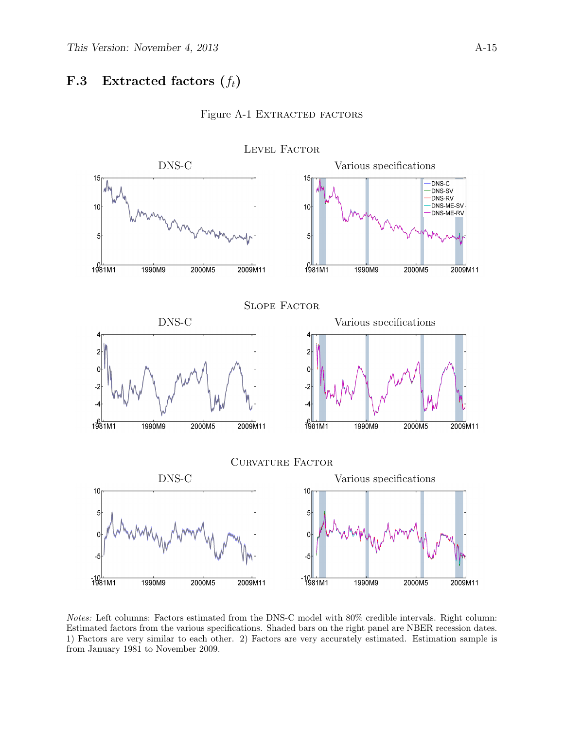### <span id="page-44-0"></span>**F.3** Extracted factors  $(f_t)$



#### Figure A-1 EXTRACTED FACTORS

Notes: Left columns: Factors estimated from the DNS-C model with 80% credible intervals. Right column: Estimated factors from the various specifications. Shaded bars on the right panel are NBER recession dates. 1) Factors are very similar to each other. 2) Factors are very accurately estimated. Estimation sample is from January 1981 to November 2009.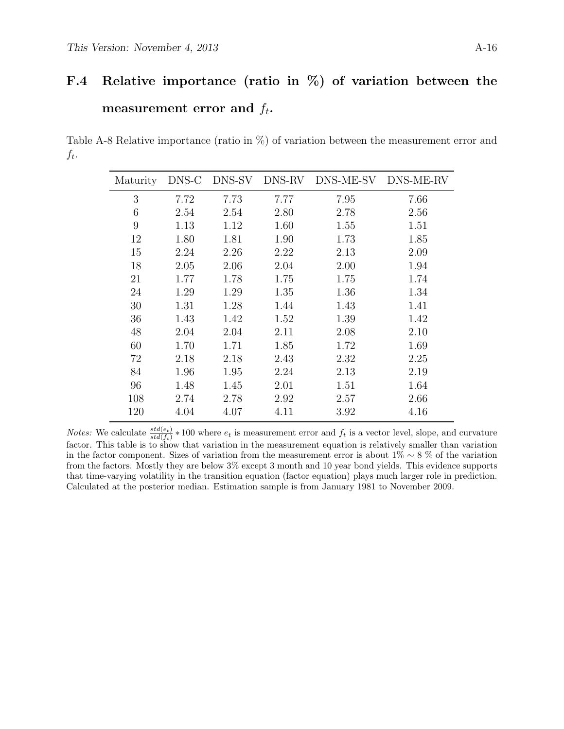# F.4 Relative importance (ratio in %) of variation between the measurement error and  $f_t$ .

Table A-8 Relative importance (ratio in %) of variation between the measurement error and  $f_t$ .

| Maturity | DNS-C | DNS-SV | DNS-RV | DNS-ME-SV | DNS-ME-RV |
|----------|-------|--------|--------|-----------|-----------|
| 3        | 7.72  | 7.73   | 7.77   | 7.95      | 7.66      |
| 6        | 2.54  | 2.54   | 2.80   | 2.78      | 2.56      |
| 9        | 1.13  | 1.12   | 1.60   | 1.55      | 1.51      |
| 12       | 1.80  | 1.81   | 1.90   | 1.73      | 1.85      |
| 15       | 2.24  | 2.26   | 2.22   | 2.13      | 2.09      |
| 18       | 2.05  | 2.06   | 2.04   | 2.00      | 1.94      |
| 21       | 1.77  | 1.78   | 1.75   | 1.75      | 1.74      |
| 24       | 1.29  | 1.29   | 1.35   | 1.36      | 1.34      |
| 30       | 1.31  | 1.28   | 1.44   | 1.43      | 1.41      |
| 36       | 1.43  | 1.42   | 1.52   | 1.39      | 1.42      |
| 48       | 2.04  | 2.04   | 2.11   | 2.08      | 2.10      |
| 60       | 1.70  | 1.71   | 1.85   | 1.72      | 1.69      |
| 72       | 2.18  | 2.18   | 2.43   | 2.32      | 2.25      |
| 84       | 1.96  | 1.95   | 2.24   | 2.13      | 2.19      |
| 96       | 1.48  | 1.45   | 2.01   | 1.51      | 1.64      |
| 108      | 2.74  | 2.78   | 2.92   | 2.57      | 2.66      |
| 120      | 4.04  | 4.07   | 4.11   | 3.92      | 4.16      |

*Notes:* We calculate  $\frac{std(e_t)}{std(f_t)} * 100$  where  $e_t$  is measurement error and  $f_t$  is a vector level, slope, and curvature factor. This table is to show that variation in the measurement equation is relatively smaller than variation in the factor component. Sizes of variation from the measurement error is about 1% ∼ 8 % of the variation from the factors. Mostly they are below 3% except 3 month and 10 year bond yields. This evidence supports that time-varying volatility in the transition equation (factor equation) plays much larger role in prediction. Calculated at the posterior median. Estimation sample is from January 1981 to November 2009.